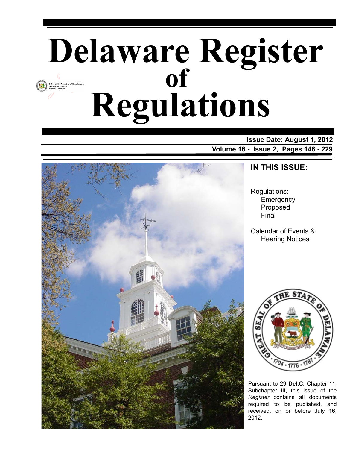# **Delaware Register Regulations of**

**Issue Date: August 1, 2012 Volume 16 - Issue 2, Pages 148 - 229**



### **IN THIS ISSUE:**

Regulations: **Emergency** Proposed Final

Calendar of Events & Hearing Notices



Pursuant to 29 **Del.C.** Chapter 11, Subchapter III, this issue of the *Register* contains all documents required to be published, and received, on or before July 16, 2012.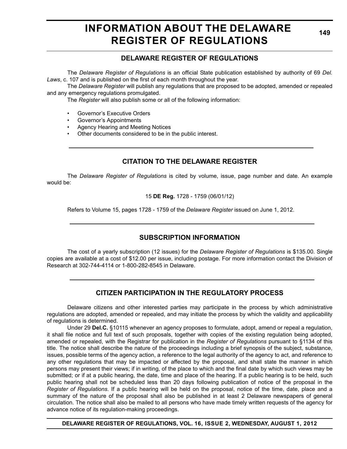# **INFORMATION ABOUT THE DELAWARE REGISTER OF REGULATIONS**

**149**

### **DELAWARE REGISTER OF REGULATIONS**

The *Delaware Register of Regulations* is an official State publication established by authority of 69 *Del. Laws*, c. 107 and is published on the first of each month throughout the year.

The *Delaware Register* will publish any regulations that are proposed to be adopted, amended or repealed and any emergency regulations promulgated.

The *Register* will also publish some or all of the following information:

- Governor's Executive Orders
- Governor's Appointments
- Agency Hearing and Meeting Notices
- Other documents considered to be in the public interest.

### **CITATION TO THE DELAWARE REGISTER**

The *Delaware Register of Regulations* is cited by volume, issue, page number and date. An example would be:

15 **DE Reg.** 1728 - 1759 (06/01/12)

Refers to Volume 15, pages 1728 - 1759 of the *Delaware Register* issued on June 1, 2012.

### **SUBSCRIPTION INFORMATION**

The cost of a yearly subscription (12 issues) for the *Delaware Register of Regulations* is \$135.00. Single copies are available at a cost of \$12.00 per issue, including postage. For more information contact the Division of Research at 302-744-4114 or 1-800-282-8545 in Delaware.

### **CITIZEN PARTICIPATION IN THE REGULATORY PROCESS**

Delaware citizens and other interested parties may participate in the process by which administrative regulations are adopted, amended or repealed, and may initiate the process by which the validity and applicability of regulations is determined.

Under 29 **Del.C.** §10115 whenever an agency proposes to formulate, adopt, amend or repeal a regulation, it shall file notice and full text of such proposals, together with copies of the existing regulation being adopted, amended or repealed, with the Registrar for publication in the *Register of Regulations* pursuant to §1134 of this title. The notice shall describe the nature of the proceedings including a brief synopsis of the subject, substance, issues, possible terms of the agency action, a reference to the legal authority of the agency to act, and reference to any other regulations that may be impacted or affected by the proposal, and shall state the manner in which persons may present their views; if in writing, of the place to which and the final date by which such views may be submitted; or if at a public hearing, the date, time and place of the hearing. If a public hearing is to be held, such public hearing shall not be scheduled less than 20 days following publication of notice of the proposal in the *Register of Regulations*. If a public hearing will be held on the proposal, notice of the time, date, place and a summary of the nature of the proposal shall also be published in at least 2 Delaware newspapers of general circulation. The notice shall also be mailed to all persons who have made timely written requests of the agency for advance notice of its regulation-making proceedings.

**DELAWARE REGISTER OF REGULATIONS, VOL. 16, ISSUE 2, WEDNESDAY, AUGUST 1, 2012**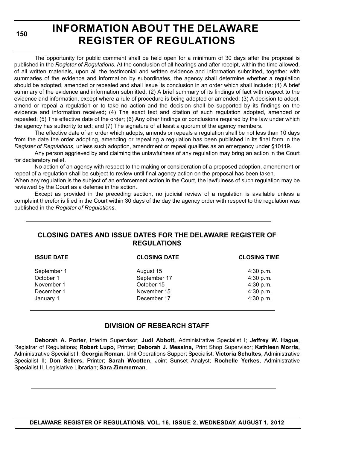**150**

# **INFORMATION ABOUT THE DELAWARE REGISTER OF REGULATIONS**

The opportunity for public comment shall be held open for a minimum of 30 days after the proposal is published in the *Register of Regulations*. At the conclusion of all hearings and after receipt, within the time allowed, of all written materials, upon all the testimonial and written evidence and information submitted, together with summaries of the evidence and information by subordinates, the agency shall determine whether a regulation should be adopted, amended or repealed and shall issue its conclusion in an order which shall include: (1) A brief summary of the evidence and information submitted; (2) A brief summary of its findings of fact with respect to the evidence and information, except where a rule of procedure is being adopted or amended; (3) A decision to adopt, amend or repeal a regulation or to take no action and the decision shall be supported by its findings on the evidence and information received; (4) The exact text and citation of such regulation adopted, amended or repealed; (5) The effective date of the order; (6) Any other findings or conclusions required by the law under which the agency has authority to act; and (7) The signature of at least a quorum of the agency members.

The effective date of an order which adopts, amends or repeals a regulation shall be not less than 10 days from the date the order adopting, amending or repealing a regulation has been published in its final form in the *Register of Regulations*, unless such adoption, amendment or repeal qualifies as an emergency under §10119.

Any person aggrieved by and claiming the unlawfulness of any regulation may bring an action in the Court for declaratory relief.

No action of an agency with respect to the making or consideration of a proposed adoption, amendment or repeal of a regulation shall be subject to review until final agency action on the proposal has been taken.

When any regulation is the subject of an enforcement action in the Court, the lawfulness of such regulation may be reviewed by the Court as a defense in the action.

Except as provided in the preceding section, no judicial review of a regulation is available unless a complaint therefor is filed in the Court within 30 days of the day the agency order with respect to the regulation was published in the *Register of Regulations*.

### **CLOSING DATES AND ISSUE DATES FOR THE DELAWARE REGISTER OF REGULATIONS**

| <b>ISSUE DATE</b> | <b>CLOSING DATE</b> | <b>CLOSING TIME</b> |  |
|-------------------|---------------------|---------------------|--|
| September 1       | August 15           | $4:30$ p.m.         |  |
| October 1         | September 17        | 4:30 p.m.           |  |
| November 1        | October 15          | 4:30 p.m.           |  |
| December 1        | November 15         | $4:30$ p.m.         |  |
| January 1         | December 17         | 4:30 p.m.           |  |
|                   |                     |                     |  |

### **DIVISION OF RESEARCH STAFF**

**Deborah A. Porter**, Interim Supervisor; **Judi Abbott,** Administrative Specialist I; **Jeffrey W. Hague**, Registrar of Regulations; **Robert Lupo**, Printer; **Deborah J. Messina,** Print Shop Supervisor; **Kathleen Morris,** Administrative Specialist I; **Georgia Roman**, Unit Operations Support Specialist; **Victoria Schultes,** Administrative Specialist II; **Don Sellers,** Printer; **Sarah Wootten**, Joint Sunset Analyst; **Rochelle Yerkes**, Administrative Specialist II. Legislative Librarian; **Sara Zimmerman**.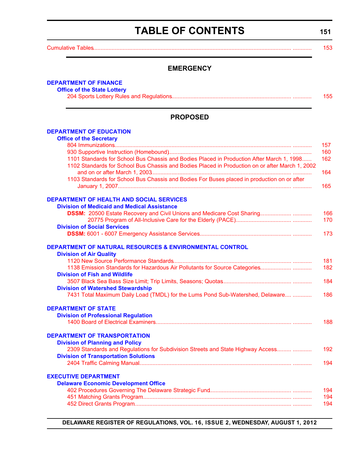# **TABLE OF CONTENTS**

**151**

<span id="page-3-0"></span>[Cumulative Tables.............................................................................................................................. ............ 153](#page-5-0)

### **EMERGENCY**

#### **[DEPARTMENT OF FINANCE](http://www.delottery.com/index.asp)**

**Office of the State Lottery**

### **PROPOSED**

#### **[DEPARTMENT OF EDUCATION](http://www.doe.k12.de.us/)**

| <b>Office of the Secretary</b>                                                                  |     |
|-------------------------------------------------------------------------------------------------|-----|
|                                                                                                 | 157 |
|                                                                                                 | 160 |
| 1101 Standards for School Bus Chassis and Bodies Placed in Production After March 1, 1998       | 162 |
| 1102 Standards for School Bus Chassis and Bodies Placed in Production on or after March 1, 2002 |     |
|                                                                                                 | 164 |
| 1103 Standards for School Bus Chassis and Bodies For Buses placed in production on or after     |     |
|                                                                                                 | 165 |
| <b>DEPARTMENT OF HEALTH AND SOCIAL SERVICES</b>                                                 |     |
| <b>Division of Medicaid and Medical Assistance</b>                                              |     |
|                                                                                                 | 166 |
|                                                                                                 | 170 |
| <b>Division of Social Services</b>                                                              |     |
|                                                                                                 | 173 |
| <b>DEPARTMENT OF NATURAL RESOURCES &amp; ENVIRONMENTAL CONTROL</b>                              |     |
| <b>Division of Air Quality</b>                                                                  |     |
|                                                                                                 | 181 |
|                                                                                                 | 182 |
| <b>Division of Fish and Wildlife</b>                                                            |     |
|                                                                                                 | 184 |
| <b>Division of Watershed Stewardship</b>                                                        |     |
| 7431 Total Maximum Daily Load (TMDL) for the Lums Pond Sub-Watershed, Delaware                  | 186 |
| <b>DEPARTMENT OF STATE</b>                                                                      |     |
| <b>Division of Professional Regulation</b>                                                      |     |
|                                                                                                 | 188 |
| <b>DEPARTMENT OF TRANSPORTATION</b>                                                             |     |
| <b>Division of Planning and Policy</b>                                                          |     |
| 2309 Standards and Regulations for Subdivision Streets and State Highway Access                 | 192 |
| <b>Division of Transportation Solutions</b>                                                     |     |
|                                                                                                 | 194 |
| <b>EXECUTIVE DEPARTMENT</b>                                                                     |     |
| <b>Delaware Economic Development Office</b>                                                     |     |
|                                                                                                 | 194 |
|                                                                                                 | 194 |
|                                                                                                 | 194 |

**DELAWARE REGISTER OF REGULATIONS, VOL. 16, ISSUE 2, WEDNESDAY, AUGUST 1, 2012**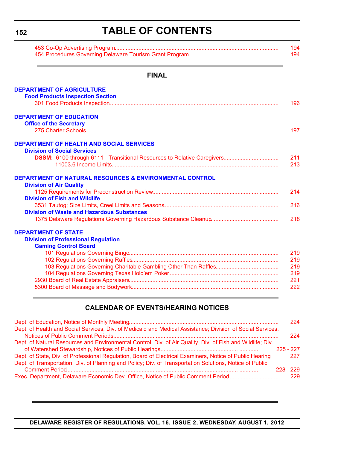**152**

# **TABLE OF CONTENTS**

| 194 - |
|-------|
| 194   |

#### **FINAL**

| <b>DEPARTMENT OF AGRICULTURE</b>                                   |     |
|--------------------------------------------------------------------|-----|
| <b>Food Products Inspection Section</b>                            |     |
|                                                                    | 196 |
| <b>DEPARTMENT OF EDUCATION</b>                                     |     |
| <b>Office of the Secretary</b>                                     |     |
|                                                                    | 197 |
| <b>DEPARTMENT OF HEALTH AND SOCIAL SERVICES</b>                    |     |
| <b>Division of Social Services</b>                                 |     |
|                                                                    | 211 |
|                                                                    | 213 |
| <b>DEPARTMENT OF NATURAL RESOURCES &amp; ENVIRONMENTAL CONTROL</b> |     |
| <b>Division of Air Quality</b>                                     |     |
|                                                                    | 214 |
| <b>Division of Fish and Wildlife</b>                               |     |
|                                                                    | 216 |
| <b>Division of Waste and Hazardous Substances</b>                  |     |
|                                                                    | 218 |
| <b>DEPARTMENT OF STATE</b>                                         |     |
| <b>Division of Professional Regulation</b>                         |     |
| <b>Gaming Control Board</b>                                        |     |
|                                                                    | 219 |
|                                                                    | 219 |
|                                                                    | 219 |
|                                                                    |     |

| 219 |
|-----|
| 221 |
| 222 |

### **CALENDAR OF EVENTS/HEARING NOTICES**

|                                                                                                            | 224.        |
|------------------------------------------------------------------------------------------------------------|-------------|
| Dept. of Health and Social Services, Div. of Medicaid and Medical Assistance; Division of Social Services, |             |
|                                                                                                            | 224         |
| Dept. of Natural Resources and Environmental Control, Div. of Air Quality, Div. of Fish and Wildlife; Div. |             |
|                                                                                                            | $225 - 227$ |
| Dept. of State, Div. of Professional Regulation, Board of Electrical Examiners, Notice of Public Hearing   | 227         |
| Dept. of Transportation, Div. of Planning and Policy; Div. of Transportation Solutions, Notice of Public   |             |
|                                                                                                            | $228 - 229$ |
| Exec. Department, Delaware Economic Dev. Office, Notice of Public Comment Period                           | 229         |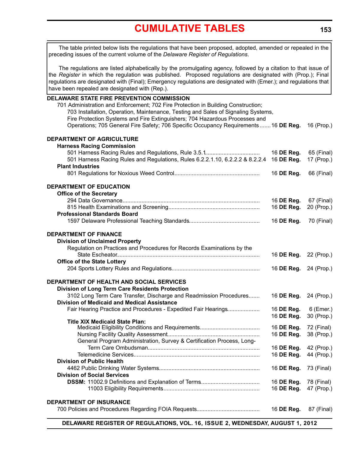# **[CUMULATIVE TABLES](#page-3-0)**

<span id="page-5-0"></span>The table printed below lists the regulations that have been proposed, adopted, amended or repealed in the preceding issues of the current volume of the *Delaware Register of Regulations*.

The regulations are listed alphabetically by the promulgating agency, followed by a citation to that issue of the *Register* in which the regulation was published. Proposed regulations are designated with (Prop.); Final regulations are designated with (Final); Emergency regulations are designated with (Emer.); and regulations that have been repealed are designated with (Rep.).

| DELAWARE STATE FIRE PREVENTION COMMISSION                                           |                       |            |
|-------------------------------------------------------------------------------------|-----------------------|------------|
| 701 Administration and Enforcement; 702 Fire Protection in Building Construction;   |                       |            |
| 703 Installation, Operation, Maintenance, Testing and Sales of Signaling Systems,   |                       |            |
| Fire Protection Systems and Fire Extinguishers; 704 Hazardous Processes and         |                       |            |
| Operations; 705 General Fire Safety; 706 Specific Occupancy Requirements 16 DE Reg. |                       | 16 (Prop.) |
|                                                                                     |                       |            |
| DEPARTMENT OF AGRICULTURE                                                           |                       |            |
| <b>Harness Racing Commission</b>                                                    |                       |            |
|                                                                                     | 16 DE Reg.            | 65 (Final) |
| 501 Harness Racing Rules and Regulations, Rules 6.2.2.1.10, 6.2.2.2 & 8.2.2.4       | 16 DE Reg.            | 17 (Prop.) |
| <b>Plant Industries</b>                                                             |                       |            |
|                                                                                     | 16 DE Reg.            | 66 (Final) |
| <b>DEPARTMENT OF EDUCATION</b>                                                      |                       |            |
| <b>Office of the Secretary</b>                                                      |                       |            |
|                                                                                     | 16 DE Reg.            | 67 (Final) |
|                                                                                     | 16 DE Reg.            | 20 (Prop.) |
| <b>Professional Standards Board</b>                                                 |                       |            |
|                                                                                     | 16 DE Reg.            | 70 (Final) |
| <b>DEPARTMENT OF FINANCE</b>                                                        |                       |            |
| <b>Division of Unclaimed Property</b>                                               |                       |            |
| Regulation on Practices and Procedures for Records Examinations by the              |                       |            |
|                                                                                     | 16 DE Reg.            | 22 (Prop.) |
| <b>Office of the State Lottery</b>                                                  |                       |            |
|                                                                                     | 16 DE Reg.            | 24 (Prop.) |
|                                                                                     |                       |            |
| DEPARTMENT OF HEALTH AND SOCIAL SERVICES                                            |                       |            |
| Division of Long Term Care Residents Protection                                     |                       |            |
| 3102 Long Term Care Transfer, Discharge and Readmission Procedures                  | 16 DE Reg.            | 24 (Prop.) |
| <b>Division of Medicaid and Medical Assistance</b>                                  |                       |            |
| Fair Hearing Practice and Procedures - Expedited Fair Hearings                      | 16 DE Reg.            | 6 (Emer.)  |
|                                                                                     | 16 DE Reg.            | 30 (Prop.) |
| <b>Title XIX Medicaid State Plan:</b>                                               |                       |            |
|                                                                                     | 16 DE Reg.            | 72 (Final) |
|                                                                                     | 16 DE Reg.            | 38 (Prop.) |
| General Program Administration, Survey & Certification Process, Long-               |                       |            |
|                                                                                     | 16 DE Reg. 42 (Prop.) |            |
|                                                                                     | 16 DE Reg.            | 44 (Prop.) |
| <b>Division of Public Health</b>                                                    |                       |            |
|                                                                                     | 16 DE Reg.            | 73 (Final) |
| <b>Division of Social Services</b>                                                  |                       |            |
|                                                                                     | 16 DE Reg.            | 78 (Final) |
|                                                                                     | 16 DE Reg.            | 47 (Prop.) |
|                                                                                     |                       |            |
| DEPARTMENT OF INSURANCE                                                             |                       |            |
|                                                                                     | 16 DE Reg.            | 87 (Final) |

**DELAWARE REGISTER OF REGULATIONS, VOL. 16, ISSUE 2, WEDNESDAY, AUGUST 1, 2012**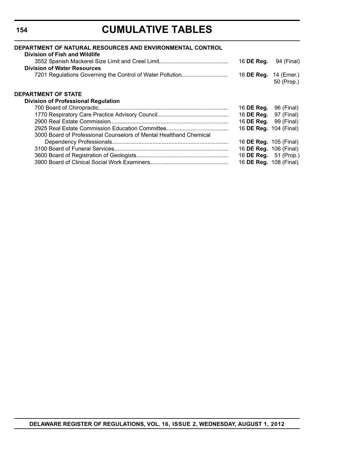# **CUMULATIVE TABLES**

| DEPARTMENT OF NATURAL RESOURCES AND ENVIRONMENTAL CONTROL<br>Division of Fish and Wildlife |                               |            |
|--------------------------------------------------------------------------------------------|-------------------------------|------------|
|                                                                                            | 16 DE Reg.                    | 94 (Final) |
| <b>Division of Water Resources</b>                                                         |                               |            |
| 7201 Regulations Governing the Control of Water Pollution                                  | 16 <b>DE Reg.</b> 14 (Emer.)  | 50 (Prop.) |
| <b>DEPARTMENT OF STATE</b>                                                                 |                               |            |
| <b>Division of Professional Regulation</b>                                                 |                               |            |
|                                                                                            | 16 <b>DE Reg.</b>             | 96 (Final) |
|                                                                                            | 16 DE Reg.                    | 97 (Final) |
|                                                                                            | 16 DE Reg.                    | 99 (Final) |
|                                                                                            | 16 <b>DE Reg.</b> 104 (Final) |            |
| 3000 Board of Professional Counselors of Mental Healthand Chemical                         |                               |            |
|                                                                                            | 16 <b>DE Reg.</b> 105 (Final) |            |
|                                                                                            | 16 <b>DE Reg.</b> 106 (Final) |            |
|                                                                                            | 16 DE Reg. 51 (Prop.)         |            |
|                                                                                            | 16 <b>DE Reg.</b> 108 (Final) |            |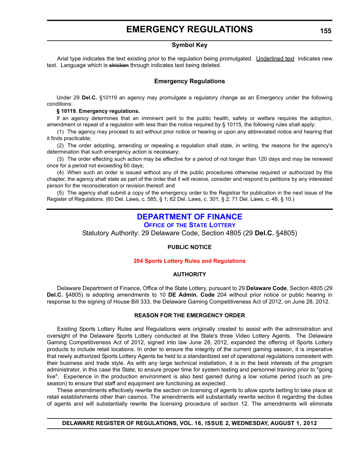### **EMERGENCY REGULATIONS**

#### **Symbol Key**

<span id="page-7-0"></span>Arial type indicates the text existing prior to the regulation being promulgated. Underlined text indicates new text. Language which is stricken through indicates text being deleted.

#### **Emergency Regulations**

Under 29 **Del.C.** §10119 an agency may promulgate a regulatory change as an Emergency under the following conditions:

#### **§ 10119. Emergency regulations.**

If an agency determines that an imminent peril to the public health, safety or welfare requires the adoption, amendment or repeal of a regulation with less than the notice required by § 10115, the following rules shall apply:

(1) The agency may proceed to act without prior notice or hearing or upon any abbreviated notice and hearing that it finds practicable;

(2) The order adopting, amending or repealing a regulation shall state, in writing, the reasons for the agency's determination that such emergency action is necessary;

(3) The order effecting such action may be effective for a period of not longer than 120 days and may be renewed once for a period not exceeding 60 days;

(4) When such an order is issued without any of the public procedures otherwise required or authorized by this chapter, the agency shall state as part of the order that it will receive, consider and respond to petitions by any interested person for the reconsideration or revision thereof; and

(5) The agency shall submit a copy of the emergency order to the Registrar for publication in the next issue of the Register of Regulations. (60 Del. Laws, c. 585, § 1; 62 Del. Laws, c. 301, § 2; 71 Del. Laws, c. 48, § 10.)

### **[DEPARTMENT OF FINANCE](http://www.delottery.com/index.asp)**

### **OFFICE OF THE STATE LOTTERY**

Statutory Authority: 29 Delaware Code, Section 4805 (29 **Del.C.** §4805)

#### **PUBLIC NOTICE**

#### **[204 Sports Lottery Rules and Regulations](#page-3-0)**

#### **AUTHORITY**

Delaware Department of Finance, Office of the State Lottery, pursuant to 29 **Delaware Code**, Section 4805 (29 **Del.C.** §4805) is adopting amendments to 10 **DE Admin. Code** 204 without prior notice or public hearing in response to the signing of House Bill 333, the Delaware Gaming Competitiveness Act of 2012, on June 28, 2012.

#### **REASON FOR THE EMERGENCY ORDER**

Existing Sports Lottery Rules and Regulations were originally created to assist with the administration and oversight of the Delaware Sports Lottery conducted at the State's three Video Lottery Agents. The Delaware Gaming Competitiveness Act of 2012, signed into law June 28, 2012, expanded the offering of Sports Lottery products to include retail locations. In order to ensure the integrity of the current gaming season, it is imperative that newly authorized Sports Lottery Agents be held to a standardized set of operational regulations consistent with their business and trade style. As with any large technical installation, it is in the best interests of the program administrator, in this case the State, to ensure proper time for system testing and personnel training prior to "going live". Experience in the production environment is also best gained during a low volume period (such as preseason) to ensure that staff and equipment are functioning as expected.

These amendments effectively rewrite the section on licensing of agents to allow sports betting to take place at retail establishments other than casinos. The amendments will substantially rewrite section 6 regarding the duties of agents and will substantially rewrite the licensing procedure of section 12. The amendments will eliminate

**DELAWARE REGISTER OF REGULATIONS, VOL. 16, ISSUE 2, WEDNESDAY, AUGUST 1, 2012**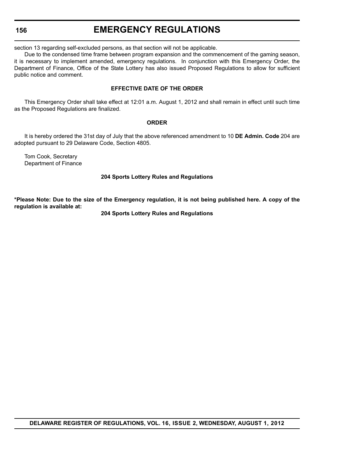#### **156**

### **EMERGENCY REGULATIONS**

section 13 regarding self-excluded persons, as that section will not be applicable.

Due to the condensed time frame between program expansion and the commencement of the gaming season, it is necessary to implement amended, emergency regulations. In conjunction with this Emergency Order, the Department of Finance, Office of the State Lottery has also issued Proposed Regulations to allow for sufficient public notice and comment.

#### **EFFECTIVE DATE OF THE ORDER**

This Emergency Order shall take effect at 12:01 a.m. August 1, 2012 and shall remain in effect until such time as the Proposed Regulations are finalized.

#### **ORDER**

It is hereby ordered the 31st day of July that the above referenced amendment to 10 **DE Admin. Code** 204 are adopted pursuant to 29 Delaware Code, Section 4805.

Tom Cook, Secretary Department of Finance

#### **204 Sports Lottery Rules and Regulations**

**\*Please Note: Due to the size of the Emergency regulation, it is not being published here. A copy of the regulation is available at:**

#### **[204 Sports Lottery Rules and Regulations](http://regulations.delaware.gov/register/august2012/emergency/16 DE Reg 155 08-01-12.htm)**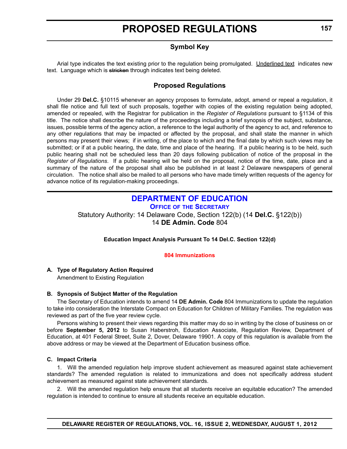### **Symbol Key**

<span id="page-9-0"></span>Arial type indicates the text existing prior to the regulation being promulgated. Underlined text indicates new text. Language which is stricken through indicates text being deleted.

### **Proposed Regulations**

Under 29 **Del.C.** §10115 whenever an agency proposes to formulate, adopt, amend or repeal a regulation, it shall file notice and full text of such proposals, together with copies of the existing regulation being adopted, amended or repealed, with the Registrar for publication in the *Register of Regulations* pursuant to §1134 of this title. The notice shall describe the nature of the proceedings including a brief synopsis of the subject, substance, issues, possible terms of the agency action, a reference to the legal authority of the agency to act, and reference to any other regulations that may be impacted or affected by the proposal, and shall state the manner in which persons may present their views; if in writing, of the place to which and the final date by which such views may be submitted; or if at a public hearing, the date, time and place of the hearing. If a public hearing is to be held, such public hearing shall not be scheduled less than 20 days following publication of notice of the proposal in the *Register of Regulations*. If a public hearing will be held on the proposal, notice of the time, date, place and a summary of the nature of the proposal shall also be published in at least 2 Delaware newspapers of general circulation. The notice shall also be mailed to all persons who have made timely written requests of the agency for advance notice of its regulation-making proceedings.

### **[DEPARTMENT OF EDUCATION](http://www.doe.k12.de.us/)**

**OFFICE OF THE SECRETARY**

Statutory Authority: 14 Delaware Code, Section 122(b) (14 **Del.C.** §122(b)) 14 **DE Admin. Code** 804

#### **Education Impact Analysis Pursuant To 14 Del.C. Section 122(d)**

#### **[804 Immunizations](#page-3-0)**

#### **A. Type of Regulatory Action Required**

Amendment to Existing Regulation

#### **B. Synopsis of Subject Matter of the Regulation**

The Secretary of Education intends to amend 14 **DE Admin. Code** 804 Immunizations to update the regulation to take into consideration the Interstate Compact on Education for Children of Military Families. The regulation was reviewed as part of the five year review cycle.

Persons wishing to present their views regarding this matter may do so in writing by the close of business on or before **September 5, 2012** to Susan Haberstroh, Education Associate, Regulation Review, Department of Education, at 401 Federal Street, Suite 2, Dover, Delaware 19901. A copy of this regulation is available from the above address or may be viewed at the Department of Education business office.

#### **C. Impact Criteria**

1. Will the amended regulation help improve student achievement as measured against state achievement standards? The amended regulation is related to immunizations and does not specifically address student achievement as measured against state achievement standards.

2. Will the amended regulation help ensure that all students receive an equitable education? The amended regulation is intended to continue to ensure all students receive an equitable education.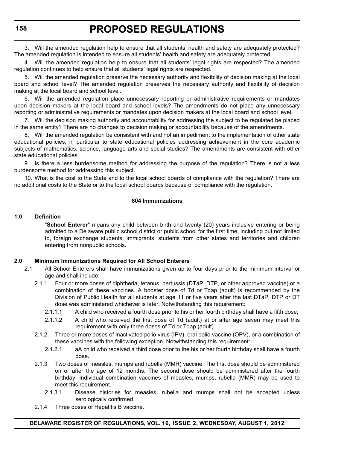3. Will the amended regulation help to ensure that all students' health and safety are adequately protected? The amended regulation is intended to ensure all students' health and safety are adequately protected.

4. Will the amended regulation help to ensure that all students' legal rights are respected? The amended regulation continues to help ensure that all students' legal rights are respected.

5. Will the amended regulation preserve the necessary authority and flexibility of decision making at the local board and school level? The amended regulation preserves the necessary authority and flexibility of decision making at the local board and school level.

6. Will the amended regulation place unnecessary reporting or administrative requirements or mandates upon decision makers at the local board and school levels? The amendments do not place any unnecessary reporting or administrative requirements or mandates upon decision makers at the local board and school level.

7. Will the decision making authority and accountability for addressing the subject to be regulated be placed in the same entity? There are no changes to decision making or accountability because of the amendments.

8. Will the amended regulation be consistent with and not an impediment to the implementation of other state educational policies, in particular to state educational policies addressing achievement in the core academic subjects of mathematics, science, language arts and social studies? The amendments are consistent with other state educational policies.

9. Is there a less burdensome method for addressing the purpose of the regulation? There is not a less burdensome method for addressing this subject.

10. What is the cost to the State and to the local school boards of compliance with the regulation? There are no additional costs to the State or to the local school boards because of compliance with the regulation.

#### **804 Immunizations**

#### **1.0 Definition**

"**School Enterer**" means any child between birth and twenty (20) years inclusive entering or being admitted to a Delaware public school district or public school for the first time, including but not limited to, foreign exchange students, immigrants, students from other states and territories and children entering from nonpublic schools.

#### **2.0 Minimum Immunizations Required for All School Enterers**

- 2.1 All School Enterers shall have immunizations given up to four days prior to the minimum interval or age and shall include:
	- 2.1.1 Four or more doses of diphtheria, tetanus, pertussis (DTaP, DTP, or other approved vaccine) or a combination of these vaccines. A booster dose of Td or Tdap (adult) is recommended by the Division of Public Health for all students at age 11 or five years after the last DTaP, DTP or DT dose was administered whichever is later. Notwithstanding this requirement:
		- 2.1.1.1 A child who received a fourth dose prior to his or her fourth birthday shall have a fifth dose;
		- 2.1.1.2 A child who received the first dose of Td (adult) at or after age seven may meet this requirement with only three doses of Td or Tdap (adult).
	- 2.1.2 Three or more doses of inactivated polio virus (IPV), oral polio vaccine (OPV), or a combination of these vaccines with the following exception. Notwithstanding this requirement:
		- $2.1.2.1$  a A child who received a third dose prior to the his or her fourth birthday shall have a fourth dose.
	- 2.1.3 Two doses of measles, mumps and rubella (MMR) vaccine. The first dose should be administered on or after the age of 12 months. The second dose should be administered after the fourth birthday. Individual combination vaccines of measles, mumps, rubella (MMR) may be used to meet this requirement.
		- 2.1.3.1 Disease histories for measles, rubella and mumps shall not be accepted unless serologically confirmed.
	- 2.1.4 Three doses of Hepatitis B vaccine.

#### **DELAWARE REGISTER OF REGULATIONS, VOL. 16, ISSUE 2, WEDNESDAY, AUGUST 1, 2012**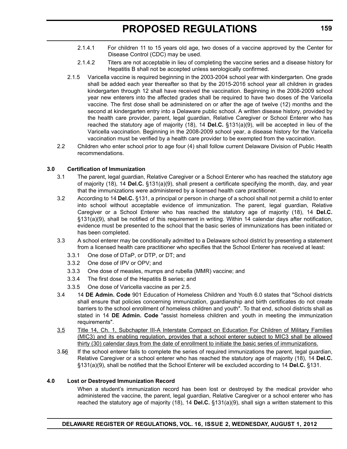- 2.1.4.1 For children 11 to 15 years old age, two doses of a vaccine approved by the Center for Disease Control (CDC) may be used.
- 2.1.4.2 Titers are not acceptable in lieu of completing the vaccine series and a disease history for Hepatitis B shall not be accepted unless serologically confirmed.
- 2.1.5 Varicella vaccine is required beginning in the 2003-2004 school year with kindergarten. One grade shall be added each year thereafter so that by the 2015-2016 school year all children in grades kindergarten through 12 shall have received the vaccination. Beginning in the 2008-2009 school year new enterers into the affected grades shall be required to have two doses of the Varicella vaccine. The first dose shall be administered on or after the age of twelve (12) months and the second at kindergarten entry into a Delaware public school. A written disease history, provided by the health care provider, parent, legal guardian, Relative Caregiver or School Enterer who has reached the statutory age of majority (18), 14 **Del.C.** §131(a)(9), will be accepted in lieu of the Varicella vaccination. Beginning in the 2008-2009 school year, a disease history for the Varicella vaccination must be verified by a health care provider to be exempted from the vaccination.
- 2.2 Children who enter school prior to age four (4) shall follow current Delaware Division of Public Health recommendations.

#### **3.0 Certification of Immunization**

- 3.1 The parent, legal guardian, Relative Caregiver or a School Enterer who has reached the statutory age of majority (18), 14 **Del.C.** §131(a)(9), shall present a certificate specifying the month, day, and year that the immunizations were administered by a licensed health care practitioner.
- 3.2 According to 14 **Del.C.** §131, a principal or person in charge of a school shall not permit a child to enter into school without acceptable evidence of immunization. The parent, legal guardian, Relative Caregiver or a School Enterer who has reached the statutory age of majority (18), 14 **Del.C.** §131(a)(9), shall be notified of this requirement in writing. Within 14 calendar days after notification, evidence must be presented to the school that the basic series of immunizations has been initiated or has been completed.
- 3.3 A school enterer may be conditionally admitted to a Delaware school district by presenting a statement from a licensed health care practitioner who specifies that the School Enterer has received at least:
	- 3.3.1 One dose of DTaP, or DTP, or DT; and
	- 3.3.2 One dose of IPV or OPV; and
	- 3.3.3 One dose of measles, mumps and rubella (MMR) vaccine; and
	- 3.3.4 The first dose of the Hepatitis B series; and
	- 3.3.5 One dose of Varicella vaccine as per 2.5.
- 3.4 14 **DE Admin. Code** 901 Education of Homeless Children and Youth 6.0 states that "School districts shall ensure that policies concerning immunization, guardianship and birth certificates do not create barriers to the school enrollment of homeless children and youth". To that end, school districts shall as stated in 14 **DE Admin. Code** "assist homeless children and youth in meeting the immunization requirements".
- 3.5 Title 14, Ch. 1, Subchapter III-A Interstate Compact on Education For Children of Military Families (MIC3) and its enabling regulation, provides that a school enterer subject to MIC3 shall be allowed thirty (30) calendar days from the date of enrollment to initiate the basic series of immunizations.
- 3.56 If the school enterer fails to complete the series of required immunizations the parent, legal guardian, Relative Caregiver or a school enterer who has reached the statutory age of majority (18), 14 **Del.C.** §131(a)(9), shall be notified that the School Enterer will be excluded according to 14 **Del.C.** §131.

#### **4.0 Lost or Destroyed Immunization Record**

When a student's immunization record has been lost or destroyed by the medical provider who administered the vaccine, the parent, legal guardian, Relative Caregiver or a school enterer who has reached the statutory age of majority (18), 14 **Del.C.** §131(a)(9), shall sign a written statement to this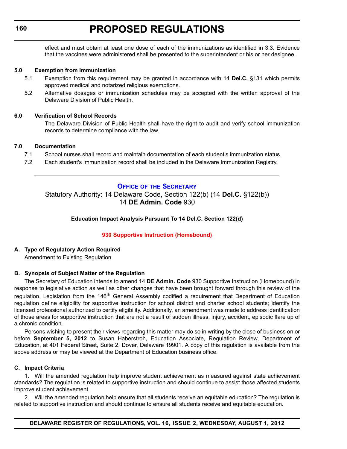<span id="page-12-0"></span>effect and must obtain at least one dose of each of the immunizations as identified in 3.3. Evidence that the vaccines were administered shall be presented to the superintendent or his or her designee.

#### **5.0 Exemption from Immunization**

- 5.1 Exemption from this requirement may be granted in accordance with 14 **Del.C.** §131 which permits approved medical and notarized religious exemptions.
- 5.2 Alternative dosages or immunization schedules may be accepted with the written approval of the Delaware Division of Public Health.

#### **6.0 Verification of School Records**

The Delaware Division of Public Health shall have the right to audit and verify school immunization records to determine compliance with the law.

#### **7.0 Documentation**

- 7.1 School nurses shall record and maintain documentation of each student's immunization status.
- 7.2 Each student's immunization record shall be included in the Delaware Immunization Registry.

### **OFFICE OF [THE SECRETARY](http://www.doe.k12.de.us/)**

Statutory Authority: 14 Delaware Code, Section 122(b) (14 **Del.C.** §122(b)) 14 **DE Admin. Code** 930

#### **Education Impact Analysis Pursuant To 14 Del.C. Section 122(d)**

#### **[930 Supportive Instruction \(Homebound\)](#page-3-0)**

#### **A. Type of Regulatory Action Required**

Amendment to Existing Regulation

#### **B. Synopsis of Subject Matter of the Regulation**

The Secretary of Education intends to amend 14 **DE Admin. Code** 930 Supportive Instruction (Homebound) in response to legislative action as well as other changes that have been brought forward through this review of the regulation. Legislation from the 146<sup>th</sup> General Assembly codified a requirement that Department of Education regulation define eligibility for supportive instruction for school district and charter school students; identify the licensed professional authorized to certify eligibility. Additionally, an amendment was made to address identification of those areas for supportive instruction that are not a result of sudden illness, injury, accident, episodic flare up of a chronic condition.

Persons wishing to present their views regarding this matter may do so in writing by the close of business on or before **September 5, 2012** to Susan Haberstroh, Education Associate, Regulation Review, Department of Education, at 401 Federal Street, Suite 2, Dover, Delaware 19901. A copy of this regulation is available from the above address or may be viewed at the Department of Education business office.

#### **C. Impact Criteria**

1. Will the amended regulation help improve student achievement as measured against state achievement standards? The regulation is related to supportive instruction and should continue to assist those affected students improve student achievement.

2. Will the amended regulation help ensure that all students receive an equitable education? The regulation is related to supportive instruction and should continue to ensure all students receive and equitable education.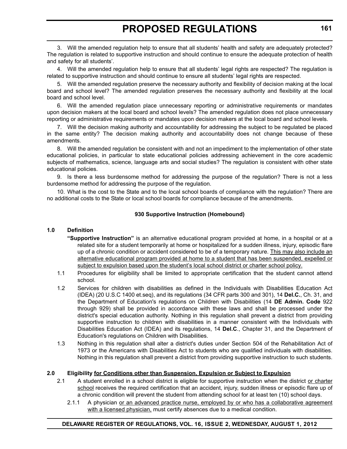3. Will the amended regulation help to ensure that all students' health and safety are adequately protected? The regulation is related to supportive instruction and should continue to ensure the adequate protection of health and safety for all students'.

4. Will the amended regulation help to ensure that all students' legal rights are respected? The regulation is related to supportive instruction and should continue to ensure all students' legal rights are respected.

5. Will the amended regulation preserve the necessary authority and flexibility of decision making at the local board and school level? The amended regulation preserves the necessary authority and flexibility at the local board and school level.

6. Will the amended regulation place unnecessary reporting or administrative requirements or mandates upon decision makers at the local board and school levels? The amended regulation does not place unnecessary reporting or administrative requirements or mandates upon decision makers at the local board and school levels.

7. Will the decision making authority and accountability for addressing the subject to be regulated be placed in the same entity? The decision making authority and accountability does not change because of these amendments.

8. Will the amended regulation be consistent with and not an impediment to the implementation of other state educational policies, in particular to state educational policies addressing achievement in the core academic subjects of mathematics, science, language arts and social studies? The regulation is consistent with other state educational policies.

9. Is there a less burdensome method for addressing the purpose of the regulation? There is not a less burdensome method for addressing the purpose of the regulation.

10. What is the cost to the State and to the local school boards of compliance with the regulation? There are no additional costs to the State or local school boards for compliance because of the amendments.

#### **930 Supportive Instruction (Homebound)**

#### **1.0 Definition**

- **"Supportive Instruction"** is an alternative educational program provided at home, in a hospital or at a related site for a student temporarily at home or hospitalized for a sudden illness, injury, episodic flare up of a chronic condition or accident considered to be of a temporary nature. This may also include an alternative educational program provided at home to a student that has been suspended, expelled or subject to expulsion based upon the student's local school district or charter school policy.
- 1.1 Procedures for eligibility shall be limited to appropriate certification that the student cannot attend school.
- 1.2 Services for children with disabilities as defined in the Individuals with Disabilities Education Act (IDEA) (20 U.S.C 1400 et.seq), and its regulations (34 CFR parts 300 and 301), 14 **Del.C.**, Ch. 31, and the Department of Education's regulations on Children with Disabilities (14 **DE Admin. Code** 922 through 929) shall be provided in accordance with these laws and shall be processed under the district's special education authority. Nothing in this regulation shall prevent a district from providing supportive instruction to children with disabilities in a manner consistent with the Individuals with Disabilities Education Act (IDEA) and its regulations, 14 **Del.C**., Chapter 31, and the Department of Education's regulations on Children with Disabilities.
- 1.3 Nothing in this regulation shall alter a district's duties under Section 504 of the Rehabilitation Act of 1973 or the Americans with Disabilities Act to students who are qualified individuals with disabilities. Nothing in this regulation shall prevent a district from providing supportive instruction to such students.

#### **2.0 Eligibility for Conditions other than Suspension, Expulsion or Subject to Expulsion**

- 2.1 A student enrolled in a school district is eligible for supportive instruction when the district or charter school receives the required certification that an accident, injury, sudden illness or episodic flare up of a chronic condition will prevent the student from attending school for at least ten (10) school days.
	- 2.1.1 A physician or an advanced practice nurse, employed by or who has a collaborative agreement with a licensed physician, must certify absences due to a medical condition.

#### **DELAWARE REGISTER OF REGULATIONS, VOL. 16, ISSUE 2, WEDNESDAY, AUGUST 1, 2012**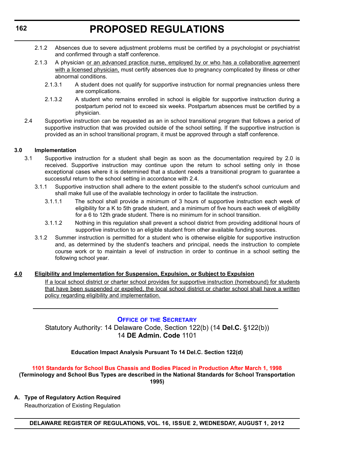- <span id="page-14-0"></span>2.1.2 Absences due to severe adjustment problems must be certified by a psychologist or psychiatrist and confirmed through a staff conference.
- 2.1.3 A physician or an advanced practice nurse, employed by or who has a collaborative agreement with a licensed physician, must certify absences due to pregnancy complicated by illness or other abnormal conditions.
	- 2.1.3.1 A student does not qualify for supportive instruction for normal pregnancies unless there are complications.
	- 2.1.3.2 A student who remains enrolled in school is eligible for supportive instruction during a postpartum period not to exceed six weeks. Postpartum absences must be certified by a physician.
- 2.4 Supportive instruction can be requested as an in school transitional program that follows a period of supportive instruction that was provided outside of the school setting. If the supportive instruction is provided as an in school transitional program, it must be approved through a staff conference.

#### **3.0 Implementation**

- 3.1 Supportive instruction for a student shall begin as soon as the documentation required by 2.0 is received. Supportive instruction may continue upon the return to school setting only in those exceptional cases where it is determined that a student needs a transitional program to guarantee a successful return to the school setting in accordance with 2.4.
	- 3.1.1 Supportive instruction shall adhere to the extent possible to the student's school curriculum and shall make full use of the available technology in order to facilitate the instruction.
		- 3.1.1.1 The school shall provide a minimum of 3 hours of supportive instruction each week of eligibility for a K to 5th grade student, and a minimum of five hours each week of eligibility for a 6 to 12th grade student. There is no minimum for in school transition.
		- 3.1.1.2 Nothing in this regulation shall prevent a school district from providing additional hours of supportive instruction to an eligible student from other available funding sources.
	- 3.1.2 Summer instruction is permitted for a student who is otherwise eligible for supportive instruction and, as determined by the student's teachers and principal, needs the instruction to complete course work or to maintain a level of instruction in order to continue in a school setting the following school year.

#### **4.0 Eligibility and Implementation for Suspension, Expulsion, or Subject to Expulsion**

If a local school district or charter school provides for supportive instruction (homebound) for students that have been suspended or expelled, the local school district or charter school shall have a written policy regarding eligibility and implementation.

#### **OFFICE OF [THE SECRETARY](http://www.doe.k12.de.us/)**

Statutory Authority: 14 Delaware Code, Section 122(b) (14 **Del.C.** §122(b)) 14 **DE Admin. Code** 1101

#### **Education Impact Analysis Pursuant To 14 Del.C. Section 122(d)**

### **[1101 Standards for School Bus Chassis and Bodies Placed in Production After March 1, 1998](#page-3-0)**

**(Terminology and School Bus Types are described in the National Standards for School Transportation 1995)**

**A. Type of Regulatory Action Required**

Reauthorization of Existing Regulation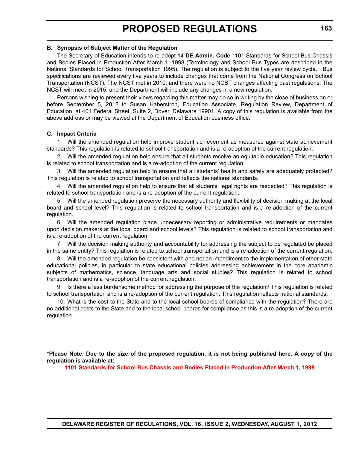#### **B. Synopsis of Subject Matter of the Regulation**

The Secretary of Education intends to re-adopt 14 **DE Admin. Code** 1101 Standards for School Bus Chassis and Bodies Placed in Production After March 1, 1998 (Terminology and School Bus Types are described in the National Standards for School Transportation 1995). The regulation is subject to the five year review cycle. Bus specifications are reviewed every five years to include changes that come from the National Congress on School Transportation (NCST). The NCST met in 2010, and there were no NCST changes affecting past regulations. The NCST will meet in 2015, and the Department will include any changes in a new regulation.

Persons wishing to present their views regarding this matter may do so in writing by the close of business on or before September 5, 2012 to Susan Haberstroh, Education Associate, Regulation Review, Department of Education, at 401 Federal Street, Suite 2, Dover, Delaware 19901. A copy of this regulation is available from the above address or may be viewed at the Department of Education business office.

#### **C. Impact Criteria**

1. Will the amended regulation help improve student achievement as measured against state achievement standards? This regulation is related to school transportation and is a re-adoption of the current regulation.

2. Will the amended regulation help ensure that all students receive an equitable education? This regulation is related to school transportation and is a re-adoption of the current regulation.

3. Will the amended regulation help to ensure that all students' health and safety are adequately protected? This regulation is related to school transportation and reflects the national standards.

4. Will the amended regulation help to ensure that all students' legal rights are respected? This regulation is related to school transportation and is a re-adoption of the current regulation.

5. Will the amended regulation preserve the necessary authority and flexibility of decision making at the local board and school level? This regulation is related to school transportation and is a re-adoption of the current regulation.

6. Will the amended regulation place unnecessary reporting or administrative requirements or mandates upon decision makers at the local board and school levels? This regulation is related to school transportation and is a re-adoption of the current regulation.

7. Will the decision making authority and accountability for addressing the subject to be regulated be placed in the same entity? This regulation is related to school transportation and is a re-adoption of the current regulation.

8. Will the amended regulation be consistent with and not an impediment to the implementation of other state educational policies, in particular to state educational policies addressing achievement in the core academic subjects of mathematics, science, language arts and social studies? This regulation is related to school transportation and is a re-adoption of the current regulation.

9. Is there a less burdensome method for addressing the purpose of the regulation? This regulation is related to school transportation and is a re-adoption of the current regulation. This regulation reflects national standards.

10. What is the cost to the State and to the local school boards of compliance with the regulation? There are no additional costs to the State and to the local school boards for compliance as this is a re-adoption of the current regulation.

**\*Please Note: Due to the size of the proposed regulation, it is not being published here. A copy of the regulation is available at:**

**[1101 Standards for School Bus Chassis and Bodies Placed in Production After March 1, 1998](http://regulations.delaware.gov/register/august2012/proposed/16 DE Reg 162 08-01-12.htm)**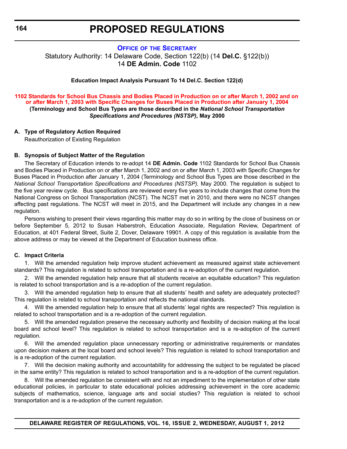#### **OFFICE OF [THE SECRETARY](http://www.doe.k12.de.us/)**

<span id="page-16-0"></span>Statutory Authority: 14 Delaware Code, Section 122(b) (14 **Del.C.** §122(b)) 14 **DE Admin. Code** 1102

#### **Education Impact Analysis Pursuant To 14 Del.C. Section 122(d)**

#### **[1102 Standards for School Bus Chassis and Bodies Placed in Production on or after March 1, 2002 and on](#page-3-0)  or after March 1, 2003 with Specific Changes for Buses Placed in Production after January 1, 2004 (Terminology and School Bus Types are those described in the** *National School Transportation Specifications and Procedures (NSTSP),* **May 2000**

#### **A. Type of Regulatory Action Required**

Reauthorization of Existing Regulation

#### **B. Synopsis of Subject Matter of the Regulation**

The Secretary of Education intends to re-adopt 14 **DE Admin. Code** 1102 Standards for School Bus Chassis and Bodies Placed in Production on or after March 1, 2002 and on or after March 1, 2003 with Specific Changes for Buses Placed in Production after January 1, 2004 (Terminology and School Bus Types are those described in the *National School Transportation Specifications and Procedures (NSTSP),* May 2000. The regulation is subject to the five year review cycle. Bus specifications are reviewed every five years to include changes that come from the National Congress on School Transportation (NCST). The NCST met in 2010, and there were no NCST changes affecting past regulations. The NCST will meet in 2015, and the Department will include any changes in a new regulation.

Persons wishing to present their views regarding this matter may do so in writing by the close of business on or before September 5, 2012 to Susan Haberstroh, Education Associate, Regulation Review, Department of Education, at 401 Federal Street, Suite 2, Dover, Delaware 19901. A copy of this regulation is available from the above address or may be viewed at the Department of Education business office.

#### **C. Impact Criteria**

1. Will the amended regulation help improve student achievement as measured against state achievement standards? This regulation is related to school transportation and is a re-adoption of the current regulation.

2. Will the amended regulation help ensure that all students receive an equitable education? This regulation is related to school transportation and is a re-adoption of the current regulation.

3. Will the amended regulation help to ensure that all students' health and safety are adequately protected? This regulation is related to school transportation and reflects the national standards.

4. Will the amended regulation help to ensure that all students' legal rights are respected? This regulation is related to school transportation and is a re-adoption of the current regulation.

5. Will the amended regulation preserve the necessary authority and flexibility of decision making at the local board and school level? This regulation is related to school transportation and is a re-adoption of the current regulation.

6. Will the amended regulation place unnecessary reporting or administrative requirements or mandates upon decision makers at the local board and school levels? This regulation is related to school transportation and is a re-adoption of the current regulation.

7. Will the decision making authority and accountability for addressing the subject to be regulated be placed in the same entity? This regulation is related to school transportation and is a re-adoption of the current regulation.

8. Will the amended regulation be consistent with and not an impediment to the implementation of other state educational policies, in particular to state educational policies addressing achievement in the core academic subjects of mathematics, science, language arts and social studies? This regulation is related to school transportation and is a re-adoption of the current regulation.

**DELAWARE REGISTER OF REGULATIONS, VOL. 16, ISSUE 2, WEDNESDAY, AUGUST 1, 2012**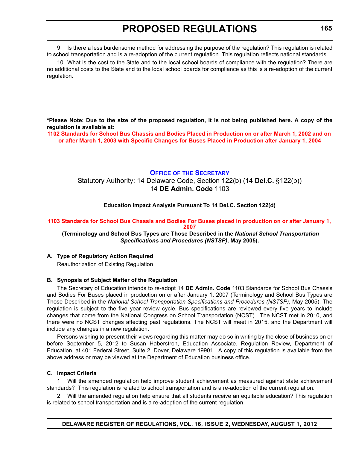<span id="page-17-0"></span>9. Is there a less burdensome method for addressing the purpose of the regulation? This regulation is related to school transportation and is a re-adoption of the current regulation. This regulation reflects national standards.

10. What is the cost to the State and to the local school boards of compliance with the regulation? There are no additional costs to the State and to the local school boards for compliance as this is a re-adoption of the current regulation.

**\*Please Note: Due to the size of the proposed regulation, it is not being published here. A copy of the regulation is available at:**

**[1102 Standards for School Bus Chassis and Bodies Placed in Production on or after March 1, 2002 and on](http://regulations.delaware.gov/register/august2012/proposed/16 DE Reg 164 08-01-12.htm)  or after March 1, 2003 with Specific Changes for Buses Placed in Production after January 1, 2004**

#### **OFFICE OF [THE SECRETARY](http://www.doe.k12.de.us/)**

Statutory Authority: 14 Delaware Code, Section 122(b) (14 **Del.C.** §122(b)) 14 **DE Admin. Code** 1103

**Education Impact Analysis Pursuant To 14 Del.C. Section 122(d)**

#### **[1103 Standards for School Bus Chassis and Bodies For Buses placed in production on or after January 1,](#page-3-0)  2007**

 **(Terminology and School Bus Types are Those Described in the** *National School Transportation Specifications and Procedures (NSTSP)***, May 2005).**

#### **A. Type of Regulatory Action Required**

Reauthorization of Existing Regulation

#### **B. Synopsis of Subject Matter of the Regulation**

The Secretary of Education intends to re-adopt 14 **DE Admin. Code** 1103 Standards for School Bus Chassis and Bodies For Buses placed in production on or after January 1, 2007 (Terminology and School Bus Types are Those Described in the *National School Transportation Specifications and Procedures (NSTSP)*, May 2005). The regulation is subject to the five year review cycle. Bus specifications are reviewed every five years to include changes that come from the National Congress on School Transportation (NCST). The NCST met in 2010, and there were no NCST changes affecting past regulations. The NCST will meet in 2015, and the Department will include any changes in a new regulation.

Persons wishing to present their views regarding this matter may do so in writing by the close of business on or before September 5, 2012 to Susan Haberstroh, Education Associate, Regulation Review, Department of Education, at 401 Federal Street, Suite 2, Dover, Delaware 19901. A copy of this regulation is available from the above address or may be viewed at the Department of Education business office.

#### **C. Impact Criteria**

1. Will the amended regulation help improve student achievement as measured against state achievement standards? This regulation is related to school transportation and is a re-adoption of the current regulation.

2. Will the amended regulation help ensure that all students receive an equitable education? This regulation is related to school transportation and is a re-adoption of the current regulation.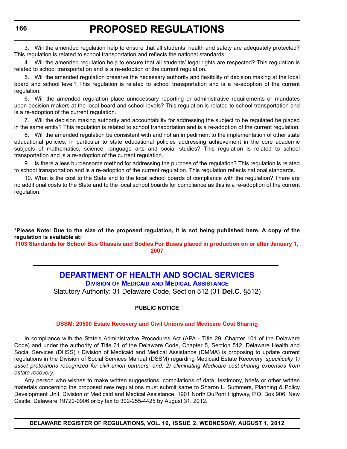3. Will the amended regulation help to ensure that all students' health and safety are adequately protected? This regulation is related to school transportation and reflects the national standards.

4. Will the amended regulation help to ensure that all students' legal rights are respected? This regulation is related to school transportation and is a re-adoption of the current regulation.

5. Will the amended regulation preserve the necessary authority and flexibility of decision making at the local board and school level? This regulation is related to school transportation and is a re-adoption of the current regulation.

6. Will the amended regulation place unnecessary reporting or administrative requirements or mandates upon decision makers at the local board and school levels? This regulation is related to school transportation and is a re-adoption of the current regulation.

7. Will the decision making authority and accountability for addressing the subject to be regulated be placed in the same entity? This regulation is related to school transportation and is a re-adoption of the current regulation.

8. Will the amended regulation be consistent with and not an impediment to the implementation of other state educational policies, in particular to state educational policies addressing achievement in the core academic subjects of mathematics, science, language arts and social studies? This regulation is related to school transportation and is a re-adoption of the current regulation.

9. Is there a less burdensome method for addressing the purpose of the regulation? This regulation is related to school transportation and is a re-adoption of the current regulation. This regulation reflects national standards.

10. What is the cost to the State and to the local school boards of compliance with the regulation? There are no additional costs to the State and to the local school boards for compliance as this is a re-adoption of the current regulation.

**\*Please Note: Due to the size of the proposed regulation, it is not being published here. A copy of the regulation is available at:**

**[1103 Standards for School Bus Chassis and Bodies For Buses placed in production on or after January 1,](http://regulations.delaware.gov/register/august2012/proposed/16 DE Reg 165 08-01-12.htm)  2007**

# **[DEPARTMENT OF HEALTH AND SOCIAL SERVICES](http://dhss.delaware.gov/dhss/dmma/)**

**DIVISION OF MEDICAID AND MEDICAL ASSISTANCE**

Statutory Authority: 31 Delaware Code, Section 512 (31 **Del.C.** §512)

#### **PUBLIC NOTICE**

#### **[DSSM: 20500 Estate Recovery and Civil Unions and Medicare Cost Sharing](#page-3-0)**

In compliance with the State's Administrative Procedures Act (APA - Title 29, Chapter 101 of the Delaware Code) and under the authority of Title 31 of the Delaware Code, Chapter 5, Section 512, Delaware Health and Social Services (DHSS) / Division of Medicaid and Medical Assistance (DMMA) is proposing to update current regulations in the Division of Social Services Manual (DSSM) regarding Medicaid Estate Recovery, *specifically 1) asset protections recognized for civil union partners; and, 2) eliminating Medicare cost-sharing expenses from estate recovery*.

Any person who wishes to make written suggestions, compilations of data, testimony, briefs or other written materials concerning the proposed new regulations must submit same to Sharon L. Summers, Planning & Policy Development Unit, Division of Medicaid and Medical Assistance, 1901 North DuPont Highway, P.O. Box 906, New Castle, Delaware 19720-0906 or by fax to 302-255-4425 by August 31, 2012.

<span id="page-18-0"></span>**166**

**DELAWARE REGISTER OF REGULATIONS, VOL. 16, ISSUE 2, WEDNESDAY, AUGUST 1, 2012**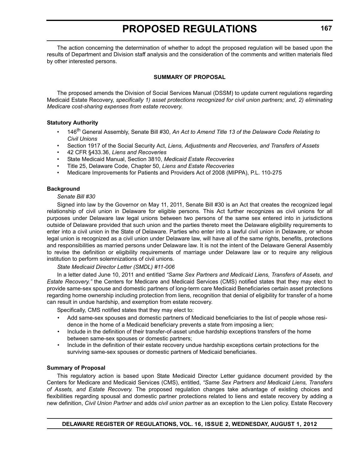The action concerning the determination of whether to adopt the proposed regulation will be based upon the results of Department and Division staff analysis and the consideration of the comments and written materials filed by other interested persons.

#### **SUMMARY OF PROPOSAL**

The proposed amends the Division of Social Services Manual (DSSM) to update current regulations regarding Medicaid Estate Recovery, *specifically 1) asset protections recognized for civil union partners; and, 2) eliminating Medicare cost-sharing expenses from estate recovery*.

#### **Statutory Authority**

- 146<sup>th</sup> General Assembly, Senate Bill #30, An Act to Amend Title 13 of the Delaware Code Relating to *Civil Unions*
- Section 1917 of the Social Security Act, *Liens, Adjustments and Recoveries, and Transfers of Assets*
- 42 CFR §433.36, *Liens and Recoveries*
- State Medicaid Manual, Section 3810, *Medicaid Estate Recoveries*
- Title 25, Delaware Code, Chapter 50, *Liens and Estate Recoveries*
- Medicare Improvements for Patients and Providers Act of 2008 (MIPPA), P.L. 110-275

#### **Background**

#### *Senate Bill #30*

Signed into law by the Governor on May 11, 2011, Senate Bill #30 is an Act that creates the recognized legal relationship of civil union in Delaware for eligible persons. This Act further recognizes as civil unions for all purposes under Delaware law legal unions between two persons of the same sex entered into in jurisdictions outside of Delaware provided that such union and the parties thereto meet the Delaware eligibility requirements to enter into a civil union in the State of Delaware. Parties who enter into a lawful civil union in Delaware, or whose legal union is recognized as a civil union under Delaware law, will have all of the same rights, benefits, protections and responsibilities as married persons under Delaware law. It is not the intent of the Delaware General Assembly to revise the definition or eligibility requirements of marriage under Delaware law or to require any religious institution to perform solemnizations of civil unions.

#### *State Medicaid Director Letter (SMDL) #11-006*

In a letter dated June 10, 2011 and entitled *"Same Sex Partners and Medicaid Liens, Transfers of Assets, and Estate Recovery."* the Centers for Medicare and Medicaid Services (CMS) notified states that they may elect to provide same-sex spouse and domestic partners of long-term care Medicaid Beneficiaries certain asset protections regarding home ownership including protection from liens, recognition that denial of eligibility for transfer of a home can result in undue hardship, and exemption from estate recovery.

Specifically, CMS notified states that they may elect to:

- Add same-sex spouses and domestic partners of Medicaid beneficiaries to the list of people whose residence in the home of a Medicaid beneficiary prevents a state from imposing a lien;
- Include in the definition of their transfer-of-asset undue hardship exceptions transfers of the home between same-sex spouses or domestic partners;
- Include in the definition of their estate recovery undue hardship exceptions certain protections for the surviving same-sex spouses or domestic partners of Medicaid beneficiaries.

#### **Summary of Proposal**

This regulatory action is based upon State Medicaid Director Letter guidance document provided by the Centers for Medicare and Medicaid Services (CMS), entitled, *"Same Sex Partners and Medicaid Liens, Transfers of Assets, and Estate Recovery.* The proposed regulation changes take advantage of existing choices and flexibilities regarding spousal and domestic partner protections related to liens and estate recovery by adding a new definition, *Civil Union Partner* and adds *civil union partner* as an exception to the Lien policy. Estate Recovery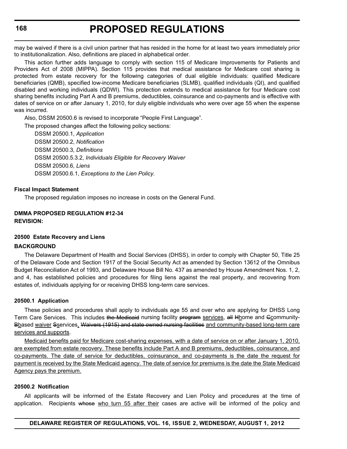may be waived if there is a civil union partner that has resided in the home for at least two years immediately prior to institutionalization. Also, definitions are placed in alphabetical order.

This action further adds language to comply with section 115 of Medicare Improvements for Patients and Providers Act of 2008 (MIPPA). Section 115 provides that medical assistance for Medicare cost sharing is protected from estate recovery for the following categories of dual eligible individuals: qualified Medicare beneficiaries (QMB), specified low-income Medicare beneficiaries (SLMB), qualified individuals (QI), and qualified disabled and working individuals (QDWI). This protection extends to medical assistance for four Medicare cost sharing benefits including Part A and B premiums, deductibles, coinsurance and co-payments and is effective with dates of service on or after January 1, 2010, for duly eligible individuals who were over age 55 when the expense was incurred.

Also, DSSM 20500.6 is revised to incorporate "People First Language".

The proposed changes affect the following policy sections:

DSSM 20500.1, *Application* DSSM 20500.2, *Notification* DSSM 20500.3, *Definitions* DSSM 20500.5.3.2, *Individuals Eligible for Recovery Waiver* DSSM 20500.6, *Liens* DSSM 20500.6.1, *Exceptions to the Lien Policy.*

#### **Fiscal Impact Statement**

The proposed regulation imposes no increase in costs on the General Fund.

### **DMMA PROPOSED REGULATION #12-34**

**REVISION:**

#### **20500 Estate Recovery and Liens**

#### **BACKGROUND**

The Delaware Department of Health and Social Services (DHSS), in order to comply with Chapter 50, Title 25 of the Delaware Code and Section 1917 of the Social Security Act as amended by Section 13612 of the Omnibus Budget Reconciliation Act of 1993, and Delaware House Bill No. 437 as amended by House Amendment Nos. 1, 2, and 4, has established policies and procedures for filing liens against the real property, and recovering from estates of, individuals applying for or receiving DHSS long-term care services.

#### **20500.1 Application**

These policies and procedures shall apply to individuals age 55 and over who are applying for DHSS Long Term Care Services. This includes the Medicaid nursing facility program services, all Hhome and Gcommunity-Bbased waiver Sservices, Waivers (1915) and state owned nursing facilities and community-based long-term care services and supports.

Medicaid benefits paid for Medicare cost-sharing expenses, with a date of service on or after January 1, 2010, are exempted from estate recovery. These benefits include Part A and B premiums, deductibles, coinsurance, and co-payments. The date of service for deductibles, coinsurance, and co-payments is the date the request for payment is received by the State Medicaid agency. The date of service for premiums is the date the State Medicaid Agency pays the premium.

#### **20500.2 Notification**

All applicants will be informed of the Estate Recovery and Lien Policy and procedures at the time of application. Recipients whose who turn 55 after their cases are active will be informed of the policy and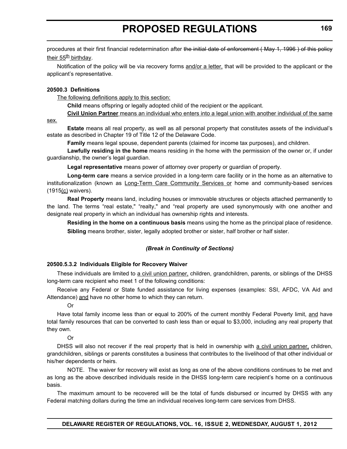procedures at their first financial redetermination after the initial date of enforcement (May 1, 1996) of this policy their  $55<sup>th</sup>$  birthday.

Notification of the policy will be via recovery forms and/or a letter, that will be provided to the applicant or the applicant's representative.

#### **20500.3 Definitions**

The following definitions apply to this section:

**Child** means offspring or legally adopted child of the recipient or the applicant.

**Civil Union Partner** means an individual who enters into a legal union with another individual of the same

sex.

**Estate** means all real property, as well as all personal property that constitutes assets of the individual's estate as described in Chapter 19 of Title 12 of the Delaware Code.

**Family** means legal spouse, dependent parents (claimed for income tax purposes), and children.

**Lawfully residing in the home** means residing in the home with the permission of the owner or, if under guardianship, the owner's legal guardian.

**Legal representative** means power of attorney over property or guardian of property.

**Long-term care** means a service provided in a long-term care facility or in the home as an alternative to institutionalization (known as Long-Term Care Community Services or home and community-based services  $(1915(c)$  waivers).

**Real Property** means land, including houses or immovable structures or objects attached permanently to the land. The terms "real estate," "realty," and "real property are used synonymously with one another and designate real property in which an individual has ownership rights and interests.

**Residing in the home on a continuous basis** means using the home as the principal place of residence. **Sibling** means brother, sister, legally adopted brother or sister, half brother or half sister.

#### *(Break in Continuity of Sections)*

#### **20500.5.3.2 Individuals Eligible for Recovery Waiver**

These individuals are limited to a civil union partner, children, grandchildren, parents, or siblings of the DHSS long-term care recipient who meet 1 of the following conditions:

Receive any Federal or State funded assistance for living expenses (examples: SSI, AFDC, VA Aid and Attendance) and have no other home to which they can return.

Or

Have total family income less than or equal to 200% of the current monthly Federal Poverty limit, and have total family resources that can be converted to cash less than or equal to \$3,000, including any real property that they own.

Or

DHSS will also not recover if the real property that is held in ownership with a civil union partner, children, grandchildren, siblings or parents constitutes a business that contributes to the livelihood of that other individual or his/her dependents or heirs.

NOTE. The waiver for recovery will exist as long as one of the above conditions continues to be met and as long as the above described individuals reside in the DHSS long-term care recipient's home on a continuous basis.

The maximum amount to be recovered will be the total of funds disbursed or incurred by DHSS with any Federal matching dollars during the time an individual receives long-term care services from DHSS.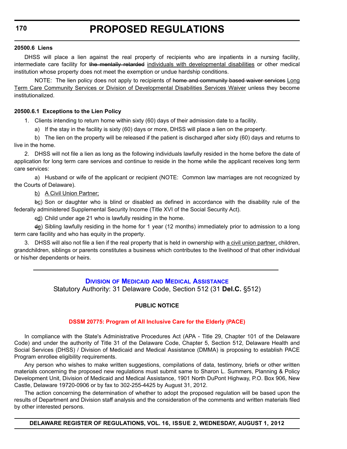#### <span id="page-22-0"></span>**20500.6 Liens**

DHSS will place a lien against the real property of recipients who are inpatients in a nursing facility, intermediate care facility for the mentally retarded individuals with developmental disabilities or other medical institution whose property does not meet the exemption or undue hardship conditions.

NOTE: The lien policy does not apply to recipients of home and community based waiver services Long Term Care Community Services or Division of Developmental Disabilities Services Waiver unless they become institutionalized.

#### **20500.6.1 Exceptions to the Lien Policy**

1. Clients intending to return home within sixty (60) days of their admission date to a facility.

a) If the stay in the facility is sixty (60) days or more, DHSS will place a lien on the property.

b) The lien on the property will be released if the patient is discharged after sixty (60) days and returns to live in the home.

2. DHSS will not file a lien as long as the following individuals lawfully resided in the home before the date of application for long term care services and continue to reside in the home while the applicant receives long term care services:

a) Husband or wife of the applicant or recipient (NOTE: Common law marriages are not recognized by the Courts of Delaware).

#### b) A Civil Union Partner;

bc) Son or daughter who is blind or disabled as defined in accordance with the disability rule of the federally administered Supplemental Security Income (Title XVI of the Social Security Act).

 $ed$ ) Child under age 21 who is lawfully residing in the home.

 $\text{d}\text{e}$ ) Sibling lawfully residing in the home for 1 year (12 months) immediately prior to admission to a long term care facility and who has equity in the property.

3. DHSS will also not file a lien if the real property that is held in ownership with a civil union partner, children, grandchildren, siblings or parents constitutes a business which contributes to the livelihood of that other individual or his/her dependents or heirs.

#### **DIVISION OF MEDICAID [AND MEDICAL ASSISTANCE](http://dhss.delaware.gov/dhss/dmma/)**

Statutory Authority: 31 Delaware Code, Section 512 (31 **Del.C.** §512)

#### **PUBLIC NOTICE**

#### **[DSSM 20775: Program of All Inclusive Care for the Elderly \(PACE\)](#page-3-0)**

In compliance with the State's Administrative Procedures Act (APA - Title 29, Chapter 101 of the Delaware Code) and under the authority of Title 31 of the Delaware Code, Chapter 5, Section 512, Delaware Health and Social Services (DHSS) / Division of Medicaid and Medical Assistance (DMMA) is proposing to establish PACE Program enrollee eligibility requirements.

Any person who wishes to make written suggestions, compilations of data, testimony, briefs or other written materials concerning the proposed new regulations must submit same to Sharon L. Summers, Planning & Policy Development Unit, Division of Medicaid and Medical Assistance, 1901 North DuPont Highway, P.O. Box 906, New Castle, Delaware 19720-0906 or by fax to 302-255-4425 by August 31, 2012.

The action concerning the determination of whether to adopt the proposed regulation will be based upon the results of Department and Division staff analysis and the consideration of the comments and written materials filed by other interested persons.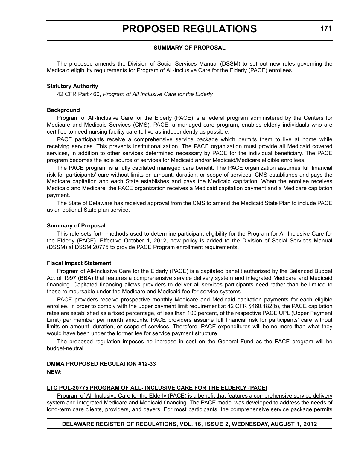#### **SUMMARY OF PROPOSAL**

The proposed amends the Division of Social Services Manual (DSSM) to set out new rules governing the Medicaid eligibility requirements for Program of All-Inclusive Care for the Elderly (PACE) enrollees.

#### **Statutory Authority**

42 CFR Part 460, *Program of All Inclusive Care for the Elderly* 

#### **Background**

Program of All-Inclusive Care for the Elderly (PACE) is a federal program administered by the Centers for Medicare and Medicaid Services (CMS). PACE, a managed care program, enables elderly individuals who are certified to need nursing facility care to live as independently as possible.

PACE participants receive a comprehensive service package which permits them to live at home while receiving services. This prevents institutionalization. The PACE organization must provide all Medicaid covered services, in addition to other services determined necessary by PACE for the individual beneficiary. The PACE program becomes the sole source of services for Medicaid and/or Medicaid/Medicare eligible enrollees.

The PACE program is a fully capitated managed care benefit. The PACE organization assumes full financial risk for participants' care without limits on amount, duration, or scope of services. CMS establishes and pays the Medicare capitation and each State establishes and pays the Medicaid capitation. When the enrollee receives Medicaid and Medicare, the PACE organization receives a Medicaid capitation payment and a Medicare capitation payment.

The State of Delaware has received approval from the CMS to amend the Medicaid State Plan to include PACE as an optional State plan service.

#### **Summary of Proposal**

This rule sets forth methods used to determine participant eligibility for the Program for All-Inclusive Care for the Elderly (PACE). Effective October 1, 2012, new policy is added to the Division of Social Services Manual (DSSM) at DSSM 20775 to provide PACE Program enrollment requirements.

#### **Fiscal Impact Statement**

Program of All-Inclusive Care for the Elderly (PACE) is a capitated benefit authorized by the Balanced Budget Act of 1997 (BBA) that features a comprehensive service delivery system and integrated Medicare and Medicaid financing. Capitated financing allows providers to deliver all services participants need rather than be limited to those reimbursable under the Medicare and Medicaid fee-for-service systems.

PACE providers receive prospective monthly Medicare and Medicaid capitation payments for each eligible enrollee. In order to comply with the upper payment limit requirement at 42 CFR §460.182(b), the PACE capitation rates are established as a fixed percentage, of less than 100 percent, of the respective PACE UPL (Upper Payment Limit) per member per month amounts. PACE providers assume full financial risk for participants' care without limits on amount, duration, or scope of services. Therefore, PACE expenditures will be no more than what they would have been under the former fee for service payment structure.

The proposed regulation imposes no increase in cost on the General Fund as the PACE program will be budget-neutral.

#### **DMMA PROPOSED REGULATION #12-33 NEW:**

#### **LTC POL-20775 PROGRAM OF ALL- INCLUSIVE CARE FOR THE ELDERLY (PACE)**

Program of All-Inclusive Care for the Elderly (PACE) is a benefit that features a comprehensive service delivery system and integrated Medicare and Medicaid financing. The PACE model was developed to address the needs of long-term care clients, providers, and payers. For most participants, the comprehensive service package permits

#### **DELAWARE REGISTER OF REGULATIONS, VOL. 16, ISSUE 2, WEDNESDAY, AUGUST 1, 2012**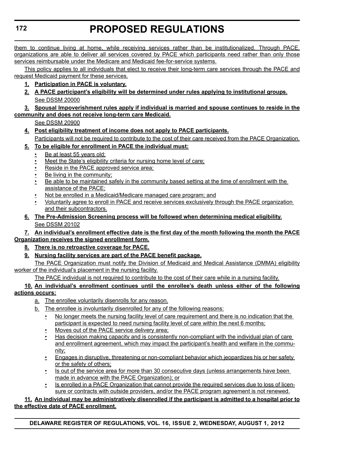them to continue living at home, while receiving services rather than be institutionalized. Through PACE, organizations are able to deliver all services covered by PACE which participants need rather than only those services reimbursable under the Medicare and Medicaid fee-for-service systems.

This policy applies to all individuals that elect to receive their long-term care services through the PACE and request Medicaid payment for these services.

- **1. Participation in PACE is voluntary.**
- **2. A PACE participant's eligibility will be determined under rules applying to institutional groups.** See DSSM 20000

#### **3. Spousal Impoverishment rules apply if individual is married and spouse continues to reside in the community and does not receive long-term care Medicaid.**

```
See DSSM 20900
```
**4. Post eligibility treatment of income does not apply to PACE participants.** Participants will not be required to contribute to the cost of their care received from the PACE Organization.

### **5. To be eligible for enrollment in PACE the individual must:**

- Be at least 55 years old;
- Meet the State's eligibility criteria for nursing home level of care;
- Reside in the PACE approved service area;
- Be living in the community;
- Be able to be maintained safely in the community based setting at the time of enrollment with the assistance of the PACE;
- Not be enrolled in a Medicaid/Medicare managed care program; and
- Voluntarily agree to enroll in PACE and receive services exclusively through the PACE organization and their subcontractors.
- **6. The Pre-Admission Screening process will be followed when determining medical eligibility.** See DSSM 20102

### **7. An individual's enrollment effective date is the first day of the month following the month the PACE Organization receives the signed enrollment form.**

- **8. There is no retroactive coverage for PACE.**
- **9. Nursing facility services are part of the PACE benefit package.**

The PACE Organization must notify the Division of Medicaid and Medical Assistance (DMMA) eligibility worker of the individual's placement in the nursing facility.

The PACE individual is not required to contribute to the cost of their care while in a nursing facility.

### **10. An individual's enrollment continues until the enrollee's death unless either of the following actions occurs:**

- a. The enrollee voluntarily disenrolls for any reason.
- b. The enrollee is involuntarily disenrolled for any of the following reasons:
	- No longer meets the nursing facility level of care requirement and there is no indication that the participant is expected to need nursing facility level of care within the next 6 months;
	- Moves out of the PACE service delivery area;
	- Has decision making capacity and is consistently non-compliant with the individual plan of care and enrollment agreement, which may impact the participant's health and welfare in the community;
	- Engages in disruptive, threatening or non-compliant behavior which jeopardizes his or her safety or the safety of others;
	- Is out of the service area for more than 30 consecutive days (unless arrangements have been made in advance with the PACE Organization); or
	- Is enrolled in a PACE Organization that cannot provide the required services due to loss of licensure or contracts with outside providers, and/or the PACE program agreement is not renewed.

### **11. An individual may be administratively disenrolled if the participant is admitted to a hospital prior to the effective date of PACE enrollment.**

**DELAWARE REGISTER OF REGULATIONS, VOL. 16, ISSUE 2, WEDNESDAY, AUGUST 1, 2012**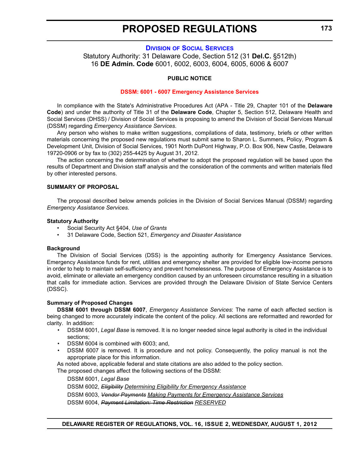#### **DIVISION [OF SOCIAL SERVICES](http://dhss.delaware.gov/dhss/dss/)**

<span id="page-25-0"></span>Statutory Authority: 31 Delaware Code, Section 512 (31 **Del.C.** §512th) 16 **DE Admin. Code** 6001, 6002, 6003, 6004, 6005, 6006 & 6007

#### **PUBLIC NOTICE**

#### **[DSSM: 6001 - 6007 Emergency Assistance Services](#page-3-0)**

In compliance with the State's Administrative Procedures Act (APA - Title 29, Chapter 101 of the **Delaware Code**) and under the authority of Title 31 of the **Delaware Code**, Chapter 5, Section 512, Delaware Health and Social Services (DHSS) / Division of Social Services is proposing to amend the Division of Social Services Manual (DSSM) regarding *Emergency Assistance Services*.

Any person who wishes to make written suggestions, compilations of data, testimony, briefs or other written materials concerning the proposed new regulations must submit same to Sharon L. Summers, Policy, Program & Development Unit, Division of Social Services, 1901 North DuPont Highway, P.O. Box 906, New Castle, Delaware 19720-0906 or by fax to (302) 255-4425 by August 31, 2012.

The action concerning the determination of whether to adopt the proposed regulation will be based upon the results of Department and Division staff analysis and the consideration of the comments and written materials filed by other interested persons.

#### **SUMMARY OF PROPOSAL**

The proposal described below amends policies in the Division of Social Services Manual (DSSM) regarding *Emergency Assistance Services*.

#### **Statutory Authority**

- Social Security Act §404, *Use of Grants*
- 31 Delaware Code, Section 521, *Emergency and Disaster Assistance*

#### **Background**

The Division of Social Services (DSS) is the appointing authority for Emergency Assistance Services. Emergency Assistance funds for rent, utilities and emergency shelter are provided for eligible low-income persons in order to help to maintain self-sufficiency and prevent homelessness. The purpose of Emergency Assistance is to avoid, eliminate or alleviate an emergency condition caused by an unforeseen circumstance resulting in a situation that calls for immediate action. Services are provided through the Delaware Division of State Service Centers (DSSC).

#### **Summary of Proposed Changes**

**DSSM 6001 through DSSM 6007**, *Emergency Assistance Services*: The name of each affected section is being changed to more accurately indicate the content of the policy. All sections are reformatted and reworded for clarity. In addition:

- DSSM 6001, *Legal Base* is removed. It is no longer needed since legal authority is cited in the individual sections;
- DSSM 6004 is combined with 6003; and,
- DSSM 6007 is removed. It is procedure and not policy. Consequently, the policy manual is not the appropriate place for this information.

As noted above, applicable federal and state citations are also added to the policy section.

The proposed changes affect the following sections of the DSSM:

DSSM 6001, *Legal Base*

DSSM 6002, *Eligibility Determining Eligibility for Emergency Assistance*

DSSM 6003, *Vendor Payments Making Payments for Emergency Assistance Services*

DSSM 6004, *Payment Limitation: Time Restriction RESERVED*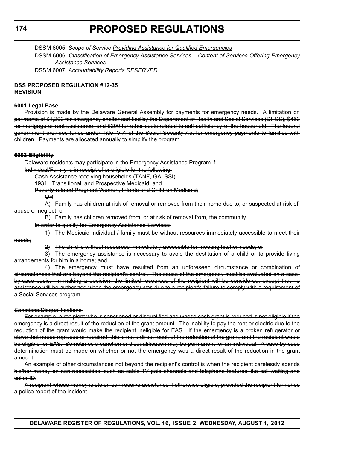DSSM 6005, *Scope of Service Providing Assistance for Qualified Emergencies*

DSSM 6006, *Classification of Emergency Assistance Services – Content of Services Offering Emergency Assistance Services*

DSSM 6007, *Accountability Reports RESERVED*

#### **DSS PROPOSED REGULATION #12-35 REVISION**

#### **6001 Legal Base**

Provision is made by the Delaware General Assembly for payments for emergency needs. A limitation on payments of \$1,200 for emergency shelter certified by the Department of Health and Social Services (DHSS), \$450 for mortgage or rent assistance, and \$200 for other costs related to self-sufficiency of the household. The federal government provides funds under Title IV-A of the Social Security Act for emergency payments to families with children. Payments are allocated annually to simplify the program.

#### **6002 Eligibility**

Delaware residents may participate in the Emergency Assistance Program if:

Individual/Family is in receipt of or eligible for the following:

Cash Assistance receiving households (TANF, GA, SSI):

1931: Transitional, and Prospective Medicaid; and

Poverty-related Pregnant Women, Infants and Children Medicaid;

OR

A) Family has children at risk of removal or removed from their home due to, or suspected at risk of, abuse or neglect; or

B) Family has children removed from, or at risk of removal from, the community.

In order to qualify for Emergency Assistance Services:

1) The Medicaid individual / family must be without resources immediately accessible to meet their

needs;

2) The child is without resources immediately accessible for meeting his/her needs; or

3) The emergency assistance is necessary to avoid the destitution of a child or to provide living arrangements for him in a home; and

4) The emergency must have resulted from an unforeseen circumstance or combination of circumstances that are beyond the recipient's control. The cause of the emergency must be evaluated on a caseby case basis. In making a decision, the limited resources of the recipient will be considered, except that no assistance will be authorized when the emergency was due to a recipient's failure to comply with a requirement of a Social Services program.

Sanctions/Disqualifications

For example, a recipient who is sanctioned or disqualified and whose cash grant is reduced is not eligible if the emergency is a direct result of the reduction of the grant amount. The inability to pay the rent or electric due to the reduction of the grant would make the recipient ineligible for EAS. If the emergency is a broken refrigerator or stove that needs replaced or repaired, this is not a direct result of the reduction of the grant, and the recipient would be eligible for EAS. Sometimes a sanction or disqualification may be permanent for an individual. A case-by-case determination must be made on whether or not the emergency was a direct result of the reduction in the grant amount.

An example of other circumstances not beyond the recipient's control is when the recipient carelessly spends his/her money on non-necessities, such as cable TV paid channels and telephone features like call waiting and caller ID.

A recipient whose money is stolen can receive assistance if otherwise eligible, provided the recipient furnishes a police report of the incident.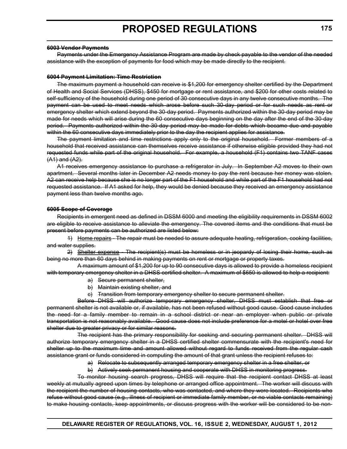#### **6003 Vendor Payments**

Payments under the Emergency Assistance Program are made by check payable to the vendor of the needed assistance with the exception of payments for food which may be made directly to the recipient.

#### **6004 Payment Limitation: Time Restriction**

The maximum payment a household can receive is \$1,200 for emergency shelter certified by the Department of Health and Social Services (DHSS), \$450 for mortgage or rent assistance, and \$200 for other costs related to self-sufficiency of the household during one period of 30 consecutive days in any twelve consecutive months. The payment can be used to meet needs which arose before such 30-day period or for such needs as rent or emergency shelter which extend beyond the 30-day period. Payments authorized within the 30-day period may be made for needs which will arise during the 60 consecutive days beginning on the day after the end of the 30-day period. Payments authorized within the 30-day period may be made for debts which became due and payable within the 60 consecutive days immediately prior to the day the recipient applies for assistance.

The payment limitation and time restrictions apply only to the original household. Former members of a household that received assistance can themselves receive assistance if otherwise eligible provided they had not requested funds while part of the original household. For example, a household (F1) contains two TANF cases (A1) and (A2).

A1 receives emergency assistance to purchase a refrigerator in July. In September A2 moves to their own apartment. Several months later in December A2 needs money to pay the rent because her money was stolen. A2 can receive help because she is no longer part of the F1 household and while part of the F1 household had not requested assistance. If A1 asked for help, they would be denied because they received an emergency assistance payment less than twelve months ago.

#### **6005 Scope of Coverage**

Recipients in emergent need as defined in DSSM 6000 and meeting the eligibility requirements in DSSM 6002 are eligible to receive assistance to alleviate the emergency. The covered items and the conditions that must be present before payments can be authorized are listed below:

1) Home repairs - The repair must be needed to assure adequate heating, refrigeration, cooking facilities, and water supplies.

2) Shelter expense - The recipient(s) must be homeless or in jeopardy of losing their home, such as being no more than 60 days behind in making payments on rent or mortgage or property taxes.

A maximum amount of \$1,200 for up to 90 consecutive days is allowed to provide a homeless recipient with temporary emergency shelter in a DHSS certified shelter. A maximum of \$650 is allowed to help a recipient:

- a) Secure permanent shelter,
- b) Maintain existing shelter, and
- c) Transition from temporary emergency shelter to secure permanent shelter.

Before DHSS will authorize temporary emergency shelter, DHSS must establish that free or permanent shelter is not available or, if available, has not been refused without good cause. Good cause includes the need for a family member to remain in a school district or near an employer when public or private transportation is not reasonably available. Good cause does not include preference for a motel or hotel over free shelter due to greater privacy or for similar reasons.

The recipient has the primary responsibility for seeking and securing permanent shelter. DHSS will authorize temporary emergency shelter in a DHSS certified shelter commensurate with the recipient's need for shelter up to the maximum time and amount allowed without regard to funds received from the regular cash assistance grant or funds considered in computing the amount of that grant unless the recipient refuses to:

- a) Relocate to subsequently arranged temporary emergency shelter in a free shelter, or
- b) Actively seek permanent housing and cooperate with DHSS in monitoring progress.

To monitor housing search progress, DHSS will require that the recipient contact DHSS at least weekly at mutually agreed upon times by telephone or arranged office appointment. The worker will discuss with the recipient the number of housing contacts, who was contacted, and where they were located. Recipients who refuse without good cause (e.g., illness of recipient or immediate family member, or no viable contacts remaining) to make housing contacts, keep appointments, or discuss progress with the worker will be considered to be non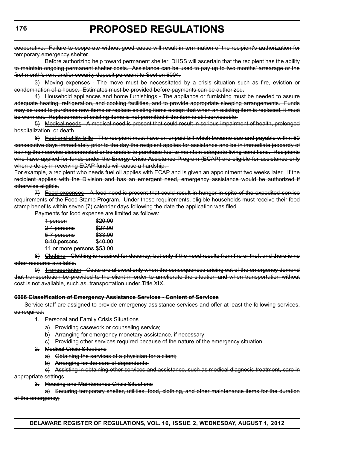cooperative. Failure to cooperate without good cause will result in termination of the recipient's authorization for temporary emergency shelter.

Before authorizing help toward permanent shelter, DHSS will ascertain that the recipient has the ability to maintain ongoing permanent shelter costs. Assistance can be used to pay up to two months' arrearage or the first month's rent and/or security deposit pursuant to Section 6004.

3) Moving expenses - The move must be necessitated by a crisis situation such as fire, eviction or condemnation of a house. Estimates must be provided before payments can be authorized.

4) Household appliances and home furnishings - The appliance or furnishing must be needed to assure adequate heating, refrigeration, and cooking facilities, and to provide appropriate sleeping arrangements. Funds may be used to purchase new items or replace existing items except that when an existing item is replaced, it must be worn out. Replacement of existing items is not permitted if the item is still serviceable.

5) Medical needs - A medical need is present that could result in serious impairment of health, prolonged hospitalization, or death.

6) Fuel and utility bills - The recipient must have an unpaid bill which became due and payable within 60 consecutive days immediately prior to the day the recipient applies for assistance and be in immediate jeopardy of having their service disconnected or be unable to purchase fuel to maintain adequate living conditions. Recipients who have applied for funds under the Energy Crisis Assistance Program (ECAP) are eligible for assistance only when a delay in receiving ECAP funds will cause a hardship.

For example, a recipient who needs fuel oil applies with ECAP and is given an appointment two weeks later. If the recipient applies with the Division and has an emergent need, emergency assistance would be authorized if otherwise eligible.

7) Food expenses - A food need is present that could result in hunger in spite of the expedited service requirements of the Food Stamp Program. Under these requirements, eligible households must receive their food stamp benefits within seven (7) calendar days following the date the application was filed.

Payments for food expense are limited as follows:

| 1 person                   | \$20.00 |
|----------------------------|---------|
| 2-4 persons                | \$27.00 |
| 5-7 persons                | \$33.00 |
| 8-10 persons               | \$40.00 |
| 11 or more persons \$53.00 |         |

8) Clothing - Clothing is required for decency, but only if the need results from fire or theft and there is no other resource available.

9) Transportation - Costs are allowed only when the consequences arising out of the emergency demand that transportation be provided to the client in order to ameliorate the situation and when transportation without cost is not available, such as, transportation under Title XIX.

#### **6006 Classification of Emergency Assistance Services - Content of Services**

Service staff are assigned to provide emergency assistance services and offer at least the following services, as required:

- 1. Personal and Family Crisis Situations
	- a) Providing casework or counseling service;
	- b) Arranging for emergency monetary assistance, if necessary;
	- c) Providing other services required because of the nature of the emergency situation.
- 2. Medical Crisis Situations
	- a) Obtaining the services of a physician for a client;
	- b) Arranging for the care of dependents;

c) Assisting in obtaining other services and assistance, such as medical diagnosis treatment, care in appropriate settings.

3. Housing and Maintenance Crisis Situations

a) Securing temporary shelter, utilities, food, clothing, and other maintenance items for the duration of the emergency;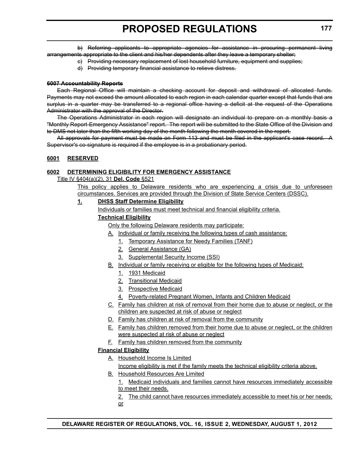b) Referring applicants to appropriate agencies for assistance in procuring permanent living arrangements appropriate to the client and his/her dependents after they leave a temporary shelter;

- c) Providing necessary replacement of lost household furniture, equipment and supplies;
- d) Providing temporary financial assistance to relieve distress.

#### **6007 Accountability Reports**

Each Regional Office will maintain a checking account for deposit and withdrawal of allocated funds. Payments may not exceed the amount allocated to each region in each calendar quarter except that funds that are surplus in a quarter may be transferred to a regional office having a deficit at the request of the Operations Administrator with the approval of the Director.

The Operations Administrator in each region will designate an individual to prepare on a monthly basis a "Monthly Report-Emergency Assistance" report. The report will be submitted to the State Office of the Division and to DMS not later than the fifth working day of the month following the month covered in the report.

All approvals for payment must be made on Form 113 and must be filed in the applicant's case record. A Supervisor's co-signature is required if the employee is in a probationary period.

#### **6001 RESERVED**

#### **6002 DETERMINING ELIGIBILITY FOR EMERGENCY ASSISTANCE**

Title IV §404(a)(2), 31 **Del. Code** §521

This policy applies to Delaware residents who are experiencing a crisis due to unforeseen circumstances. Services are provided through the Division of State Service Centers (DSSC).

#### **1. DHSS Staff Determine Eligibility**

Individuals or families must meet technical and financial eligibility criteria.

#### **Technical Eligibility**

Only the following Delaware residents may participate:

- A. Individual or family receiving the following types of cash assistance:
	- 1. Temporary Assistance for Needy Families (TANF)
	- 2. General Assistance (GA)
	- 3. Supplemental Security Income (SSI)
- B. Individual or family receiving or eligible for the following types of Medicaid:
	- 1. 1931 Medicaid
	- 2. Transitional Medicaid
	- 3. Prospective Medicaid
	- 4. Poverty-related Pregnant Women, Infants and Children Medicaid
- C. Family has children at risk of removal from their home due to abuse or neglect, or the children are suspected at risk of abuse or neglect
- D. Family has children at risk of removal from the community
- E. Family has children removed from their home due to abuse or neglect, or the children were suspected at risk of abuse or neglect
- F. Family has children removed from the community

#### **Financial Eligibility**

- A. Household Income Is Limited Income eligibility is met if the family meets the technical eligibility criteria above.
- **B.** Household Resources Are Limited
	- 1. Medicaid individuals and families cannot have resources immediately accessible to meet their needs.
	- 2. The child cannot have resources immediately accessible to meet his or her needs; or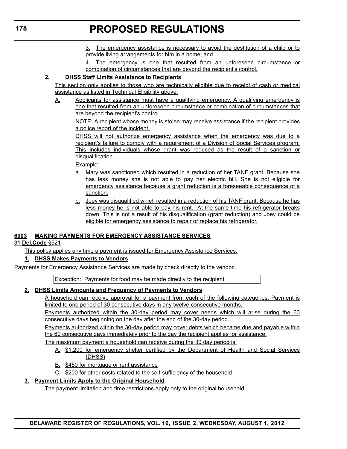3. The emergency assistance is necessary to avoid the destitution of a child or to provide living arrangements for him in a home; and

4. The emergency is one that resulted from an unforeseen circumstance or combination of circumstances that are beyond the recipient's control.

### **2. DHSS Staff Limits Assistance to Recipients**

This section only applies to those who are technically eligible due to receipt of cash or medical assistance as listed in Technical Eligibility above.

A. Applicants for assistance must have a qualifying emergency. A qualifying emergency is one that resulted from an unforeseen circumstance or combination of circumstances that are beyond the recipient's control.

NOTE: A recipient whose money is stolen may receive assistance if the recipient provides a police report of the incident.

DHSS will not authorize emergency assistance when the emergency was due to a recipient's failure to comply with a requirement of a Division of Social Services program. This includes individuals whose grant was reduced as the result of a sanction or disqualification.

Example:

- a. Mary was sanctioned which resulted in a reduction of her TANF grant. Because she has less money she is not able to pay her electric bill. She is not eligible for emergency assistance because a grant reduction is a foreseeable consequence of a sanction.
- b. Joey was disqualified which resulted in a reduction of his TANF grant. Because he has less money he is not able to pay his rent. At the same time his refrigerator breaks down. This is not a result of his disqualification (grant reduction) and Joey could be eligible for emergency assistance to repair or replace his refrigerator.

### **6003 MAKING PAYMENTS FOR EMERGENCY ASSISTANCE SERVICES**

31 **Del.Code** §521

This policy applies any time a payment is issued for Emergency Assistance Services.

#### **1. DHSS Makes Payments to Vendors**

Payments for Emergency Assistance Services are made by check directly to the vendor..

Exception: Payments for food may be made directly to the recipient.

#### **2. DHSS Limits Amounts and Frequency of Payments to Vendors**

A household can receive approval for a payment from each of the following categories. Payment is limited to one period of 30 consecutive days in any twelve consecutive months.

Payments authorized within the 30-day period may cover needs which will arise during the 60 consecutive days beginning on the day after the end of the 30-day period.

Payments authorized within the 30-day period may cover debts which became due and payable within the 60 consecutive days immediately prior to the day the recipient applies for assistance.

The maximum payment a household can receive during the 30 day period is:

- A. \$1,200 for emergency shelter certified by the Department of Health and Social Services (DHSS)
- B. \$450 for mortgage or rent assistance
- C. \$200 for other costs related to the self-sufficiency of the household

#### **3. Payment Limits Apply to the Original Household**

The payment limitation and time restrictions apply only to the original household.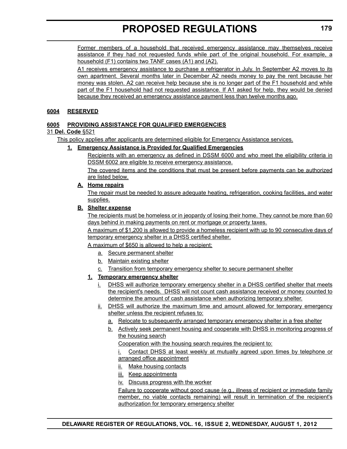Former members of a household that received emergency assistance may themselves receive assistance if they had not requested funds while part of the original household. For example, a household (F1) contains two TANF cases (A1) and (A2).

A1 receives emergency assistance to purchase a refrigerator in July. In September A2 moves to its own apartment. Several months later in December A2 needs money to pay the rent because her money was stolen. A2 can receive help because she is no longer part of the F1 household and while part of the F1 household had not requested assistance. If A1 asked for help, they would be denied because they received an emergency assistance payment less than twelve months ago.

#### **6004 RESERVED**

#### **6005 PROVIDING ASSISTANCE FOR QUALIFIED EMERGENCIES**

#### 31 **Del. Code** §521

This policy applies after applicants are determined eligible for Emergency Assistance services.

#### **1. Emergency Assistance is Provided for Qualified Emergencies**

Recipients with an emergency as defined in DSSM 6000 and who meet the eligibility criteria in DSSM 6002 are eligible to receive emergency assistance.

The covered items and the conditions that must be present before payments can be authorized are listed below.

#### **A. Home repairs**

The repair must be needed to assure adequate heating, refrigeration, cooking facilities, and water supplies.

#### **B. Shelter expense**

The recipients must be homeless or in jeopardy of losing their home. They cannot be more than 60 days behind in making payments on rent or mortgage or property taxes.

A maximum of \$1,200 is allowed to provide a homeless recipient with up to 90 consecutive days of temporary emergency shelter in a DHSS certified shelter.

A maximum of \$650 is allowed to help a recipient:

- a. Secure permanent shelter
- b. Maintain existing shelter
- c. Transition from temporary emergency shelter to secure permanent shelter

#### **1. Temporary emergency shelter**

- i. DHSS will authorize temporary emergency shelter in a DHSS certified shelter that meets the recipient's needs. DHSS will not count cash assistance received or money counted to determine the amount of cash assistance when authorizing temporary shelter.
- ii. DHSS will authorize the maximum time and amount allowed for temporary emergency shelter unless the recipient refuses to:
	- a. Relocate to subsequently arranged temporary emergency shelter in a free shelter
	- b. Actively seek permanent housing and cooperate with DHSS in monitoring progress of the housing search

Cooperation with the housing search requires the recipient to:

i. Contact DHSS at least weekly at mutually agreed upon times by telephone or arranged office appointment

- ii. Make housing contacts
- iii. Keep appointments

iv. Discuss progress with the worker

Failure to cooperate without good cause (e.g., illness of recipient or immediate family member, no viable contacts remaining) will result in termination of the recipient's authorization for temporary emergency shelter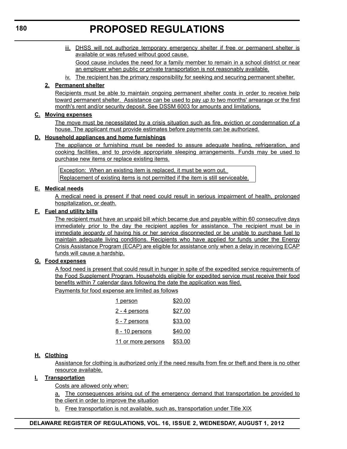iii. DHSS will not authorize temporary emergency shelter if free or permanent shelter is available or was refused without good cause.

Good cause includes the need for a family member to remain in a school district or near an employer when public or private transportation is not reasonably available.

iv. The recipient has the primary responsibility for seeking and securing permanent shelter.

#### **2. Permanent shelter**

Recipients must be able to maintain ongoing permanent shelter costs in order to receive help toward permanent shelter. Assistance can be used to pay *up to* two months' arrearage or the first month's rent and/or security deposit. See DSSM 6003 for amounts and limitations.

#### **C. Moving expenses**

The move must be necessitated by a crisis situation such as fire, eviction or condemnation of a house. The applicant must provide estimates before payments can be authorized.

#### **D. Household appliances and home furnishings**

The appliance or furnishing must be needed to assure adequate heating, refrigeration, and cooking facilities, and to provide appropriate sleeping arrangements. Funds may be used to purchase new items or replace existing items.

Exception: When an existing item is replaced, it must be worn out. Replacement of existing items is not permitted if the item is still serviceable.

#### **E. Medical needs**

A medical need is present if that need could result in serious impairment of health, prolonged hospitalization, or death.

#### **F. Fuel and utility bills**

The recipient must have an unpaid bill which became due and payable within 60 consecutive days immediately prior to the day the recipient applies for assistance. The recipient must be in immediate jeopardy of having his or her service disconnected or be unable to purchase fuel to maintain adequate living conditions. Recipients who have applied for funds under the Energy Crisis Assistance Program (ECAP) are eligible for assistance only when a delay in receiving ECAP funds will cause a hardship.

#### **G. Food expenses**

A food need is present that could result in hunger in spite of the expedited service requirements of the Food Supplement Program. Households eligible for expedited service must receive their food benefits within 7 calendar days following the date the application was filed.

Payments for food expense are limited as follows

| <u>1 person</u>       | \$20.00        |
|-----------------------|----------------|
| <u>2 - 4 persons</u>  | \$27.00        |
| <u>5 - 7 persons</u>  | \$33.00        |
| <u>8 - 10 persons</u> | <u>\$40.00</u> |
| 11 or more persons    | \$53.00        |

#### **H. Clothing**

Assistance for clothing is authorized only if the need results from fire or theft and there is no other resource available.

#### **I. Transportation**

Costs are allowed only when:

a. The consequences arising out of the emergency demand that transportation be provided to the client in order to improve the situation

b. Free transportation is not available, such as, transportation under Title XIX

#### **DELAWARE REGISTER OF REGULATIONS, VOL. 16, ISSUE 2, WEDNESDAY, AUGUST 1, 2012**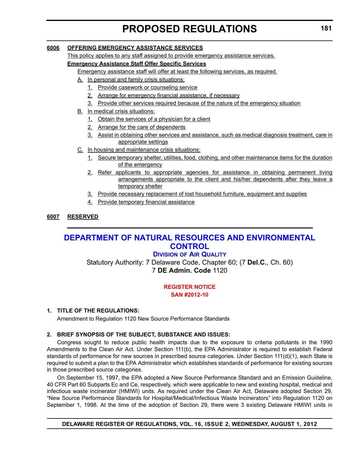#### <span id="page-33-0"></span>**6006 OFFERING EMERGENCY ASSISTANCE SERVICES**

This policy applies to any staff assigned to provide emergency assistance services.

#### **Emergency Assistance Staff Offer Specific Services**

Emergency assistance staff will offer at least the following services, as required.

- A. In personal and family crisis situations:
	- 1. Provide casework or counseling service
	- 2. Arrange for emergency financial assistance, if necessary
	- 3. Provide other services required because of the nature of the emergency situation
- B. In medical crisis situations:
	- 1. Obtain the services of a physician for a client
	- 2. Arrange for the care of dependents
	- 3. Assist in obtaining other services and assistance, such as medical diagnosis treatment, care in appropriate settings
- C. In housing and maintenance crisis situations:
	- 1. Secure temporary shelter, utilities, food, clothing, and other maintenance items for the duration of the emergency
	- 2. Refer applicants to appropriate agencies for assistance in obtaining permanent living arrangements appropriate to the client and his/her dependents after they leave a temporary shelter
	- 3. Provide necessary replacement of lost household furniture, equipment and supplies
	- 4. Provide temporary financial assistance

#### **6007 RESERVED**

### **[DEPARTMENT OF NATURAL RESOURCES AND ENVIRONMENTAL](http://www.dnrec.delaware.gov/whs/awm/AQM/Pages/Default.aspx)  CONTROL**

### **DIVISION OF AIR QUALITY**

Statutory Authority: 7 Delaware Code, Chapter 60; (7 **Del.C.**, Ch. 60) 7 **DE Admin. Code** 1120

#### **[REGISTER NOTICE](#page-3-0) SAN #2012-10**

#### **1. TITLE OF THE REGULATIONS:**

Amendment to Regulation 1120 New Source Performance Standards

#### **2. BRIEF SYNOPSIS OF THE SUBJECT, SUBSTANCE AND ISSUES:**

Congress sought to reduce public health impacts due to the exposure to criteria pollutants in the 1990 Amendments to the Clean Air Act. Under Section 111(b), the EPA Administrator is required to establish Federal standards of performance for new sources in prescribed source categories. Under Section 111(d)(1), each State is required to submit a plan to the EPA Administrator which establishes standards of performance for existing sources in those prescribed source categories.

On September 15, 1997, the EPA adopted a New Source Performance Standard and an Emission Guideline, 40 CFR Part 60 Subparts Ec and Ce, respectively, which were applicable to new and existing hospital, medical and infectious waste incinerator (HMIWI) units. As required under the Clean Air Act, Delaware adopted Section 29, "New Source Performance Standards for Hospital/Medical/Infectious Waste Incinerators" into Regulation 1120 on September 1, 1998. At the time of the adoption of Section 29, there were 3 existing Delaware HMIWI units in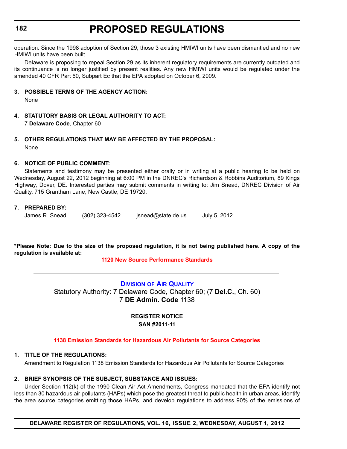#### <span id="page-34-0"></span>**182**

# **PROPOSED REGULATIONS**

operation. Since the 1998 adoption of Section 29, those 3 existing HMIWI units have been dismantled and no new HMIWI units have been built.

Delaware is proposing to repeal Section 29 as its inherent regulatory requirements are currently outdated and its continuance is no longer justified by present realities. Any new HMIWI units would be regulated under the amended 40 CFR Part 60, Subpart Ec that the EPA adopted on October 6, 2009.

#### **3. POSSIBLE TERMS OF THE AGENCY ACTION:**

None

- **4. STATUTORY BASIS OR LEGAL AUTHORITY TO ACT:** 7 **Delaware Code**, Chapter 60
- **5. OTHER REGULATIONS THAT MAY BE AFFECTED BY THE PROPOSAL:** None

#### **6. NOTICE OF PUBLIC COMMENT:**

Statements and testimony may be presented either orally or in writing at a public hearing to be held on Wednesday, August 22, 2012 beginning at 6:00 PM in the DNREC's Richardson & Robbins Auditorium, 89 Kings Highway, Dover, DE. Interested parties may submit comments in writing to: Jim Snead, DNREC Division of Air Quality, 715 Grantham Lane, New Castle, DE 19720.

#### **7. PREPARED BY:**

James R. Snead (302) 323-4542 jsnead@state.de.us July 5, 2012

**\*Please Note: Due to the size of the proposed regulation, it is not being published here. A copy of the regulation is available at:**

#### **[1120 New Source Performance Standards](http://regulations.delaware.gov/register/august2012/proposed/16 DE Reg 181 08-01-12.htm)**

**DIVISION [OF AIR QUALITY](http://www.dnrec.delaware.gov/whs/awm/AQM/Pages/Default.aspx)** Statutory Authority: 7 Delaware Code, Chapter 60; (7 **Del.C.**, Ch. 60) 7 **DE Admin. Code** 1138

#### **REGISTER NOTICE SAN #2011-11**

#### **[1138 Emission Standards for Hazardous Air Pollutants for Source Categories](#page-3-0)**

#### **1. TITLE OF THE REGULATIONS:**

Amendment to Regulation 1138 Emission Standards for Hazardous Air Pollutants for Source Categories

#### **2. BRIEF SYNOPSIS OF THE SUBJECT, SUBSTANCE AND ISSUES:**

Under Section 112(k) of the 1990 Clean Air Act Amendments, Congress mandated that the EPA identify not less than 30 hazardous air pollutants (HAPs) which pose the greatest threat to public health in urban areas, identify the area source categories emitting those HAPs, and develop regulations to address 90% of the emissions of

**DELAWARE REGISTER OF REGULATIONS, VOL. 16, ISSUE 2, WEDNESDAY, AUGUST 1, 2012**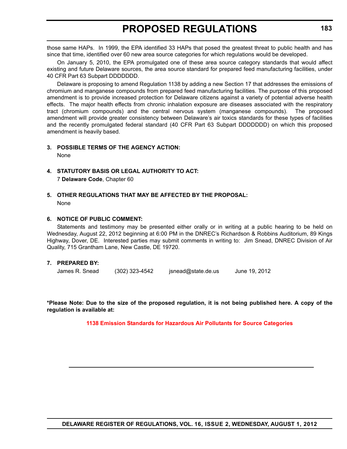those same HAPs. In 1999, the EPA identified 33 HAPs that posed the greatest threat to public health and has since that time, identified over 60 new area source categories for which regulations would be developed.

On January 5, 2010, the EPA promulgated one of these area source category standards that would affect existing and future Delaware sources, the area source standard for prepared feed manufacturing facilities, under 40 CFR Part 63 Subpart DDDDDDD.

Delaware is proposing to amend Regulation 1138 by adding a new Section 17 that addresses the emissions of chromium and manganese compounds from prepared feed manufacturing facilities. The purpose of this proposed amendment is to provide increased protection for Delaware citizens against a variety of potential adverse health effects. The major health effects from chronic inhalation exposure are diseases associated with the respiratory tract (chromium compounds) and the central nervous system (manganese compounds). The proposed amendment will provide greater consistency between Delaware's air toxics standards for these types of facilities and the recently promulgated federal standard (40 CFR Part 63 Subpart DDDDDDD) on which this proposed amendment is heavily based.

#### **3. POSSIBLE TERMS OF THE AGENCY ACTION:**

None

- **4. STATUTORY BASIS OR LEGAL AUTHORITY TO ACT:**  7 **Delaware Code**, Chapter 60
- **5. OTHER REGULATIONS THAT MAY BE AFFECTED BY THE PROPOSAL:** None

#### **6. NOTICE OF PUBLIC COMMENT:**

Statements and testimony may be presented either orally or in writing at a public hearing to be held on Wednesday, August 22, 2012 beginning at 6:00 PM in the DNREC's Richardson & Robbins Auditorium, 89 Kings Highway, Dover, DE. Interested parties may submit comments in writing to: Jim Snead, DNREC Division of Air Quality, 715 Grantham Lane, New Castle, DE 19720.

#### **7. PREPARED BY:**

James R. Snead (302) 323-4542 jsnead@state.de.us June 19, 2012

**\*Please Note: Due to the size of the proposed regulation, it is not being published here. A copy of the regulation is available at:**

**[1138 Emission Standards for Hazardous Air Pollutants for Source Categories](http://regulations.delaware.gov/register/august2012/proposed/16 DE Reg 182 08-01-12.htm)**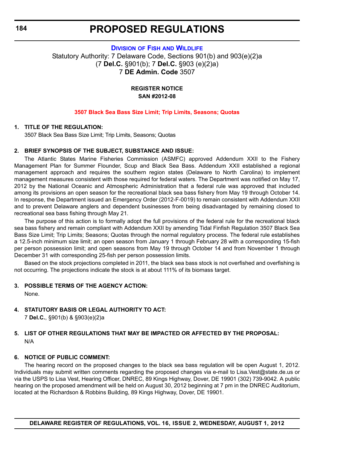**DIVISION OF FISH [AND WILDLIFE](http://www.dnrec.delaware.gov/fw/Pages/FWPortal.aspx)** Statutory Authority: 7 Delaware Code, Sections 901(b) and 903(e)(2)a (7 **Del.C.** §901(b); 7 **Del.C.** §903 (e)(2)a) 7 **DE Admin. Code** 3507

> **REGISTER NOTICE SAN #2012-08**

#### **[3507 Black Sea Bass Size Limit; Trip Limits, Seasons; Quotas](#page-3-0)**

#### **1. TITLE OF THE REGULATION:**

3507 Black Sea Bass Size Limit; Trip Limits, Seasons; Quotas

#### **2. BRIEF SYNOPSIS OF THE SUBJECT, SUBSTANCE AND ISSUE:**

The Atlantic States Marine Fisheries Commission (ASMFC) approved Addendum XXII to the Fishery Management Plan for Summer Flounder, Scup and Black Sea Bass. Addendum XXII established a regional management approach and requires the southern region states (Delaware to North Carolina) to implement management measures consistent with those required for federal waters. The Department was notified on May 17, 2012 by the National Oceanic and Atmospheric Administration that a federal rule was approved that included among its provisions an open season for the recreational black sea bass fishery from May 19 through October 14. In response, the Department issued an Emergency Order (2012-F-0019) to remain consistent with Addendum XXII and to prevent Delaware anglers and dependent businesses from being disadvantaged by remaining closed to recreational sea bass fishing through May 21.

The purpose of this action is to formally adopt the full provisions of the federal rule for the recreational black sea bass fishery and remain compliant with Addendum XXII by amending Tidal Finfish Regulation 3507 Black Sea Bass Size Limit; Trip Limits; Seasons; Quotas through the normal regulatory process. The federal rule establishes a 12.5-inch minimum size limit; an open season from January 1 through February 28 with a corresponding 15-fish per person possession limit; and open seasons from May 19 through October 14 and from November 1 through December 31 with corresponding 25-fish per person possession limits.

Based on the stock projections completed in 2011, the black sea bass stock is not overfished and overfishing is not occurring. The projections indicate the stock is at about 111% of its biomass target.

#### **3. POSSIBLE TERMS OF THE AGENCY ACTION:**

None.

### **4. STATUTORY BASIS OR LEGAL AUTHORITY TO ACT:**

7 **Del.C.**, §901(b) & §903(e)(2)a

### **5. LIST OF OTHER REGULATIONS THAT MAY BE IMPACTED OR AFFECTED BY THE PROPOSAL:** N/A

### **6. NOTICE OF PUBLIC COMMENT:**

The hearing record on the proposed changes to the black sea bass regulation will be open August 1, 2012. Individuals may submit written comments regarding the proposed changes via e-mail to Lisa.Vest@state.de.us or via the USPS to Lisa Vest, Hearing Officer, DNREC, 89 Kings Highway, Dover, DE 19901 (302) 739-9042. A public hearing on the proposed amendment will be held on August 30, 2012 beginning at 7 pm in the DNREC Auditorium, located at the Richardson & Robbins Building, 89 Kings Highway, Dover, DE 19901.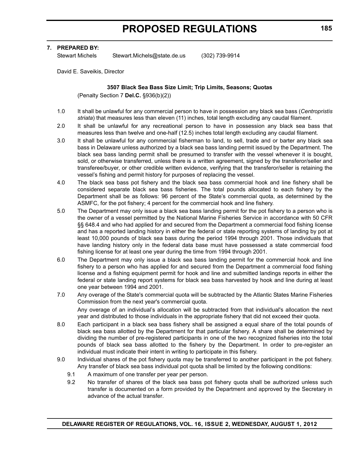#### **7. PREPARED BY:**

Stewart Michels Stewart.Michels@state.de.us (302) 739-9914

David E. Saveikis, Director

#### **3507 Black Sea Bass Size Limit; Trip Limits, Seasons; Quotas**

(Penalty Section 7 **Del.C.** §936(b)(2))

- 1.0 It shall be unlawful for any commercial person to have in possession any black sea bass (*Centropristis striata*) that measures less than eleven (11) inches, total length excluding any caudal filament.
- 2.0 It shall be unlawful for any recreational person to have in possession any black sea bass that measures less than twelve and one-half (12.5) inches total length excluding any caudal filament.
- 3.0 It shall be unlawful for any commercial fisherman to land, to sell, trade and or barter any black sea bass in Delaware unless authorized by a black sea bass landing permit issued by the Department. The black sea bass landing permit shall be presumed to transfer with the vessel whenever it is bought, sold, or otherwise transferred, unless there is a written agreement, signed by the transferor/seller and transferee/buyer, or other credible written evidence, verifying that the transferor/seller is retaining the vessel's fishing and permit history for purposes of replacing the vessel.
- 4.0 The black sea bass pot fishery and the black sea bass commercial hook and line fishery shall be considered separate black sea bass fisheries. The total pounds allocated to each fishery by the Department shall be as follows: 96 percent of the State's commercial quota, as determined by the ASMFC, for the pot fishery; 4 percent for the commercial hook and line fishery.
- 5.0 The Department may only issue a black sea bass landing permit for the pot fishery to a person who is the owner of a vessel permitted by the National Marine Fisheries Service in accordance with 50 CFR §§ 648.4 and who had applied for and secured from the Department a commercial food fishing license and has a reported landing history in either the federal or state reporting systems of landing by pot at least 10,000 pounds of black sea bass during the period 1994 through 2001. Those individuals that have landing history only in the federal data base must have possessed a state commercial food fishing license for at least one year during the time from 1994 through 2001.
- 6.0 The Department may only issue a black sea bass landing permit for the commercial hook and line fishery to a person who has applied for and secured from the Department a commercial food fishing license and a fishing equipment permit for hook and line and submitted landings reports in either the federal or state landing report systems for black sea bass harvested by hook and line during at least one year between 1994 and 2001.
- 7.0 Any overage of the State's commercial quota will be subtracted by the Atlantic States Marine Fisheries Commission from the next year's commercial quota.

Any overage of an individual's allocation will be subtracted from that individual's allocation the next year and distributed to those individuals in the appropriate fishery that did not exceed their quota.

- 8.0 Each participant in a black sea bass fishery shall be assigned a equal share of the total pounds of black sea bass allotted by the Department for that particular fishery. A share shall be determined by dividing the number of pre-registered participants in one of the two recognized fisheries into the total pounds of black sea bass allotted to the fishery by the Department. In order to pre-register an individual must indicate their intent in writing to participate in this fishery.
- 9.0 Individual shares of the pot fishery quota may be transferred to another participant in the pot fishery. Any transfer of black sea bass individual pot quota shall be limited by the following conditions:
	- 9.1 A maximum of one transfer per year per person.
	- 9.2 No transfer of shares of the black sea bass pot fishery quota shall be authorized unless such transfer is documented on a form provided by the Department and approved by the Secretary in advance of the actual transfer.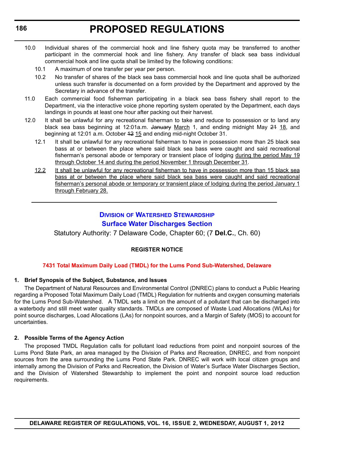- 10.0 Individual shares of the commercial hook and line fishery quota may be transferred to another participant in the commercial hook and line fishery. Any transfer of black sea bass individual commercial hook and line quota shall be limited by the following conditions:
	- 10.1 A maximum of one transfer per year per person.
	- 10.2 No transfer of shares of the black sea bass commercial hook and line quota shall be authorized unless such transfer is documented on a form provided by the Department and approved by the Secretary in advance of the transfer.
- 11.0 Each commercial food fisherman participating in a black sea bass fishery shall report to the Department, via the interactive voice phone reporting system operated by the Department, each days landings in pounds at least one hour after packing out their harvest.
- 12.0 It shall be unlawful for any recreational fisherman to take and reduce to possession or to land any black sea bass beginning at 12:01a.m. January March 1, and ending midnight May 24 18, and beginning at 12:01 a.m. October 42 15 and ending mid-night October 31.
	- 12.1 It shall be unlawful for any recreational fisherman to have in possession more than 25 black sea bass at or between the place where said black sea bass were caught and said recreational fisherman's personal abode or temporary or transient place of lodging during the period May 19 through October 14 and during the period November 1 through December 31.
	- 12.2 It shall be unlawful for any recreational fisherman to have in possession more than 15 black sea bass at or between the place where said black sea bass were caught and said recreational fisherman's personal abode or temporary or transient place of lodging during the period January 1 through February 28.

### **DIVISION OF WATERSHED STEWARDSHIP [Surface Water Discharges Section](http://www.dnrec.delaware.gov/swc/Pages/default.aspx)**

Statutory Authority: 7 Delaware Code, Chapter 60; (7 **Del.C.**, Ch. 60)

### **REGISTER NOTICE**

#### **[7431 Total Maximum Daily Load \(TMDL\) for the Lums Pond Sub-Watershed, Delaware](#page-3-0)**

#### **1. Brief Synopsis of the Subject, Substance, and Issues**

The Department of Natural Resources and Environmental Control (DNREC) plans to conduct a Public Hearing regarding a Proposed Total Maximum Daily Load (TMDL) Regulation for nutrients and oxygen consuming materials for the Lums Pond Sub-Watershed. A TMDL sets a limit on the amount of a pollutant that can be discharged into a waterbody and still meet water quality standards. TMDLs are composed of Waste Load Allocations (WLAs) for point source discharges, Load Allocations (LAs) for nonpoint sources, and a Margin of Safety (MOS) to account for uncertainties.

#### **2. Possible Terms of the Agency Action**

The proposed TMDL Regulation calls for pollutant load reductions from point and nonpoint sources of the Lums Pond State Park, an area managed by the Division of Parks and Recreation, DNREC, and from nonpoint sources from the area surrounding the Lums Pond State Park. DNREC will work with local citizen groups and internally among the Division of Parks and Recreation, the Division of Water's Surface Water Discharges Section, and the Division of Watershed Stewardship to implement the point and nonpoint source load reduction requirements.

**DELAWARE REGISTER OF REGULATIONS, VOL. 16, ISSUE 2, WEDNESDAY, AUGUST 1, 2012**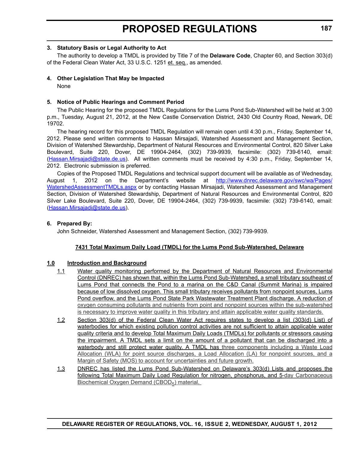#### **3. Statutory Basis or Legal Authority to Act**

The authority to develop a TMDL is provided by Title 7 of the **Delaware Code**, Chapter 60, and Section 303(d) of the Federal Clean Water Act, 33 U.S.C. 1251 et. seq., as amended.

#### **4. Other Legislation That May be Impacted**

None

#### **5. Notice of Public Hearings and Comment Period**

The Public Hearing for the proposed TMDL Regulations for the Lums Pond Sub-Watershed will be held at 3:00 p.m., Tuesday, August 21, 2012, at the New Castle Conservation District, 2430 Old Country Road, Newark, DE 19702.

The hearing record for this proposed TMDL Regulation will remain open until 4:30 p.m., Friday, September 14, 2012. Please send written comments to Hassan Mirsajadi, Watershed Assessment and Management Section, Division of Watershed Stewardship, Department of Natural Resources and Environmental Control, 820 Silver Lake Boulevard, Suite 220, Dover, DE 19904-2464, (302) 739-9939, facsimile: (302) 739-6140, email: (Hassan.Mirsajadi@state.de.us). All written comments must be received by 4:30 p.m., Friday, September 14, 2012. Electronic submission is preferred.

Copies of the Proposed TMDL Regulations and technical support document will be available as of Wednesday, August 1, 2012 on the Department's website at [http://www.dnrec.delaware.gov/swc/wa/Pages/](http://www.dnrec.delaware.gov/swc/wa/Pages/WatershedAssessmentTMDLs.aspx) [WatershedAssessmentTMDLs.aspx](http://www.dnrec.delaware.gov/swc/wa/Pages/WatershedAssessmentTMDLs.aspx) or by contacting Hassan Mirsajadi, Watershed Assessment and Management Section, Division of Watershed Stewardship, Department of Natural Resources and Environmental Control, 820 Silver Lake Boulevard, Suite 220, Dover, DE 19904-2464, (302) 739-9939, facsimile: (302) 739-6140, email: (Hassan.Mirsajadi@state.de.us).

#### **6. Prepared By:**

John Schneider, Watershed Assessment and Management Section, (302) 739-9939.

#### **7431 Total Maximum Daily Load (TMDL) for the Lums Pond Sub-Watershed, Delaware**

#### **1.0 Introduction and Background**

- 1.1 Water quality monitoring performed by the Department of Natural Resources and Environmental Control (DNREC) has shown that, within the Lums Pond Sub-Watershed, a small tributary southeast of Lums Pond that connects the Pond to a marina on the C&D Canal (Summit Marina) is impaired because of low dissolved oxygen. This small tributary receives pollutants from nonpoint sources, Lums Pond overflow, and the Lums Pond State Park Wastewater Treatment Plant discharge. A reduction of oxygen consuming pollutants and nutrients from point and nonpoint sources within the sub-watershed is necessary to improve water quality in this tributary and attain applicable water quality standards.
- 1.2 Section 303(d) of the Federal Clean Water Act requires states to develop a list (303(d) List) of waterbodies for which existing pollution control activities are not sufficient to attain applicable water quality criteria and to develop Total Maximum Daily Loads (TMDLs) for pollutants or stressors causing the impairment. A TMDL sets a limit on the amount of a pollutant that can be discharged into a waterbody and still protect water quality. A TMDL has three components including a Waste Load Allocation (WLA) for point source discharges, a Load Allocation (LA) for nonpoint sources, and a Margin of Safety (MOS) to account for uncertainties and future growth.
- 1.3 DNREC has listed the Lums Pond Sub-Watershed on Delaware's 303(d) Lists and proposes the following Total Maximum Daily Load Regulation for nitrogen, phosphorus, and 5-day Carbonaceous Biochemical Oxygen Demand (CBOD<sub>5</sub>) material.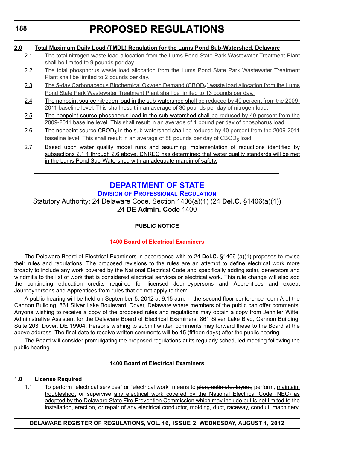#### **2.0 Total Maximum Daily Load (TMDL) Regulation for the Lums Pond Sub-Watershed, Delaware**

- 2.1 The total nitrogen waste load allocation from the Lums Pond State Park Wastewater Treatment Plant shall be limited to 9 pounds per day.
- 2.2 The total phosphorus waste load allocation from the Lums Pond State Park Wastewater Treatment Plant shall be limited to 2 pounds per day.
- 2.3 The 5-day Carbonaceous Biochemical Oxygen Demand (CBOD<sub>5</sub>) waste load allocation from the Lums Pond State Park Wastewater Treatment Plant shall be limited to 13 pounds per day.
- 2.4 The nonpoint source nitrogen load in the sub-watershed shall be reduced by 40 percent from the 2009-2011 baseline level. This shall result in an average of 30 pounds per day of nitrogen load.
- 2.5 The nonpoint source phosphorus load in the sub-watershed shall be reduced by 40 percent from the 2009-2011 baseline level. This shall result in an average of 1 pound per day of phosphorus load.
- 2.6 The nonpoint source CBOD<sub>5</sub> in the sub-watershed shall be reduced by 40 percent from the 2009-2011 baseline level. This shall result in an average of 88 pounds per day of CBOD<sub>5</sub> load.
- 2.7 Based upon water quality model runs and assuming implementation of reductions identified by subsections 2.1 1 through 2.6 above, DNREC has determined that water quality standards will be met in the Lums Pond Sub-Watershed with an adequate margin of safety.

## **[DEPARTMENT OF STATE](http://dpr.delaware.gov/boards/electrician/index.shtml)**

#### **DIVISION OF PROFESSIONAL REGULATION**

Statutory Authority: 24 Delaware Code, Section 1406(a)(1) (24 **Del.C.** §1406(a)(1)) 24 **DE Admin. Code** 1400

### **PUBLIC NOTICE**

### **[1400 Board of Electrical Examiners](#page-3-0)**

The Delaware Board of Electrical Examiners in accordance with to 24 **Del.C.** §1406 (a)(1) proposes to revise their rules and regulations. The proposed revisions to the rules are an attempt to define electrical work more broadly to include any work covered by the National Electrical Code and specifically adding solar, generators and windmills to the list of work that is considered electrical services or electrical work. This rule change will also add the continuing education credits required for licensed Journeypersons and Apprentices and except Journeypersons and Apprentices from rules that do not apply to them.

A public hearing will be held on September 5, 2012 at 9:15 a.m. in the second floor conference room A of the Cannon Building, 861 Silver Lake Boulevard, Dover, Delaware where members of the public can offer comments. Anyone wishing to receive a copy of the proposed rules and regulations may obtain a copy from Jennifer Witte, Administrative Assistant for the Delaware Board of Electrical Examiners, 861 Silver Lake Blvd, Cannon Building, Suite 203, Dover, DE 19904. Persons wishing to submit written comments may forward these to the Board at the above address. The final date to receive written comments will be 15 (fifteen days) after the public hearing.

The Board will consider promulgating the proposed regulations at its regularly scheduled meeting following the public hearing.

#### **1400 Board of Electrical Examiners**

#### **1.0 License Required**

1.1 To perform "electrical services" or "electrical work" means to plan, estimate, layout, perform, maintain, troubleshoot or supervise any electrical work covered by the National Electrical Code (NEC) as adopted by the Delaware State Fire Prevention Commission which may include but is not limited to the installation, erection, or repair of any electrical conductor, molding, duct, raceway, conduit, machinery,

#### **DELAWARE REGISTER OF REGULATIONS, VOL. 16, ISSUE 2, WEDNESDAY, AUGUST 1, 2012**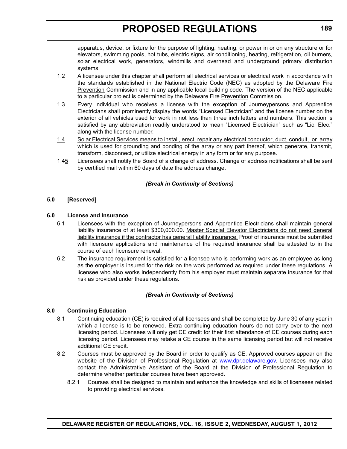apparatus, device, or fixture for the purpose of lighting, heating, or power in or on any structure or for elevators, swimming pools, hot tubs, electric signs, air conditioning, heating, refrigeration, oil burners, solar electrical work, generators, windmills and overhead and underground primary distribution systems.

- 1.2 A licensee under this chapter shall perform all electrical services or electrical work in accordance with the standards established in the National Electric Code (NEC) as adopted by the Delaware Fire Prevention Commission and in any applicable local building code. The version of the NEC applicable to a particular project is determined by the Delaware Fire Prevention Commission.
- 1.3 Every individual who receives a license with the exception of Journeypersons and Apprentice Electricians shall prominently display the words "Licensed Electrician" and the license number on the exterior of all vehicles used for work in not less than three inch letters and numbers. This section is satisfied by any abbreviation readily understood to mean "Licensed Electrician" such as "Lic. Elec." along with the license number.
- 1.4 Solar Electrical Services means to install, erect, repair any electrical conductor, duct, conduit, or array which is used for grounding and bonding of the array or any part thereof, which generate, transmit, transform, disconnect, or utilize electrical energy in any form or for any purpose.
- 1.45 Licensees shall notify the Board of a change of address. Change of address notifications shall be sent by certified mail within 60 days of date the address change.

#### *(Break in Continuity of Sections)*

#### **5.0 [Reserved]**

#### **6.0 License and Insurance**

- 6.1 Licensees with the exception of Journeypersons and Apprentice Electricians shall maintain general liability insurance of at least \$300,000.00. Master Special Elevator Electricians do not need general liability insurance if the contractor has general liability insurance. Proof of insurance must be submitted with licensure applications and maintenance of the required insurance shall be attested to in the course of each licensure renewal.
- 6.2 The insurance requirement is satisfied for a licensee who is performing work as an employee as long as the employer is insured for the risk on the work performed as required under these regulations. A licensee who also works independently from his employer must maintain separate insurance for that risk as provided under these regulations.

#### *(Break in Continuity of Sections)*

#### **8.0 Continuing Education**

- 8.1 Continuing education (CE) is required of all licensees and shall be completed by June 30 of any year in which a license is to be renewed. Extra continuing education hours do not carry over to the next licensing period. Licensees will only get CE credit for their first attendance of CE courses during each licensing period. Licensees may retake a CE course in the same licensing period but will not receive additional CE credit.
- 8.2 Courses must be approved by the Board in order to qualify as CE. Approved courses appear on the website of the Division of Professional Regulation at www.dpr.delaware.gov. Licensees may also contact the Administrative Assistant of the Board at the Division of Professional Regulation to determine whether particular courses have been approved.
	- 8.2.1 Courses shall be designed to maintain and enhance the knowledge and skills of licensees related to providing electrical services.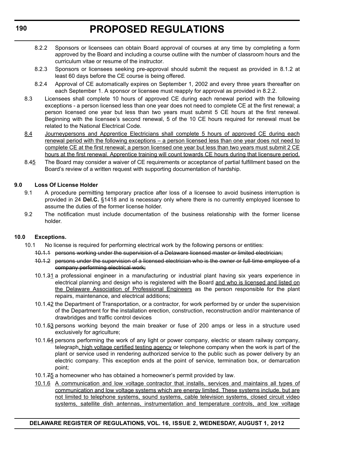- 8.2.2 Sponsors or licensees can obtain Board approval of courses at any time by completing a form approved by the Board and including a course outline with the number of classroom hours and the curriculum vitae or resume of the instructor.
- 8.2.3 Sponsors or licensees seeking pre-approval should submit the request as provided in 8.1.2 at least 60 days before the CE course is being offered.
- 8.2.4 Approval of CE automatically expires on September 1, 2002 and every three years thereafter on each September 1. A sponsor or licensee must reapply for approval as provided in 8.2.2.
- 8.3 Licensees shall complete 10 hours of approved CE during each renewal period with the following exceptions - a person licensed less than one year does not need to complete CE at the first renewal; a person licensed one year but less than two years must submit 5 CE hours at the first renewal. Beginning with the licensee's second renewal, 5 of the 10 CE hours required for renewal must be related to the National Electrical Code.
- 8.4 Journeypersons and Apprentice Electricians shall complete 5 hours of approved CE during each renewal period with the following exceptions – a person licensed less than one year does not need to complete CE at the first renewal; a person licensed one year but less than two years must submit 2 CE hours at the first renewal. Apprentice training will count towards CE hours during that licensure period.
- 8.45 The Board may consider a waiver of CE requirements or acceptance of partial fulfillment based on the Board's review of a written request with supporting documentation of hardship.

#### **9.0 Loss Of License Holder**

- 9.1 A procedure permitting temporary practice after loss of a licensee to avoid business interruption is provided in 24 **Del.C.** §1418 and is necessary only where there is no currently employed licensee to assume the duties of the former license holder.
- 9.2 The notification must include documentation of the business relationship with the former license holder.

#### **10.0 Exceptions.**

- 10.1 No license is required for performing electrical work by the following persons or entities:
	- 10.1.1 persons working under the supervision of a Delaware licensed master or limited electrician;
	- 10.1.2 persons under the supervision of a licensed electrician who is the owner or full-time employee of a company performing electrical work;
	- 10.1.31 a professional engineer in a manufacturing or industrial plant having six years experience in electrical planning and design who is registered with the Board and who is licensed and listed on the Delaware Association of Professional Engineers as the person responsible for the plant repairs, maintenance, and electrical additions;
	- 10.1.42 the Department of Transportation, or a contractor, for work performed by or under the supervision of the Department for the installation erection, construction, reconstruction and/or maintenance of drawbridges and traffic control devices
	- 10.1.53 persons working beyond the main breaker or fuse of 200 amps or less in a structure used exclusively for agriculture;
	- 10.1.64 persons performing the work of any light or power company, electric or steam railway company, telegraph, high voltage certified testing agency or telephone company when the work is part of the plant or service used in rendering authorized service to the public such as power delivery by an electric company. This exception ends at the point of service, termination box, or demarcation point;
	- 10.1.75 a homeowner who has obtained a homeowner's permit provided by law.
	- 10.1.6 A communication and low voltage contractor that installs, services and maintains all types of communication and low voltage systems which are energy limited. These systems include, but are not limited to telephone systems, sound systems, cable television systems, closed circuit video systems, satellite dish antennas, instrumentation and temperature controls, and low voltage

### **DELAWARE REGISTER OF REGULATIONS, VOL. 16, ISSUE 2, WEDNESDAY, AUGUST 1, 2012**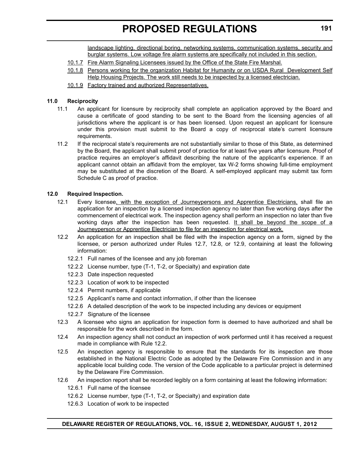landscape lighting, directional boring, networking systems, communication systems, security and burglar systems. Low voltage fire alarm systems are specifically not included in this section.

- 10.1.7 Fire Alarm Signaling Licensees issued by the Office of the State Fire Marshal.
- 10.1.8 Persons working for the organization Habitat for Humanity or on USDA Rural Development Self Help Housing Projects. The work still needs to be inspected by a licensed electrician.
- 10.1.9 Factory trained and authorized Representatives.

#### **11.0 Reciprocity**

- 11.1 An applicant for licensure by reciprocity shall complete an application approved by the Board and cause a certificate of good standing to be sent to the Board from the licensing agencies of all jurisdictions where the applicant is or has been licensed. Upon request an applicant for licensure under this provision must submit to the Board a copy of reciprocal state's current licensure requirements.
- 11.2 If the reciprocal state's requirements are not substantially similar to those of this State, as determined by the Board, the applicant shall submit proof of practice for at least five years after licensure. Proof of practice requires an employer's affidavit describing the nature of the applicant's experience. If an applicant cannot obtain an affidavit from the employer, tax W-2 forms showing full-time employment may be substituted at the discretion of the Board. A self-employed applicant may submit tax form Schedule C as proof of practice.

#### **12.0 Required Inspection.**

- 12.1 Every licensee, with the exception of Journeypersons and Apprentice Electricians, shall file an application for an inspection by a licensed inspection agency no later than five working days after the commencement of electrical work. The inspection agency shall perform an inspection no later than five working days after the inspection has been requested. It shall be beyond the scope of a Journeyperson or Apprentice Electrician to file for an inspection for electrical work.
- 12.2 An application for an inspection shall be filed with the inspection agency on a form, signed by the licensee, or person authorized under Rules 12.7, 12.8, or 12.9, containing at least the following information:
	- 12.2.1 Full names of the licensee and any job foreman
	- 12.2.2 License number, type (T-1, T-2, or Specialty) and expiration date
	- 12.2.3 Date inspection requested
	- 12.2.3 Location of work to be inspected
	- 12.2.4 Permit numbers, if applicable
	- 12.2.5 Applicant's name and contact information, if other than the licensee
	- 12.2.6 A detailed description of the work to be inspected including any devices or equipment
	- 12.2.7 Signature of the licensee
- 12.3 A licensee who signs an application for inspection form is deemed to have authorized and shall be responsible for the work described in the form.
- 12.4 An inspection agency shall not conduct an inspection of work performed until it has received a request made in compliance with Rule 12.2.
- 12.5 An inspection agency is responsible to ensure that the standards for its inspection are those established in the National Electric Code as adopted by the Delaware Fire Commission and in any applicable local building code. The version of the Code applicable to a particular project is determined by the Delaware Fire Commission.
- 12.6 An inspection report shall be recorded legibly on a form containing at least the following information:
	- 12.6.1 Full name of the licensee
	- 12.6.2 License number, type (T-1, T-2, or Specialty) and expiration date
	- 12.6.3 Location of work to be inspected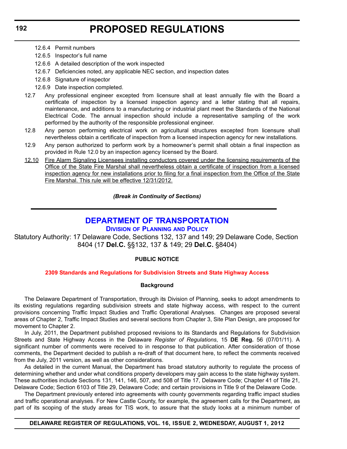- 12.6.4 Permit numbers
- 12.6.5 Inspector's full name
- 12.6.6 A detailed description of the work inspected
- 12.6.7 Deficiencies noted, any applicable NEC section, and inspection dates
- 12.6.8 Signature of inspector
- 12.6.9 Date inspection completed.
- 12.7 Any professional engineer excepted from licensure shall at least annually file with the Board a certificate of inspection by a licensed inspection agency and a letter stating that all repairs, maintenance, and additions to a manufacturing or industrial plant meet the Standards of the National Electrical Code. The annual inspection should include a representative sampling of the work performed by the authority of the responsible professional engineer.
- 12.8 Any person performing electrical work on agricultural structures excepted from licensure shall nevertheless obtain a certificate of inspection from a licensed inspection agency for new installations.
- 12.9 Any person authorized to perform work by a homeowner's permit shall obtain a final inspection as provided in Rule 12.0 by an inspection agency licensed by the Board.
- 12.10 Fire Alarm Signaling Licensees installing conductors covered under the licensing requirements of the Office of the State Fire Marshal shall nevertheless obtain a certificate of inspection from a licensed inspection agency for new installations prior to filing for a final inspection from the Office of the State Fire Marshal. This rule will be effective 12/31/2012.

*(Break in Continuity of Sections)*

### **[DEPARTMENT OF TRANSPORTATION](http://www.deldot.gov/index.shtml)**

#### **DIVISION OF PLANNING AND POLICY**

Statutory Authority: 17 Delaware Code, Sections 132, 137 and 149; 29 Delaware Code, Section 8404 (17 **Del.C.** §§132, 137 & 149; 29 **Del.C.** §8404)

#### **PUBLIC NOTICE**

#### **[2309 Standards and Regulations for Subdivision Streets and State Highway Access](#page-3-0)**

#### **Background**

The Delaware Department of Transportation, through its Division of Planning, seeks to adopt amendments to its existing regulations regarding subdivision streets and state highway access, with respect to the current provisions concerning Traffic Impact Studies and Traffic Operational Analyses. Changes are proposed several areas of Chapter 2, Traffic Impact Studies and several sections from Chapter 3, Site Plan Design, are proposed for movement to Chapter 2.

In July, 2011, the Department published proposed revisions to its Standards and Regulations for Subdivision Streets and State Highway Access in the Delaware *Register of Regulations*, 15 **DE Reg.** 56 (07/01/11). A significant number of comments were received to in response to that publication. After consideration of those comments, the Department decided to publish a re-draft of that document here, to reflect the comments received from the July, 2011 version, as well as other considerations.

As detailed in the current Manual, the Department has broad statutory authority to regulate the process of determining whether and under what conditions property developers may gain access to the state highway system. These authorities include Sections 131, 141, 146, 507, and 508 of Title 17, Delaware Code; Chapter 41 of Title 21, Delaware Code; Section 6103 of Title 29, Delaware Code; and certain provisions in Title 9 of the Delaware Code.

The Department previously entered into agreements with county governments regarding traffic impact studies and traffic operational analyses. For New Castle County, for example, the agreement calls for the Department, as part of its scoping of the study areas for TIS work, to assure that the study looks at a minimum number of

#### **DELAWARE REGISTER OF REGULATIONS, VOL. 16, ISSUE 2, WEDNESDAY, AUGUST 1, 2012**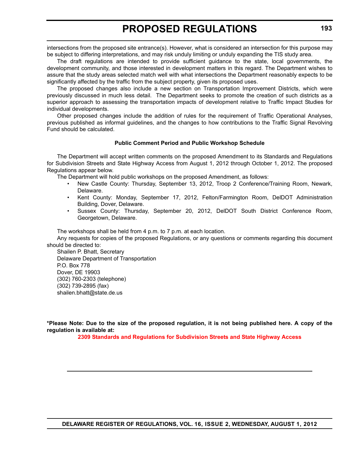intersections from the proposed site entrance(s). However, what is considered an intersection for this purpose may be subject to differing interpretations, and may risk unduly limiting or unduly expanding the TIS study area.

The draft regulations are intended to provide sufficient guidance to the state, local governments, the development community, and those interested in development matters in this regard. The Department wishes to assure that the study areas selected match well with what intersections the Department reasonably expects to be significantly affected by the traffic from the subject property, given its proposed uses.

The proposed changes also include a new section on Transportation Improvement Districts, which were previously discussed in much less detail. The Department seeks to promote the creation of such districts as a superior approach to assessing the transportation impacts of development relative to Traffic Impact Studies for individual developments.

Other proposed changes include the addition of rules for the requirement of Traffic Operational Analyses, previous published as informal guidelines, and the changes to how contributions to the Traffic Signal Revolving Fund should be calculated.

#### **Public Comment Period and Public Workshop Schedule**

The Department will accept written comments on the proposed Amendment to its Standards and Regulations for Subdivision Streets and State Highway Access from August 1, 2012 through October 1, 2012. The proposed Regulations appear below.

The Department will hold public workshops on the proposed Amendment, as follows:

- New Castle County: Thursday, September 13, 2012, Troop 2 Conference/Training Room, Newark, Delaware.
- Kent County: Monday, September 17, 2012, Felton/Farmington Room, DelDOT Administration Building, Dover, Delaware.
- Sussex County: Thursday, September 20, 2012, DelDOT South District Conference Room, Georgetown, Delaware.

The workshops shall be held from 4 p.m. to 7 p.m. at each location.

Any requests for copies of the proposed Regulations, or any questions or comments regarding this document should be directed to:

Shailen P. Bhatt, Secretary Delaware Department of Transportation P.O. Box 778 Dover, DE 19903 (302) 760-2303 (telephone) (302) 739-2895 (fax) shailen.bhatt@state.de.us

**\*Please Note: Due to the size of the proposed regulation, it is not being published here. A copy of the regulation is available at:**

**[2309 Standards and Regulations for Subdivision Streets and State Highway Access](http://regulations.delaware.gov/register/august2012/proposed/16 DE Reg 192 08-01-12.htm)**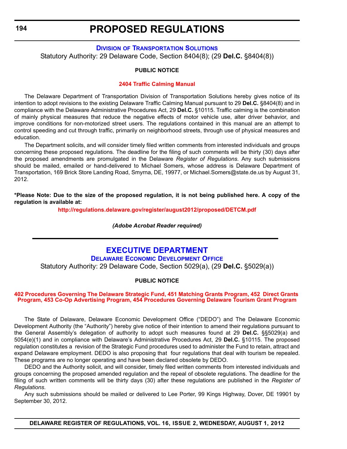## **DIVISION [OF TRANSPORTATION SOLUTIONS](http://www.deldot.gov/index.shtml)**

Statutory Authority: 29 Delaware Code, Section 8404(8); (29 **Del.C.** §8404(8))

#### **PUBLIC NOTICE**

#### **[2404 Traffic Calming Manual](#page-3-0)**

The Delaware Department of Transportation Division of Transportation Solutions hereby gives notice of its intention to adopt revisions to the existing Delaware Traffic Calming Manual pursuant to 29 **Del.C.** §8404(8) and in compliance with the Delaware Administrative Procedures Act, 29 **Del.C.** §10115. Traffic calming is the combination of mainly physical measures that reduce the negative effects of motor vehicle use, alter driver behavior, and improve conditions for non-motorized street users. The regulations contained in this manual are an attempt to control speeding and cut through traffic, primarily on neighborhood streets, through use of physical measures and education.

The Department solicits, and will consider timely filed written comments from interested individuals and groups concerning these proposed regulations. The deadline for the filing of such comments will be thirty (30) days after the proposed amendments are promulgated in the Delaware *Register of Regulations*. Any such submissions should be mailed, emailed or hand-delivered to Michael Somers, whose address is Delaware Department of Transportation, 169 Brick Store Landing Road, Smyrna, DE, 19977, or Michael.Somers@state.de.us by August 31, 2012.

**\*Please Note: Due to the size of the proposed regulation, it is not being published here. A copy of the regulation is available at:**

**<http://regulations.delaware.gov/register/august2012/proposed/DETCM.pdf>**

*(Adobe Acrobat Reader required)*

## **EXECUTIVE DEPARTMENT**

**[DELAWARE ECONOMIC DEVELOPMENT OFFICE](http://dedo.delaware.gov/)** Statutory Authority: 29 Delaware Code, Section 5029(a), (29 **Del.C.** §5029(a))

#### **PUBLIC NOTICE**

#### **[402 Procedures Governing The Delaware Strategic Fund, 451 Matching Grants Program, 452 Direct Grants](#page-3-0)  Program, 453 Co-Op Advertising Program, 454 Procedures Governing Delaware Tourism Grant Program**

The State of Delaware, Delaware Economic Development Office ("DEDO") and The Delaware Economic Development Authority (the "Authority") hereby give notice of their intention to amend their regulations pursuant to the General Assembly's delegation of authority to adopt such measures found at 29 **Del.C.** §§5029(a) and 5054(e)(1) and in compliance with Delaware's Administrative Procedures Act, 29 **Del.C.** §10115. The proposed regulation constitutes a revision of the Strategic Fund procedures used to administer the Fund to retain, attract and expand Delaware employment. DEDO is also proposing that four regulations that deal with tourism be repealed. These programs are no longer operating and have been declared obsolete by DEDO.

DEDO and the Authority solicit, and will consider, timely filed written comments from interested individuals and groups concerning the proposed amended regulation and the repeal of obsolete regulations. The deadline for the filing of such written comments will be thirty days (30) after these regulations are published in the *Register of Regulations*.

Any such submissions should be mailed or delivered to Lee Porter, 99 Kings Highway, Dover, DE 19901 by September 30, 2012.

**DELAWARE REGISTER OF REGULATIONS, VOL. 16, ISSUE 2, WEDNESDAY, AUGUST 1, 2012**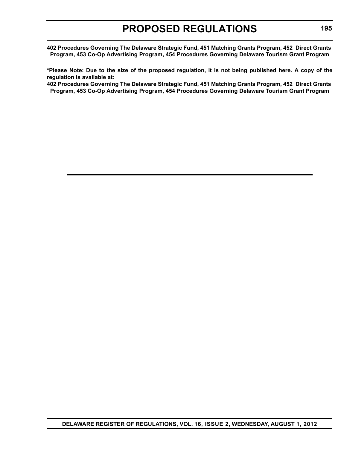**402 Procedures Governing The Delaware Strategic Fund, 451 Matching Grants Program, 452 Direct Grants Program, 453 Co-Op Advertising Program, 454 Procedures Governing Delaware Tourism Grant Program**

**\*Please Note: Due to the size of the proposed regulation, it is not being published here. A copy of the regulation is available at:**

**[402 Procedures Governing The Delaware Strategic Fund, 451 Matching Grants Program, 452 Direct Grants](http://regulations.delaware.gov/register/august2012/proposed/16 DE Reg 194 08-01-12.htm)  Program, 453 Co-Op Advertising Program, 454 Procedures Governing Delaware Tourism Grant Program**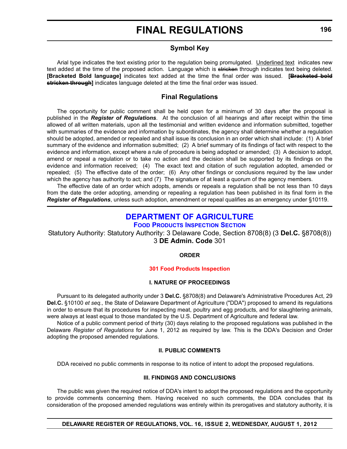### **Symbol Key**

Arial type indicates the text existing prior to the regulation being promulgated. Underlined text indicates new text added at the time of the proposed action. Language which is stricken through indicates text being deleted. **[Bracketed Bold language]** indicates text added at the time the final order was issued. **[Bracketed bold stricken through]** indicates language deleted at the time the final order was issued.

#### **Final Regulations**

The opportunity for public comment shall be held open for a minimum of 30 days after the proposal is published in the *Register of Regulations*. At the conclusion of all hearings and after receipt within the time allowed of all written materials, upon all the testimonial and written evidence and information submitted, together with summaries of the evidence and information by subordinates, the agency shall determine whether a regulation should be adopted, amended or repealed and shall issue its conclusion in an order which shall include: (1) A brief summary of the evidence and information submitted; (2) A brief summary of its findings of fact with respect to the evidence and information, except where a rule of procedure is being adopted or amended; (3) A decision to adopt, amend or repeal a regulation or to take no action and the decision shall be supported by its findings on the evidence and information received; (4) The exact text and citation of such regulation adopted, amended or repealed; (5) The effective date of the order; (6) Any other findings or conclusions required by the law under which the agency has authority to act; and (7) The signature of at least a quorum of the agency members.

The effective date of an order which adopts, amends or repeals a regulation shall be not less than 10 days from the date the order adopting, amending or repealing a regulation has been published in its final form in the *Register of Regulations*, unless such adoption, amendment or repeal qualifies as an emergency under §10119.

## **[DEPARTMENT OF AGRICULTURE](http://dda.delaware.gov/foodprod/index.shtml)**

#### **FOOD PRODUCTS INSPECTION SECTION**

Statutory Authority: Statutory Authority: 3 Delaware Code, Section 8708(8) (3 **Del.C.** §8708(8)) 3 **DE Admin. Code** 301

#### **ORDER**

#### **[301 Food Products Inspection](#page-4-0)**

#### **I. NATURE OF PROCEEDINGS**

Pursuant to its delegated authority under 3 **Del.C.** §8708(8) and Delaware's Administrative Procedures Act, 29 **Del.C.** §10100 *et seq.,* the State of Delaware Department of Agriculture ("DDA") proposed to amend its regulations in order to ensure that its procedures for inspecting meat, poultry and egg products, and for slaughtering animals, were always at least equal to those mandated by the U.S. Department of Agriculture and federal law.

Notice of a public comment period of thirty (30) days relating to the proposed regulations was published in the Delaware *Register of Regulations* for June 1, 2012 as required by law. This is the DDA's Decision and Order adopting the proposed amended regulations.

#### **II. PUBLIC COMMENTS**

DDA received no public comments in response to its notice of intent to adopt the proposed regulations.

#### **III. FINDINGS AND CONCLUSIONS**

The public was given the required notice of DDA's intent to adopt the proposed regulations and the opportunity to provide comments concerning them. Having received no such comments, the DDA concludes that its consideration of the proposed amended regulations was entirely within its prerogatives and statutory authority, it is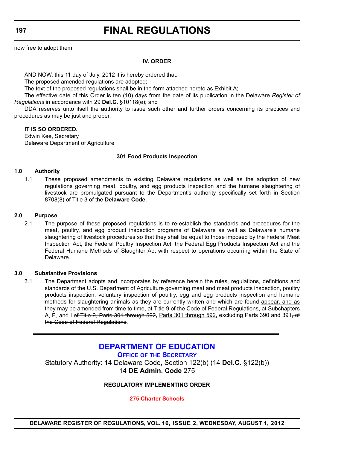**197**

# **FINAL REGULATIONS**

now free to adopt them.

#### **IV. ORDER**

AND NOW, this 11 day of July, 2012 it is hereby ordered that:

The proposed amended regulations are adopted;

The text of the proposed regulations shall be in the form attached hereto as Exhibit A;

The effective date of this Order is ten (10) days from the date of its publication in the Delaware *Register of Regulations* in accordance with 29 **Del.C.** §10118(e); and

DDA reserves unto itself the authority to issue such other and further orders concerning its practices and procedures as may be just and proper.

#### **IT IS SO ORDERED.**

Edwin Kee, Secretary Delaware Department of Agriculture

#### **301 Food Products Inspection**

#### **1.0 Authority**

1.1 These proposed amendments to existing Delaware regulations as well as the adoption of new regulations governing meat, poultry, and egg products inspection and the humane slaughtering of livestock are promulgated pursuant to the Department's authority specifically set forth in Section 8708(8) of Title 3 of the **Delaware Code**.

#### **2.0 Purpose**

2.1 The purpose of these proposed regulations is to re-establish the standards and procedures for the meat, poultry, and egg product inspection programs of Delaware as well as Delaware's humane slaughtering of livestock procedures so that they shall be equal to those imposed by the Federal Meat Inspection Act, the Federal Poultry Inspection Act, the Federal Egg Products Inspection Act and the Federal Humane Methods of Slaughter Act with respect to operations occurring within the State of Delaware.

#### **3.0 Substantive Provisions**

3.1 The Department adopts and incorporates by reference herein the rules, regulations, definitions and standards of the U.S. Department of Agriculture governing meat and meat products inspection, poultry products inspection, voluntary inspection of poultry, egg and egg products inspection and humane methods for slaughtering animals as they are currently written and which are found appear, and as they may be amended from time to time, at Title 9 of the Code of Federal Regulations, at Subchapters A, E, and I of Title 9, Parts 301 through 592, Parts 301 through 592, excluding Parts 390 and 391, of the Code of Federal Regulations.

**[DEPARTMENT OF EDUCATION](http://www.doe.k12.de.us/) OFFICE OF THE SECRETARY** Statutory Authority: 14 Delaware Code, Section 122(b) (14 **Del.C.** §122(b)) 14 **DE Admin. Code** 275

#### **REGULATORY IMPLEMENTING ORDER**

**[275 Charter Schools](#page-4-0)**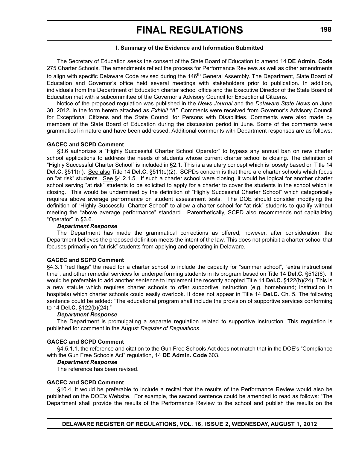#### **I. Summary of the Evidence and Information Submitted**

The Secretary of Education seeks the consent of the State Board of Education to amend 14 **DE Admin. Code** 275 Charter Schools. The amendments reflect the process for Performance Reviews as well as other amendments to align with specific Delaware Code revised during the 146<sup>th</sup> General Assembly. The Department, State Board of Education and Governor's office held several meetings with stakeholders prior to publication. In addition, individuals from the Department of Education charter school office and the Executive Director of the State Board of Education met with a subcommittee of the Governor's Advisory Council for Exceptional Citizens.

Notice of the proposed regulation was published in the *News Journal* and the *Delaware State News* on June 30, 2012**,** in the form hereto attached as *Exhibit "A"*. Comments were received from Governor's Advisory Council for Exceptional Citizens and the State Council for Persons with Disabilities. Comments were also made by members of the State Board of Education during the discussion period in June. Some of the comments were grammatical in nature and have been addressed. Additional comments with Department responses are as follows:

#### **GACEC and SCPD Comment**

§3.6 authorizes a "Highly Successful Charter School Operator" to bypass any annual ban on new charter school applications to address the needs of students whose current charter school is closing. The definition of "Highly Successful Charter School" is included in §2.1. This is a salutary concept which is loosely based on Title 14 **Del.C.** §511(n). See also Title 14 **Del.C.** §511(e)(2). SCPDs concern is that there are charter schools which focus on "at risk" students. See §4.2.1.5. If such a charter school were closing, it would be logical for another charter school serving "at risk" students to be solicited to apply for a charter to cover the students in the school which is closing. This would be undermined by the definition of "Highly Successful Charter School" which categorically requires above average performance on student assessment tests. The DOE should consider modifying the definition of "Highly Successful Charter School" to allow a charter school for "at risk" students to qualify without meeting the "above average performance" standard. Parenthetically, SCPD also recommends not capitalizing "Operator" in §3.6.

#### *Department Response*

The Department has made the grammatical corrections as offered; however, after consideration, the Department believes the proposed definition meets the intent of the law. This does not prohibit a charter school that focuses primarily on "at risk" students from applying and operating in Delaware.

#### **GACEC and SCPD Comment**

§4.3.1 "red flags" the need for a charter school to include the capacity for "summer school", "extra instructional time", and other remedial services for underperforming students in its program based on Title 14 **Del.C.** §512(6). It would be preferable to add another sentence to implement the recently adopted Title 14 **Del.C.** §122(b)(24). This is a new statute which requires charter schools to offer supportive instruction (e.g. homebound; instruction in hospitals) which charter schools could easily overlook. It does not appear in Title 14 **Del.C.** Ch. 5. The following sentence could be added: "The educational program shall include the provision of supportive services conforming to 14 **Del.C.** §122(b)(24)."

#### *Department Response*

The Department is promulgating a separate regulation related to supportive instruction. This regulation is published for comment in the August *Register of Regulations*.

#### **GACEC and SCPD Comment**

§4.5.1.1, the reference and citation to the Gun Free Schools Act does not match that in the DOE's "Compliance with the Gun Free Schools Act" regulation, 14 **DE Admin. Code** 603.

#### *Department Response*

The reference has been revised.

#### **GACEC and SCPD Comment**

§10.4, it would be preferable to include a recital that the results of the Performance Review would also be published on the DOE's Website. For example, the second sentence could be amended to read as follows: "The Department shall provide the results of the Performance Review to the school and publish the results on the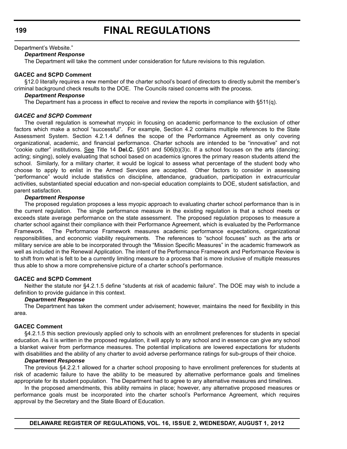#### Department's Website."

#### *Department Response*

The Department will take the comment under consideration for future revisions to this regulation.

#### **GACEC and SCPD Comment**

§12.0 literally requires a new member of the charter school's board of directors to directly submit the member's criminal background check results to the DOE. The Councils raised concerns with the process.

#### *Department Response*

The Department has a process in effect to receive and review the reports in compliance with §511(q).

#### *GACEC and SCPD Comment*

The overall regulation is somewhat myopic in focusing on academic performance to the exclusion of other factors which make a school "successful". For example, Section 4.2 contains multiple references to the State Assessment System. Section 4.2.1.4 defines the scope of the Performance Agreement as only covering organizational, academic, and financial performance. Charter schools are intended to be "innovative" and not "cookie cutter" institutions. See Title 14 **Del.C.** §501 and 506(b)(3)c. If a school focuses on the arts (dancing; acting; singing), solely evaluating that school based on academics ignores the primary reason students attend the school. Similarly, for a military charter, it would be logical to assess what percentage of the student body who choose to apply to enlist in the Armed Services are accepted. Other factors to consider in assessing "performance" would include statistics on discipline, attendance, graduation, participation in extracurricular activities, substantiated special education and non-special education complaints to DOE, student satisfaction, and parent satisfaction.

#### *Department Response*

The proposed regulation proposes a less myopic approach to evaluating charter school performance than is in the current regulation. The single performance measure in the existing regulation is that a school meets or exceeds state average performance on the state assessment. The proposed regulation proposes to measure a charter school against their compliance with their Performance Agreement, which is evaluated by the Performance Framework. The Performance Framework measures academic performance expectations, organizational responsibilities, and economic viability requirements. The references to "school focuses" such as the arts or military service are able to be incorporated through the "Mission Specific Measures" in the academic framework as well as included in the Renewal Application. The intent of the Performance Framework and Performance Review is to shift from what is felt to be a currently limiting measure to a process that is more inclusive of multiple measures thus able to show a more comprehensive picture of a charter school's performance.

#### **GACEC and SCPD Comment**

Neither the statute nor §4.2.1.5 define "students at risk of academic failure". The DOE may wish to include a definition to provide guidance in this context.

#### *Department Response*

The Department has taken the comment under advisement; however, maintains the need for flexibility in this area.

#### **GACEC Comment**

§4.2.1.5 this section previously applied only to schools with an enrollment preferences for students in special education. As it is written in the proposed regulation, it will apply to any school and in essence can give any school a blanket waiver from performance measures. The potential implications are lowered expectations for students with disabilities and the ability of any charter to avoid adverse performance ratings for sub-groups of their choice.

#### *Department Response*

The previous §4.2.2.1 allowed for a charter school proposing to have enrollment preferences for students at risk of academic failure to have the ability to be measured by alternative performance goals and timelines appropriate for its student population. The Department had to agree to any alternative measures and timelines.

In the proposed amendments, this ability remains in place; however, any alternative proposed measures or performance goals must be incorporated into the charter school's Performance Agreement, which requires approval by the Secretary and the State Board of Education.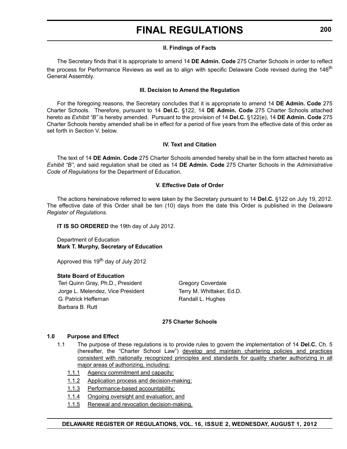#### **II. Findings of Facts**

The Secretary finds that it is appropriate to amend 14 **DE Admin. Code** 275 Charter Schools in order to reflect the process for Performance Reviews as well as to align with specific Delaware Code revised during the 146<sup>th</sup> General Assembly.

#### **III. Decision to Amend the Regulation**

For the foregoing reasons, the Secretary concludes that it is appropriate to amend 14 **DE Admin. Code** 275 Charter Schools. Therefore, pursuant to 14 **Del.C.** §122, 14 **DE Admin. Code** 275 Charter Schools attached hereto as *Exhibit "B"* is hereby amended. Pursuant to the provision of 14 **Del.C.** §122(e), 14 **DE Admin. Code** 275 Charter Schools hereby amended shall be in effect for a period of five years from the effective date of this order as set forth in Section V. below

#### **IV. Text and Citation**

The text of 14 **DE Admin. Code** 275 Charter Schools amended hereby shall be in the form attached hereto as *Exhibit "B"*, and said regulation shall be cited as 14 **DE Admin. Code** 275 Charter Schools in the *Administrative Code of Regulations* for the Department of Education.

#### **V. Effective Date of Order**

The actions hereinabove referred to were taken by the Secretary pursuant to 14 **Del.C.** §122 on July 19, 2012. The effective date of this Order shall be ten (10) days from the date this Order is published in the *Delaware Register of Regulations.*

**IT IS SO ORDERED** the 19th day of July 2012.

Department of Education **Mark T. Murphy, Secretary of Education**

Approved this 19<sup>th</sup> day of July 2012

#### **State Board of Education**

Teri Quinn Gray, Ph.D., President Gregory Coverdale Jorge L. Melendez, Vice President Terry M. Whittaker, Ed.D. G. Patrick Heffernan Randall L. Hughes Barbara B. Rutt

#### **275 Charter Schools**

#### **1.0 Purpose and Effect**

- 1.1 The purpose of these regulations is to provide rules to govern the implementation of 14 **Del.C.** Ch. 5 (hereafter, the "Charter School Law") develop and maintain chartering policies and practices consistent with nationally recognized principles and standards for quality charter authorizing in all major areas of authorizing, including:
	- 1.1.1 Agency commitment and capacity;
	- 1.1.2 Application process and decision-making;
	- 1.1.3 Performance-based accountability;
	- 1.1.4 Ongoing oversight and evaluation; and
	- 1.1.5 Renewal and revocation decision-making.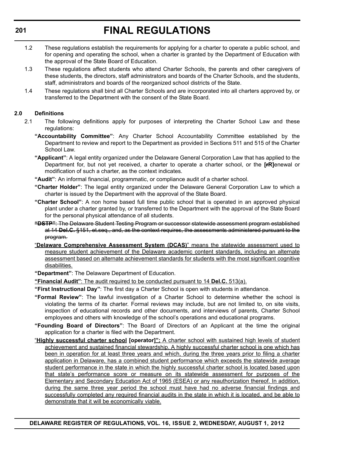- 1.2 These regulations establish the requirements for applying for a charter to operate a public school, and for opening and operating the school, when a charter is granted by the Department of Education with the approval of the State Board of Education.
- 1.3 These regulations affect students who attend Charter Schools, the parents and other caregivers of these students, the directors, staff administrators and boards of the Charter Schools, and the students, staff, administrators and boards of the reorganized school districts of the State.
- 1.4 These regulations shall bind all Charter Schools and are incorporated into all charters approved by, or transferred to the Department with the consent of the State Board.

#### **2.0 Definitions**

- 2.1 The following definitions apply for purposes of interpreting the Charter School Law and these regulations:
	- **"Accountability Committee"**: Any Charter School Accountability Committee established by the Department to review and report to the Department as provided in Sections 511 and 515 of the Charter School Law.
	- **"Applicant"**: A legal entity organized under the Delaware General Corporation Law that has applied to the Department for, but not yet received, a charter to operate a charter school, or the **[rR]**enewal or modification of such a charter, as the context indicates.
	- **"Audit"**: An informal financial, programmatic, or compliance audit of a charter school.
	- **"Charter Holder"**: The legal entity organized under the Delaware General Corporation Law to which a charter is issued by the Department with the approval of the State Board.
	- **"Charter School"**: A non home based full time public school that is operated in an approved physical plant under a charter granted by, or transferred to the Department with the approval of the State Board for the personal physical attendance of all students.
	- **"DSTP"**: The Delaware Student Testing Program or successor statewide assessment program established at 14 **Del.C.** §151, et.seq., and, as the context requires, the assessments administered pursuant to the program.
	- "**Delaware Comprehensive Assessment System (DCAS)**" means the statewide assessment used to measure student achievement of the Delaware academic content standards, including an alternate assessment based on alternate achievement standards for students with the most significant cognitive disabilities.
	- **"Department"**: The Delaware Department of Education.

**"Financial Audit"**: The audit required to be conducted pursuant to 14 **Del.C.** 513(a).

**"First Instructional Day"**: The first day a Charter School is open with students in attendance.

- **"Formal Review"**: The lawful investigation of a Charter School to determine whether the school is violating the terms of its charter. Formal reviews may include, but are not limited to, on site visits, inspection of educational records and other documents, and interviews of parents, Charter School employees and others with knowledge of the school's operations and educational programs.
- **"Founding Board of Directors"**: The Board of Directors of an Applicant at the time the original application for a charter is filed with the Department.
- "**Highly successful charter school [operator]":** A charter school with sustained high levels of student achievement and sustained financial stewardship. A highly successful charter school is one which has been in operation for at least three years and which, during the three years prior to filing a charter application in Delaware, has a combined student performance which exceeds the statewide average student performance in the state in which the highly successful charter school is located based upon that state's performance score or measure on its statewide assessment for purposes of the Elementary and Secondary Education Act of 1965 (ESEA) or any reauthorization thereof. In addition, during the same three year period the school must have had no adverse financial findings and successfully completed any required financial audits in the state in which it is located, and be able to demonstrate that it will be economically viable.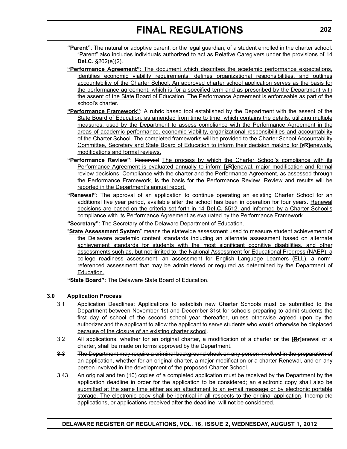- **"Parent"**: The natural or adoptive parent, or the legal guardian, of a student enrolled in the charter school. "Parent" also includes individuals authorized to act as Relative Caregivers under the provisions of 14 **Del.C.** §202(e)(2).
- **"Performance Agreement"**: The document which describes the academic performance expectations, identifies economic viability requirements, defines organizational responsibilities, and outlines accountability of the Charter School. An approved charter school application serves as the basis for the performance agreement, which is for a specified term and as prescribed by the Department with the assent of the State Board of Education. The Performance Agreement is enforceable as part of the school's charter.
- **"Performance Framework"**: A rubric based tool established by the Department with the assent of the State Board of Education, as amended from time to time, which contains the details, utilizing multiple measures, used by the Department to assess compliance with the Performance Agreement in the areas of academic performance, economic viability, organizational responsibilities and accountability of the Charter School. The completed frameworks will be provided to the Charter School Accountability Committee, Secretary and State Board of Education to inform their decision making for **[rR]**enewals, modifications and formal reviews.
- **"Performance Review"**: Reserved The process by which the Charter School's compliance with its Performance Agreement is evaluated annually to inform **[rR]**enewal, major modification and formal review decisions. Compliance with the charter and the Performance Agreement, as assessed through the Performance Framework, is the basis for the Performance Review. Review and results will be reported in the Department's annual report.
- **"Renewal"**: The approval of an application to continue operating an existing Charter School for an additional five year period, available after the school has been in operation for four years. Renewal decisions are based on the criteria set forth in 14 **Del.C.** §512, and informed by a Charter School's compliance with its Performance Agreement as evaluated by the Performance Framework.

**"Secretary"**: The Secretary of the Delaware Department of Education.

"**State Assessment System**" means the statewide assessment used to measure student achievement of the Delaware academic content standards including an alternate assessment based on alternate achievement standards for students with the most significant cognitive disabilities, and other assessments such as, but not limited to, the National Assessment for Educational Progress (NAEP), a college readiness assessment, an assessment for English Language Learners (ELL), a normreferenced assessment that may be administered or required as determined by the Department of Education.

**"State Board"**: The Delaware State Board of Education.

#### **3.0 Application Process**

- 3.1 Application Deadlines: Applications to establish new Charter Schools must be submitted to the Department between November 1st and December 31st for schools preparing to admit students the first day of school of the second school year thereafter, unless otherwise agreed upon by the authorizer and the applicant to allow the applicant to serve students who would otherwise be displaced because of the closure of an existing charter school.
- 3.2 All applications, whether for an original charter, a modification of a charter or the **[Rr]**enewal of a charter, shall be made on forms approved by the Department.
- 3.3 The Department may require a criminal background check on any person involved in the preparation of an application, whether for an original charter, a major modification or a charter Renewal, and on any person involved in the development of the proposed Charter School.
- 3.43 An original and ten (10) copies of a completed application must be received by the Department by the application deadline in order for the application to be considered; an electronic copy shall also be submitted at the same time either as an attachment to an e-mail message or by electronic portable storage. The electronic copy shall be identical in all respects to the original application. Incomplete applications, or applications received after the deadline, will not be considered.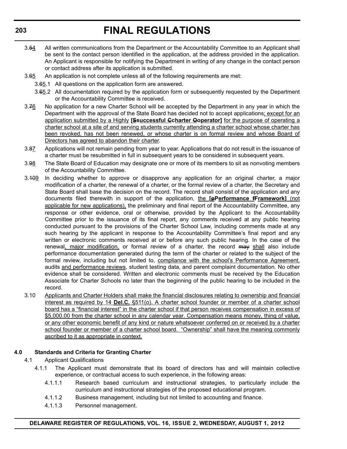- 3.54 All written communications from the Department or the Accountability Committee to an Applicant shall be sent to the contact person identified in the application, at the address provided in the application. An Applicant is responsible for notifying the Department in writing of any change in the contact person or contact address after its application is submitted.
- 3.65 An application is not complete unless all of the following requirements are met:
	- 3.65.1 All questions on the application form are answered.
	- 3.65.2 All documentation required by the application form or subsequently requested by the Department or the Accountability Committee is received.
- 3.76 No application for a new Charter School will be accepted by the Department in any year in which the Department with the approval of the State Board has decided not to accept applications; except for an application submitted by a Highly **[Ssuccessful Ccharter Ooperator]** for the purpose of operating a charter school at a site of and serving students currently attending a charter school whose charter has been revoked, has not been renewed, or whose charter is on formal review and whose Board of Directors has agreed to abandon their charter.
- 3.87 Applications will not remain pending from year to year. Applications that do not result in the issuance of a charter must be resubmitted in full in subsequent years to be considered in subsequent years.
- 3.98 The State Board of Education may designate one or more of its members to sit as nonvoting members of the Accountability Committee.
- 3.109 In deciding whether to approve or disapprove any application for an original charter, a major modification of a charter, the renewal of a charter, or the formal review of a charter, the Secretary and State Board shall base the decision on the record. The record shall consist of the application and any documents filed therewith in support of the application, the **[pPerformance fFramework]** (not applicable for new applications), the preliminary and final report of the Accountability Committee, any response or other evidence, oral or otherwise, provided by the Applicant to the Accountability Committee prior to the issuance of its final report, any comments received at any public hearing conducted pursuant to the provisions of the Charter School Law, including comments made at any such hearing by the applicant in response to the Accountability Committee's final report and any written or electronic comments received at or before any such public hearing. In the case of the renewal, major modification, or formal review of a charter, the record may shall also include performance documentation generated during the term of the charter or related to the subject of the formal review, including but not limited to, compliance with the school's Performance Agreement, audits and performance reviews, student testing data, and parent complaint documentation. No other evidence shall be considered. Written and electronic comments must be received by the Education Associate for Charter Schools no later than the beginning of the public hearing to be included in the record.
- 3.10 Applicants and Charter Holders shall make the financial disclosures relating to ownership and financial interest as required by 14 **Del.C.** §511(o). A charter school founder or member of a charter school board has a "financial interest" in the charter school if that person receives compensation in excess of \$5,000.00 from the charter school in any calendar year. Compensation means money, thing of value, or any other economic benefit of any kind or nature whatsoever conferred on or received by a charter school founder or member of a charter school board. "Ownership" shall have the meaning commonly ascribed to it as appropriate in context.

#### **4.0 Standards and Criteria for Granting Charter**

- 4.1 Applicant Qualifications
	- 4.1.1 The Applicant must demonstrate that its board of directors has and will maintain collective experience, or contractual access to such experience, in the following areas:
		- 4.1.1.1 Research based curriculum and instructional strategies, to particularly include the curriculum and instructional strategies of the proposed educational program.
		- 4.1.1.2 Business management, including but not limited to accounting and finance.
		- 4.1.1.3 Personnel management.

#### **DELAWARE REGISTER OF REGULATIONS, VOL. 16, ISSUE 2, WEDNESDAY, AUGUST 1, 2012**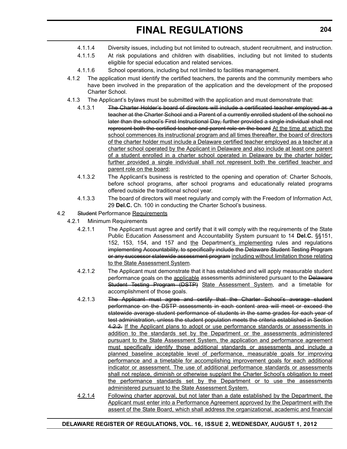- 4.1.1.4 Diversity issues, including but not limited to outreach, student recruitment, and instruction.
- 4.1.1.5 At risk populations and children with disabilities, including but not limited to students eligible for special education and related services.
- 4.1.1.6 School operations, including but not limited to facilities management.
- 4.1.2 The application must identify the certified teachers, the parents and the community members who have been involved in the preparation of the application and the development of the proposed Charter School.
- 4.1.3 The Applicant's bylaws must be submitted with the application and must demonstrate that:
	- 4.1.3.1 The Charter Holder's board of directors will include a certificated teacher employed as a teacher at the Charter School and a Parent of a currently enrolled student of the school no later than the school's First Instructional Day, further provided a single individual shall not represent both the certified teacher and parent role on the board At the time at which the school commences its instructional program and all times thereafter, the board of directors of the charter holder must include a Delaware certified teacher employed as a teacher at a charter school operated by the Applicant in Delaware and also include at least one parent of a student enrolled in a charter school operated in Delaware by the charter holder; further provided a single individual shall not represent both the certified teacher and parent role on the board;
	- 4.1.3.2 The Applicant's business is restricted to the opening and operation of: Charter Schools, before school programs, after school programs and educationally related programs offered outside the traditional school year.
	- 4.1.3.3 The board of directors will meet regularly and comply with the Freedom of Information Act, 29 **Del.C.** Ch. 100 in conducting the Charter School's business.
- 4.2 Student Performance Requirements
	- 4.2.1 Minimum Requirements
		- 4.2.1.1 The Applicant must agree and certify that it will comply with the requirements of the State Public Education Assessment and Accountability System pursuant to 14 **Del.C.** §§151, 152, 153, 154, and 157 and the Department's implementing rules and regulations implementing Accountability, to specifically include the Delaware Student Testing Program or any successor statewide assessment program including without limitation those relating to the State Assessment System.
		- 4.2.1.2 The Applicant must demonstrate that it has established and will apply measurable student performance goals on the applicable assessments administered pursuant to the Delaware Student Testing Program (DSTP) State Assessment System, and a timetable for accomplishment of those goals.
		- 4.2.1.3 The Applicant must agree and certify that the Charter School's average student performance on the DSTP assessments in each content area will meet or exceed the statewide average student performance of students in the same grades for each year of test administration, unless the student population meets the criteria established in Section 4.2.2. If the Applicant plans to adopt or use performance standards or assessments in addition to the standards set by the Department or the assessments administered pursuant to the State Assessment System, the application and performance agreement must specifically identify those additional standards or assessments and include a planned baseline acceptable level of performance, measurable goals for improving performance and a timetable for accomplishing improvement goals for each additional indicator or assessment. The use of additional performance standards or assessments shall not replace, diminish or otherwise supplant the Charter School's obligation to meet the performance standards set by the Department or to use the assessments administered pursuant to the State Assessment System.
		- 4.2.1.4 Following charter approval, but not later than a date established by the Department, the Applicant must enter into a Performance Agreement approved by the Department with the assent of the State Board, which shall address the organizational, academic and financial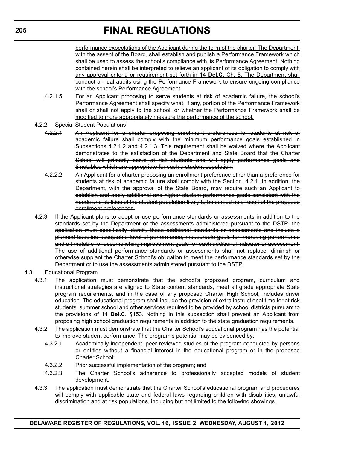performance expectations of the Applicant during the term of the charter. The Department, with the assent of the Board, shall establish and publish a Performance Framework which shall be used to assess the school's compliance with its Performance Agreement. Nothing contained herein shall be interpreted to relieve an applicant of its obligation to comply with any approval criteria or requirement set forth in 14 **Del.C.** Ch. 5. The Department shall conduct annual audits using the Performance Framework to ensure ongoing compliance with the school's Performance Agreement.

- 4.2.1.5 For an Applicant proposing to serve students at risk of academic failure, the school's Performance Agreement shall specify what, if any, portion of the Performance Framework shall or shall not apply to the school, or whether the Performance Framework shall be modified to more appropriately measure the performance of the school.
- 4.2.2 Special Student Populations
	- 4.2.2.1 An Applicant for a charter proposing enrollment preferences for students at risk of academic failure shall comply with the minimum performance goals established in Subsections 4.2.1.2 and 4.2.1.3. This requirement shall be waived where the Applicant demonstrates to the satisfaction of the Department and State Board that the Charter School will primarily serve at risk students and will apply performance goals and timetables which are appropriate for such a student population.
	- 4.2.2.2 An Applicant for a charter proposing an enrollment preference other than a preference for students at risk of academic failure shall comply with the Section. 4.2.1. In addition, the Department, with the approval of the State Board, may require such an Applicant to establish and apply additional and higher student performance goals consistent with the needs and abilities of the student population likely to be served as a result of the proposed enrollment preferences.
- 4.2.3 If the Applicant plans to adopt or use performance standards or assessments in addition to the standards set by the Department or the assessments administered pursuant to the DSTP, the application must specifically identify those additional standards or assessments and include a planned baseline acceptable level of performance, measurable goals for improving performance and a timetable for accomplishing improvement goals for each additional indicator or assessment. The use of additional performance standards or assessments shall not replace, diminish or otherwise supplant the Charter School's obligation to meet the performance standards set by the Department or to use the assessments administered pursuant to the DSTP.
- 4.3 Educational Program
	- 4.3.1 The application must demonstrate that the school's proposed program, curriculum and instructional strategies are aligned to State content standards, meet all grade appropriate State program requirements, and in the case of any proposed Charter High School, includes driver education. The educational program shall include the provision of extra instructional time for at risk students, summer school and other services required to be provided by school districts pursuant to the provisions of 14 **Del.C.** §153. Nothing in this subsection shall prevent an Applicant from proposing high school graduation requirements in addition to the state graduation requirements.
	- 4.3.2 The application must demonstrate that the Charter School's educational program has the potential to improve student performance. The program's potential may be evidenced by:
		- 4.3.2.1 Academically independent, peer reviewed studies of the program conducted by persons or entities without a financial interest in the educational program or in the proposed Charter School;
		- 4.3.2.2 Prior successful implementation of the program; and
		- 4.3.2.3 The Charter School's adherence to professionally accepted models of student development.
	- 4.3.3 The application must demonstrate that the Charter School's educational program and procedures will comply with applicable state and federal laws regarding children with disabilities, unlawful discrimination and at risk populations, including but not limited to the following showings.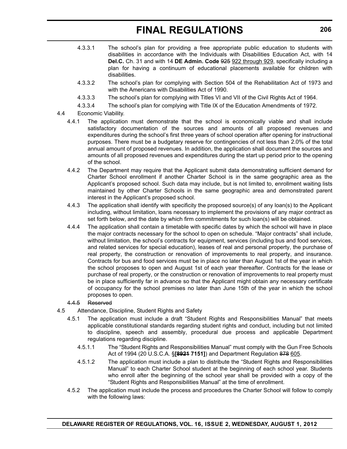- 4.3.3.1 The school's plan for providing a free appropriate public education to students with disabilities in accordance with the Individuals with Disabilities Education Act, with 14 **Del.C.** Ch. 31 and with 14 **DE Admin. Code** 925 922 through 929, specifically including a plan for having a continuum of educational placements available for children with disabilities.
- 4.3.3.2 The school's plan for complying with Section 504 of the Rehabilitation Act of 1973 and with the Americans with Disabilities Act of 1990.
- 4.3.3.3 The school's plan for complying with Titles VI and VII of the Civil Rights Act of 1964.
- 4.3.3.4 The school's plan for complying with Title IX of the Education Amendments of 1972.
- 4.4 Economic Viability.
	- 4.4.1 The application must demonstrate that the school is economically viable and shall include satisfactory documentation of the sources and amounts of all proposed revenues and expenditures during the school's first three years of school operation after opening for instructional purposes. There must be a budgetary reserve for contingencies of not less than 2.0% of the total annual amount of proposed revenues. In addition, the application shall document the sources and amounts of all proposed revenues and expenditures during the start up period prior to the opening of the school.
	- 4.4.2 The Department may require that the Applicant submit data demonstrating sufficient demand for Charter School enrollment if another Charter School is in the same geographic area as the Applicant's proposed school. Such data may include, but is not limited to, enrollment waiting lists maintained by other Charter Schools in the same geographic area and demonstrated parent interest in the Applicant's proposed school.
	- 4.4.3 The application shall identify with specificity the proposed source(s) of any loan(s) to the Applicant including, without limitation, loans necessary to implement the provisions of any major contract as set forth below, and the date by which firm commitments for such loan(s) will be obtained.
	- 4.4.4 The application shall contain a timetable with specific dates by which the school will have in place the major contracts necessary for the school to open on schedule. "Major contracts" shall include, without limitation, the school's contracts for equipment, services (including bus and food services, and related services for special education), leases of real and personal property, the purchase of real property, the construction or renovation of improvements to real property, and insurance. Contracts for bus and food services must be in place no later than August 1st of the year in which the school proposes to open and August 1st of each year thereafter. Contracts for the lease or purchase of real property, or the construction or renovation of improvements to real property must be in place sufficiently far in advance so that the Applicant might obtain any necessary certificate of occupancy for the school premises no later than June 15th of the year in which the school proposes to open.

#### 4.4.5 Reserved

- 4.5 Attendance, Discipline, Student Rights and Safety
	- 4.5.1 The application must include a draft "Student Rights and Responsibilities Manual" that meets applicable constitutional standards regarding student rights and conduct, including but not limited to discipline, speech and assembly, procedural due process and applicable Department regulations regarding discipline.
		- 4.5.1.1 The "Student Rights and Responsibilities Manual" must comply with the Gun Free Schools Act of 1994 (20 U.S.C.A. §**[8921 7151]**) and Department Regulation 878 605.
		- 4.5.1.2 The application must include a plan to distribute the "Student Rights and Responsibilities Manual" to each Charter School student at the beginning of each school year. Students who enroll after the beginning of the school year shall be provided with a copy of the "Student Rights and Responsibilities Manual" at the time of enrollment.
	- 4.5.2 The application must include the process and procedures the Charter School will follow to comply with the following laws: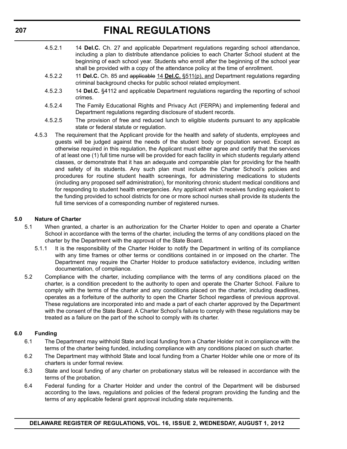- 4.5.2.1 14 **Del.C.** Ch. 27 and applicable Department regulations regarding school attendance, including a plan to distribute attendance policies to each Charter School student at the beginning of each school year. Students who enroll after the beginning of the school year shall be provided with a copy of the attendance policy at the time of enrollment.
- 4.5.2.2 11 **Del.C.** Ch. 85 and applicable 14 **Del.C.** §511(p), and Department regulations regarding criminal background checks for public school related employment.
- 4.5.2.3 14 **Del.C.** §4112 and applicable Department regulations regarding the reporting of school crimes.
- 4.5.2.4 The Family Educational Rights and Privacy Act (FERPA) and implementing federal and Department regulations regarding disclosure of student records.
- 4.5.2.5 The provision of free and reduced lunch to eligible students pursuant to any applicable state or federal statute or regulation.
- 4.5.3 The requirement that the Applicant provide for the health and safety of students, employees and guests will be judged against the needs of the student body or population served. Except as otherwise required in this regulation, the Applicant must either agree and certify that the services of at least one (1) full time nurse will be provided for each facility in which students regularly attend classes, or demonstrate that it has an adequate and comparable plan for providing for the health and safety of its students. Any such plan must include the Charter School's policies and procedures for routine student health screenings, for administering medications to students (including any proposed self administration), for monitoring chronic student medical conditions and for responding to student health emergencies. Any applicant which receives funding equivalent to the funding provided to school districts for one or more school nurses shall provide its students the full time services of a corresponding number of registered nurses.

#### **5.0 Nature of Charter**

- 5.1 When granted, a charter is an authorization for the Charter Holder to open and operate a Charter School in accordance with the terms of the charter, including the terms of any conditions placed on the charter by the Department with the approval of the State Board.
	- 5.1.1 It is the responsibility of the Charter Holder to notify the Department in writing of its compliance with any time frames or other terms or conditions contained in or imposed on the charter. The Department may require the Charter Holder to produce satisfactory evidence, including written documentation, of compliance.
- 5.2 Compliance with the charter, including compliance with the terms of any conditions placed on the charter, is a condition precedent to the authority to open and operate the Charter School. Failure to comply with the terms of the charter and any conditions placed on the charter, including deadlines, operates as a forfeiture of the authority to open the Charter School regardless of previous approval. These regulations are incorporated into and made a part of each charter approved by the Department with the consent of the State Board. A Charter School's failure to comply with these regulations may be treated as a failure on the part of the school to comply with its charter.

#### **6.0 Funding**

- 6.1 The Department may withhold State and local funding from a Charter Holder not in compliance with the terms of the charter being funded, including compliance with any conditions placed on such charter.
- 6.2 The Department may withhold State and local funding from a Charter Holder while one or more of its charters is under formal review.
- 6.3 State and local funding of any charter on probationary status will be released in accordance with the terms of the probation.
- 6.4 Federal funding for a Charter Holder and under the control of the Department will be disbursed according to the laws, regulations and policies of the federal program providing the funding and the terms of any applicable federal grant approval including state requirements.

**DELAWARE REGISTER OF REGULATIONS, VOL. 16, ISSUE 2, WEDNESDAY, AUGUST 1, 2012**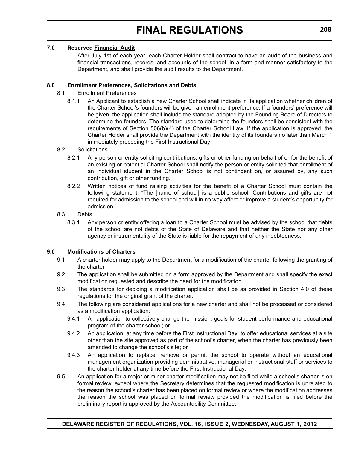#### **7.0 Reserved Financial Audit**

After July 1st of each year, each Charter Holder shall contract to have an audit of the business and financial transactions, records, and accounts of the school, in a form and manner satisfactory to the Department, and shall provide the audit results to the Department.

#### **8.0 Enrollment Preferences, Solicitations and Debts**

- 8.1 Enrollment Preferences
	- 8.1.1 An Applicant to establish a new Charter School shall indicate in its application whether children of the Charter School's founders will be given an enrollment preference. If a founders' preference will be given, the application shall include the standard adopted by the Founding Board of Directors to determine the founders. The standard used to determine the founders shall be consistent with the requirements of Section 506(b)(4) of the Charter School Law. If the application is approved, the Charter Holder shall provide the Department with the identity of its founders no later than March 1 immediately preceding the First Instructional Day.
- 8.2 Solicitations.
	- 8.2.1 Any person or entity soliciting contributions, gifts or other funding on behalf of or for the benefit of an existing or potential Charter School shall notify the person or entity solicited that enrollment of an individual student in the Charter School is not contingent on, or assured by, any such contribution, gift or other funding.
	- 8.2.2 Written notices of fund raising activities for the benefit of a Charter School must contain the following statement: "The [name of school] is a public school. Contributions and gifts are not required for admission to the school and will in no way affect or improve a student's opportunity for admission."
- 8.3 Debts
	- 8.3.1 Any person or entity offering a loan to a Charter School must be advised by the school that debts of the school are not debts of the State of Delaware and that neither the State nor any other agency or instrumentality of the State is liable for the repayment of any indebtedness.

#### **9.0 Modifications of Charters**

- 9.1 A charter holder may apply to the Department for a modification of the charter following the granting of the charter.
- 9.2 The application shall be submitted on a form approved by the Department and shall specify the exact modification requested and describe the need for the modification.
- 9.3 The standards for deciding a modification application shall be as provided in Section 4.0 of these regulations for the original grant of the charter.
- 9.4 The following are considered applications for a new charter and shall not be processed or considered as a modification application:
	- 9.4.1 An application to collectively change the mission, goals for student performance and educational program of the charter school; or
	- 9.4.2 An application, at any time before the First Instructional Day, to offer educational services at a site other than the site approved as part of the school's charter, when the charter has previously been amended to change the school's site; or
	- 9.4.3 An application to replace, remove or permit the school to operate without an educational management organization providing administrative, managerial or instructional staff or services to the charter holder at any time before the First Instructional Day.
- 9.5 An application for a major or minor charter modification may not be filed while a school's charter is on formal review, except where the Secretary determines that the requested modification is unrelated to the reason the school's charter has been placed on formal review or where the modification addresses the reason the school was placed on formal review provided the modification is filed before the preliminary report is approved by the Accountability Committee.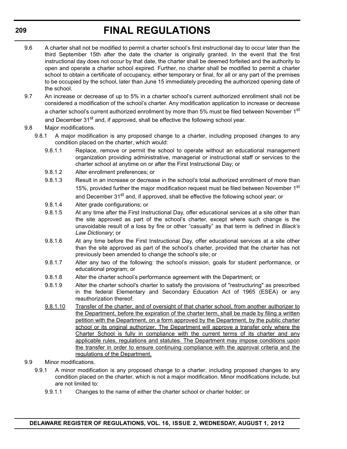- 9.6 A charter shall not be modified to permit a charter school's first instructional day to occur later than the third September 15th after the date the charter is originally granted. In the event that the first instructional day does not occur by that date, the charter shall be deemed forfeited and the authority to open and operate a charter school expired. Further, no charter shall be modified to permit a charter school to obtain a certificate of occupancy, either temporary or final, for all or any part of the premises to be occupied by the school, later than June 15 immediately preceding the authorized opening date of the school.
- 9.7 An increase or decrease of up to 5% in a charter school's current authorized enrollment shall not be considered a modification of the school's charter. Any modification application to increase or decrease a charter school's current authorized enrollment by more than 5% must be filed between November 1<sup>st</sup> and December 31<sup>st</sup> and, if approved, shall be effective the following school year.

#### 9.8 Major modifications.

- 9.8.1 A major modification is any proposed change to a charter, including proposed changes to any condition placed on the charter, which would:
	- 9.8.1.1 Replace, remove or permit the school to operate without an educational management organization providing administrative, managerial or instructional staff or services to the charter school at anytime on or after the First Instructional Day; or
	- 9.8.1.2 Alter enrollment preferences; or
	- 9.8.1.3 Result in an increase or decrease in the school's total authorized enrollment of more than 15%, provided further the major modification request must be filed between November 1<sup>st</sup> and December 31<sup>st</sup> and, if approved, shall be effective the following school year; or
	- 9.8.1.4 Alter grade configurations; or
	- 9.8.1.5 At any time after the First Instructional Day, offer educational services at a site other than the site approved as part of the school's charter, except where such change is the unavoidable result of a loss by fire or other "casualty" as that term is defined in *Black's Law Dictionary*; or
	- 9.8.1.6 At any time before the First Instructional Day, offer educational services at a site other than the site approved as part of the school's charter, provided that the charter has not previously been amended to change the school's site; or
	- 9.8.1.7 Alter any two of the following: the school's mission, goals for student performance, or educational program; or
	- 9.8.1.8 Alter the charter school's performance agreement with the Department; or
	- 9.8.1.9 Alter the charter school's charter to satisfy the provisions of "restructuring" as prescribed in the federal Elementary and Secondary Education Act of 1965 (ESEA) or any reauthorization thereof.
	- 9.8.1.10 Transfer of the charter, and of oversight of that charter school, from another authorizer to the Department, before the expiration of the charter term, shall be made by filing a written petition with the Department, on a form approved by the Department, by the public charter school or its original authorizer. The Department will approve a transfer only where the Charter School is fully in compliance with the current terms of its charter and any applicable rules, regulations and statutes. The Department may impose conditions upon the transfer in order to ensure continuing compliance with the approval criteria and the regulations of the Department.
- 9.9 Minor modifications.
	- 9.9.1 A minor modification is any proposed change to a charter, including proposed changes to any condition placed on the charter, which is not a major modification. Minor modifications include, but are not limited to:
		- 9.9.1.1 Changes to the name of either the charter school or charter holder; or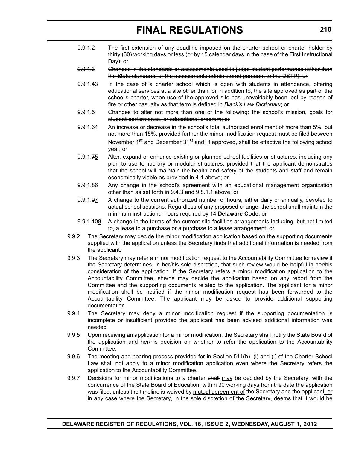- 9.9.1.2 The first extension of any deadline imposed on the charter school or charter holder by thirty (30) working days or less (or by 15 calendar days in the case of the First Instructional Day); or
- 9.9.1.3 Changes in the standards or assessments used to judge student performance (other than the State standards or the assessments administered pursuant to the DSTP); or
- 9.9.1.43 In the case of a charter school which is open with students in attendance, offering educational services at a site other than, or in addition to, the site approved as part of the school's charter, when use of the approved site has unavoidably been lost by reason of fire or other casualty as that term is defined in *Black's Law Dictionary*; or
- 9.9.1.5 Changes to alter not more than one of the following: the school's mission, goals for student performance, or educational program; or
- 9.9.1.64 An increase or decrease in the school's total authorized enrollment of more than 5%, but not more than 15%, provided further the minor modification request must be filed between November 1<sup>st</sup> and December 31<sup>st</sup> and, if approved, shall be effective the following school year; or
- 9.9.1.75 Alter, expand or enhance existing or planned school facilities or structures, including any plan to use temporary or modular structures, provided that the applicant demonstrates that the school will maintain the health and safety of the students and staff and remain economically viable as provided in 4.4 above; or
- 9.9.1.86 Any change in the school's agreement with an educational management organization other than as set forth in 9.4.3 and 9.8.1.1 above; or
- 9.9.1.97 A change to the current authorized number of hours, either daily or annually, devoted to actual school sessions. Regardless of any proposed change, the school shall maintain the minimum instructional hours required by 14 **Delaware Code**; or
- 9.9.1.408 A change in the terms of the current site facilities arrangements including, but not limited to, a lease to a purchase or a purchase to a lease arrangement; or
- 9.9.2 The Secretary may decide the minor modification application based on the supporting documents supplied with the application unless the Secretary finds that additional information is needed from the applicant.
- 9.9.3 The Secretary may refer a minor modification request to the Accountability Committee for review if the Secretary determines, in her/his sole discretion, that such review would be helpful in her/his consideration of the application. If the Secretary refers a minor modification application to the Accountability Committee, she/he may decide the application based on any report from the Committee and the supporting documents related to the application. The applicant for a minor modification shall be notified if the minor modification request has been forwarded to the Accountability Committee. The applicant may be asked to provide additional supporting documentation.
- 9.9.4 The Secretary may deny a minor modification request if the supporting documentation is incomplete or insufficient provided the applicant has been advised additional information was needed
- 9.9.5 Upon receiving an application for a minor modification, the Secretary shall notify the State Board of the application and her/his decision on whether to refer the application to the Accountability Committee.
- 9.9.6 The meeting and hearing process provided for in Section 511(h), (i) and (j) of the Charter School Law shall not apply to a minor modification application even where the Secretary refers the application to the Accountability Committee.
- 9.9.7 Decisions for minor modifications to a charter shall may be decided by the Secretary, with the concurrence of the State Board of Education, within 30 working days from the date the application was filed, unless the timeline is waived by mutual agreement of the Secretary and the applicant, or in any case where the Secretary, in the sole discretion of the Secretary, deems that it would be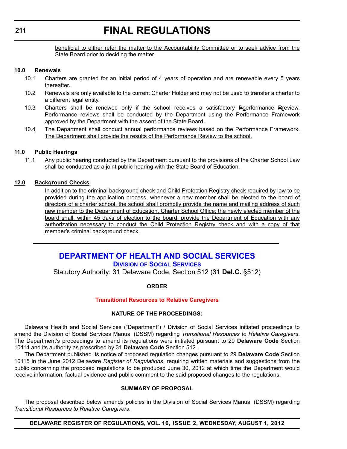beneficial to either refer the matter to the Accountability Committee or to seek advice from the State Board prior to deciding the matter.

#### **10.0 Renewals**

- 10.1 Charters are granted for an initial period of 4 years of operation and are renewable every 5 years thereafter.
- 10.2 Renewals are only available to the current Charter Holder and may not be used to transfer a charter to a different legal entity.
- 10.3 Charters shall be renewed only if the school receives a satisfactory Pperformance Rreview. Performance reviews shall be conducted by the Department using the Performance Framework approved by the Department with the assent of the State Board.
- 10.4 The Department shall conduct annual performance reviews based on the Performance Framework. The Department shall provide the results of the Performance Review to the school.

#### **11.0 Public Hearings**

11.1 Any public hearing conducted by the Department pursuant to the provisions of the Charter School Law shall be conducted as a joint public hearing with the State Board of Education.

#### **12.0 Background Checks**

In addition to the criminal background check and Child Protection Registry check required by law to be provided during the application process, whenever a new member shall be elected to the board of directors of a charter school, the school shall promptly provide the name and mailing address of such new member to the Department of Education, Charter School Office; the newly elected member of the board shall, within 45 days of election to the board, provide the Department of Education with any authorization necessary to conduct the Child Protection Registry check and with a copy of that member's criminal background check.

### **[DEPARTMENT OF HEALTH AND SOCIAL SERVICES](http://dhss.delaware.gov/dhss/dss/) DIVISION OF SOCIAL SERVICES**

Statutory Authority: 31 Delaware Code, Section 512 (31 **Del.C.** §512)

**ORDER**

#### **[Transitional Resources to Relative Caregivers](#page-4-0)**

#### **NATURE OF THE PROCEEDINGS:**

Delaware Health and Social Services ("Department") / Division of Social Services initiated proceedings to amend the Division of Social Services Manual (DSSM) regarding *Transitional Resources to Relative Caregivers*. The Department's proceedings to amend its regulations were initiated pursuant to 29 **Delaware Code** Section 10114 and its authority as prescribed by 31 **Delaware Code** Section 512.

The Department published its notice of proposed regulation changes pursuant to 29 **Delaware Code** Section 10115 in the June 2012 Delaware *Register of Regulations*, requiring written materials and suggestions from the public concerning the proposed regulations to be produced June 30, 2012 at which time the Department would receive information, factual evidence and public comment to the said proposed changes to the regulations.

#### **SUMMARY OF PROPOSAL**

The proposal described below amends policies in the Division of Social Services Manual (DSSM) regarding *Transitional Resources to Relative Caregivers*.

#### **DELAWARE REGISTER OF REGULATIONS, VOL. 16, ISSUE 2, WEDNESDAY, AUGUST 1, 2012**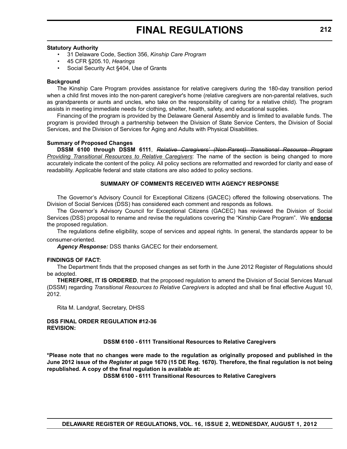#### **Statutory Authority**

- 31 Delaware Code, Section 356, *Kinship Care Program*
- 45 CFR §205.10, *Hearings*
- Social Security Act §404, Use of Grants

#### **Background**

The Kinship Care Program provides assistance for relative caregivers during the 180-day transition period when a child first moves into the non-parent caregiver's home (relative caregivers are non-parental relatives, such as grandparents or aunts and uncles, who take on the responsibility of caring for a relative child). The program assists in meeting immediate needs for clothing, shelter, health, safety, and educational supplies.

Financing of the program is provided by the Delaware General Assembly and is limited to available funds. The program is provided through a partnership between the Division of State Service Centers, the Division of Social Services, and the Division of Services for Aging and Adults with Physical Disabilities.

#### **Summary of Proposed Changes**

**DSSM 6100 through DSSM 6111**, *Relative Caregivers' (Non-Parent) Transitional Resource Program Providing Transitional Resources to Relative Caregivers*: The name of the section is being changed to more accurately indicate the content of the policy. All policy sections are reformatted and reworded for clarity and ease of readability. Applicable federal and state citations are also added to policy sections.

#### **SUMMARY OF COMMENTS RECEIVED WITH AGENCY RESPONSE**

The Governor's Advisory Council for Exceptional Citizens (GACEC) offered the following observations. The Division of Social Services (DSS) has considered each comment and responds as follows.

The Governor's Advisory Council for Exceptional Citizens (GACEC) has reviewed the Division of Social Services (DSS) proposal to rename and revise the regulations covering the "Kinship Care Program". We **endorse** the proposed regulation.

The regulations define eligibility, scope of services and appeal rights. In general, the standards appear to be consumer-oriented.

*Agency Response:* DSS thanks GACEC for their endorsement.

#### **FINDINGS OF FACT:**

The Department finds that the proposed changes as set forth in the June 2012 Register of Regulations should be adopted.

**THEREFORE, IT IS ORDERED**, that the proposed regulation to amend the Division of Social Services Manual (DSSM) regarding *Transitional Resources to Relative Caregivers* is adopted and shall be final effective August 10, 2012.

Rita M. Landgraf, Secretary, DHSS

**DSS FINAL ORDER REGULATION #12-36 REVISION:**

#### **DSSM 6100 - 6111 Transitional Resources to Relative Caregivers**

**\*Please note that no changes were made to the regulation as originally proposed and published in the June 2012 issue of the** *Register* **at page 1670 (15 DE Reg. 1670). Therefore, the final regulation is not being republished. A copy of the final regulation is available at:**

**[DSSM 6100 - 6111 Transitional Resources to Relative Caregivers](http://regulations.delaware.gov/register/august2012/final/16 DE Reg 211 08-01-12.htm)**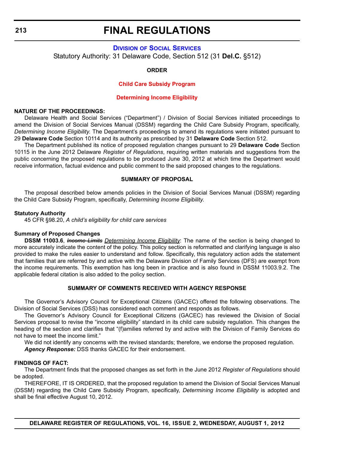### **DIVISION [OF SOCIAL SERVICES](http://dhss.delaware.gov/dhss/dss/)** Statutory Authority: 31 Delaware Code, Section 512 (31 **Del.C.** §512)

#### **ORDER**

#### **Child Care Subsidy Program**

#### **[Determining Income Eligibility](#page-4-0)**

#### **NATURE OF THE PROCEEDINGS:**

Delaware Health and Social Services ("Department") / Division of Social Services initiated proceedings to amend the Division of Social Services Manual (DSSM) regarding the Child Care Subsidy Program, specifically, *Determining Income Eligibility*. The Department's proceedings to amend its regulations were initiated pursuant to 29 **Delaware Code** Section 10114 and its authority as prescribed by 31 **Delaware Code** Section 512.

The Department published its notice of proposed regulation changes pursuant to 29 **Delaware Code** Section 10115 in the June 2012 Delaware *Register of Regulations*, requiring written materials and suggestions from the public concerning the proposed regulations to be produced June 30, 2012 at which time the Department would receive information, factual evidence and public comment to the said proposed changes to the regulations.

#### **SUMMARY OF PROPOSAL**

The proposal described below amends policies in the Division of Social Services Manual (DSSM) regarding the Child Care Subsidy Program, specifically, *Determining Income Eligibility*.

#### **Statutory Authority**

45 CFR §98.20, *A child's eligibility for child care services*

#### **Summary of Proposed Changes**

**DSSM 11003.6**, *Income Limits Determining Income Eligibility*: The name of the section is being changed to more accurately indicate the content of the policy. This policy section is reformatted and clarifying language is also provided to make the rules easier to understand and follow. Specifically, this regulatory action adds the statement that families that are referred by and active with the Delaware Division of Family Services (DFS) are exempt from the income requirements. This exemption has long been in practice and is also found in DSSM 11003.9.2. The applicable federal citation is also added to the policy section.

#### **SUMMARY OF COMMENTS RECEIVED WITH AGENCY RESPONSE**

The Governor's Advisory Council for Exceptional Citizens (GACEC) offered the following observations. The Division of Social Services (DSS) has considered each comment and responds as follows.

The Governor's Advisory Council for Exceptional Citizens (GACEC) has reviewed the Division of Social Services proposal to revise the "income eligibility" standard in its child care subsidy regulation. This changes the heading of the section and clarifies that "(f)amilies referred by and active with the Division of Family Services do not have to meet the income limit."

We did not identify any concerns with the revised standards; therefore, we endorse the proposed regulation. *Agency Response:* DSS thanks GACEC for their endorsement.

#### **FINDINGS OF FACT:**

The Department finds that the proposed changes as set forth in the June 2012 *Register of Regulations* should be adopted.

THEREFORE, IT IS ORDERED, that the proposed regulation to amend the Division of Social Services Manual (DSSM) regarding the Child Care Subsidy Program, specifically, *Determining Income Eligibility* is adopted and shall be final effective August 10, 2012.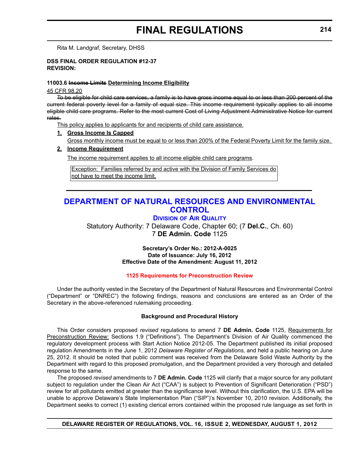Rita M. Landgraf, Secretary, DHSS

#### **DSS FINAL ORDER REGULATION #12-37 REVISION:**

#### **11003.6 Income Limits Determining Income Eligibility**

45 CFR 98.20

To be eligible for child care services, a family is to have gross income equal to or less than 200 percent of the current federal poverty level for a family of equal size. This income requirement typically applies to all income eligible child care programs. Refer to the most current Cost of Living Adjustment Administrative Notice for current rates.

This policy applies to applicants for and recipients of child care assistance.

#### **1. Gross Income Is Capped**

Gross monthly income must be equal to or less than 200% of the Federal Poverty Limit for the family size.

#### **2. Income Requirement**

The income requirement applies to all income eligible child care programs.

Exception: Families referred by and active with the Division of Family Services do not have to meet the income limit.

### **[DEPARTMENT OF NATURAL RESOURCES AND ENVIRONMENTAL](http://www.dnrec.delaware.gov/whs/awm/AQM/Pages/Default.aspx)  CONTROL**

#### **DIVISION OF AIR QUALITY**

Statutory Authority: 7 Delaware Code, Chapter 60; (7 **Del.C.**, Ch. 60) 7 **DE Admin. Code** 1125

#### **Secretary's Order No.: 2012-A-0025 Date of Issuance: July 16, 2012 Effective Date of the Amendment: August 11, 2012**

#### **[1125 Requirements for Preconstruction Review](#page-4-0)**

Under the authority vested in the Secretary of the Department of Natural Resources and Environmental Control ("Department" or "DNREC") the following findings, reasons and conclusions are entered as an Order of the Secretary in the above-referenced rulemaking proceeding.

#### **Background and Procedural History**

This Order considers proposed *revised* regulations to amend 7 **DE Admin. Code** 1125, Requirements for Preconstruction Review: Sections 1.9 ("Definitions"). The Department's Division of Air Quality commenced the regulatory development process with Start Action Notice 2012-05. The Department published its initial proposed regulation Amendments in the June 1, 2012 *Delaware Register of Regulations*, and held a public hearing on June 25, 2012. It should be noted that public comment was received from the Delaware Solid Waste Authority by the Department with regard to this proposed promulgation, and the Department provided a very thorough and detailed response to the same.

The proposed *revised* amendments to 7 **DE Admin. Code** 1125 will clarify that a major source for any pollutant subject to regulation under the Clean Air Act ("CAA") is subject to Prevention of Significant Deterioration ("PSD") review for all pollutants emitted at greater than the significance level. Without this clarification, the U.S. EPA will be unable to approve Delaware's State Implementation Plan ("SIP")'s November 10, 2010 revision. Additionally, the Department seeks to correct (1) existing clerical errors contained within the proposed rule language as set forth in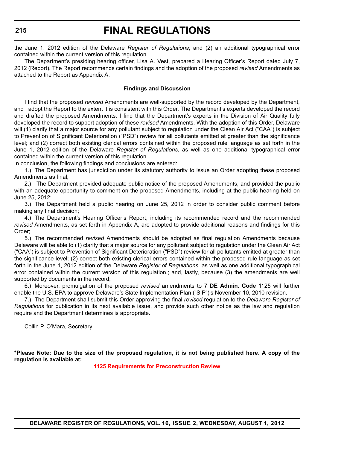the June 1, 2012 edition of the Delaware *Register of Regulations*; and (2) an additional typographical error contained within the current version of this regulation.

The Department's presiding hearing officer, Lisa A. Vest, prepared a Hearing Officer's Report dated July 7, 2012 (Report). The Report recommends certain findings and the adoption of the proposed *revised* Amendments as attached to the Report as Appendix A.

#### **Findings and Discussion**

I find that the proposed *revised* Amendments are well-supported by the record developed by the Department, and I adopt the Report to the extent it is consistent with this Order. The Department's experts developed the record and drafted the proposed Amendments. I find that the Department's experts in the Division of Air Quality fully developed the record to support adoption of these *revised* Amendments. With the adoption of this Order, Delaware will (1) clarify that a major source for any pollutant subject to regulation under the Clean Air Act ("CAA") is subject to Prevention of Significant Deterioration ("PSD") review for all pollutants emitted at greater than the significance level; and (2) correct both existing clerical errors contained within the proposed rule language as set forth in the June 1, 2012 edition of the Delaware *Register of Regulations*, as well as one additional typographical error contained within the current version of this regulation.

In conclusion, the following findings and conclusions are entered:

1.) The Department has jurisdiction under its statutory authority to issue an Order adopting these proposed Amendments as final;

2.) The Department provided adequate public notice of the proposed Amendments, and provided the public with an adequate opportunity to comment on the proposed Amendments, including at the public hearing held on June 25, 2012;

3.) The Department held a public hearing on June 25, 2012 in order to consider public comment before making any final decision;

4.) The Department's Hearing Officer's Report, including its recommended record and the recommended *revised* Amendments, as set forth in Appendix A, are adopted to provide additional reasons and findings for this Order;

5.) The recommended *revised* Amendments should be adopted as final regulation Amendments because Delaware will be able to (1) clarify that a major source for any pollutant subject to regulation under the Clean Air Act ("CAA") is subject to Prevention of Significant Deterioration ("PSD") review for all pollutants emitted at greater than the significance level; (2) correct both existing clerical errors contained within the proposed rule language as set forth in the June 1, 2012 edition of the Delaware *Register of Regulations*, as well as one additional typographical error contained within the current version of this regulation.; and, lastly, because (3) the amendments are well supported by documents in the record;

6.) Moreover, promulgation of the proposed *revised* amendments to 7 **DE Admin. Code** 1125 will further enable the U.S. EPA to approve Delaware's State Implementation Plan ("SIP")'s November 10, 2010 revision.

7.) The Department shall submit this Order approving the final *revised* regulation to the *Delaware Register of Regulations* for publication in its next available issue, and provide such other notice as the law and regulation require and the Department determines is appropriate.

Collin P. O'Mara, Secretary

**\*Please Note: Due to the size of the proposed regulation, it is not being published here. A copy of the regulation is available at:**

**[1125 Requirements for Preconstruction Review](http://regulations.delaware.gov/register/august2012/final/16 DE Reg 214 08-01-12.htm)**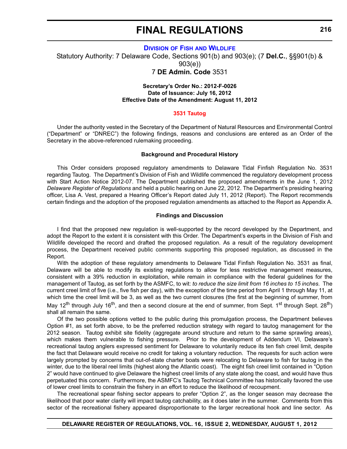#### **DIVISION OF FISH [AND WILDLIFE](http://www.dnrec.delaware.gov/fw/Pages/FWPortal.aspx)**

Statutory Authority: 7 Delaware Code, Sections 901(b) and 903(e); (7 **Del.C.**, §§901(b) & 903(e))

7 **DE Admin. Code** 3531

#### **Secretary's Order No.: 2012-F-0026 Date of Issuance: July 16, 2012 Effective Date of the Amendment: August 11, 2012**

#### **[3531 Tautog](#page-4-0)**

Under the authority vested in the Secretary of the Department of Natural Resources and Environmental Control ("Department" or "DNREC") the following findings, reasons and conclusions are entered as an Order of the Secretary in the above-referenced rulemaking proceeding.

#### **Background and Procedural History**

This Order considers proposed regulatory amendments to Delaware Tidal Finfish Regulation No. 3531 regarding Tautog. The Department's Division of Fish and Wildlife commenced the regulatory development process with Start Action Notice 2012-07. The Department published the proposed amendments in the June 1, 2012 *Delaware Register of Regulations* and held a public hearing on June 22, 2012. The Department's presiding hearing officer, Lisa A. Vest, prepared a Hearing Officer's Report dated July 11, 2012 (Report). The Report recommends certain findings and the adoption of the proposed regulation amendments as attached to the Report as Appendix A.

#### **Findings and Discussion**

I find that the proposed new regulation is well-supported by the record developed by the Department, and adopt the Report to the extent it is consistent with this Order. The Department's experts in the Division of Fish and Wildlife developed the record and drafted the proposed regulation. As a result of the regulatory development process, the Department received public comments supporting this proposed regulation, as discussed in the Report.

With the adoption of these regulatory amendments to Delaware Tidal Finfish Regulation No. 3531 as final, Delaware will be able to modify its existing regulations to allow for less restrictive management measures, consistent with a 39% reduction in exploitation, while remain in compliance with the federal guidelines for the management of Tautog, as set forth by the ASMFC, to wit: *to reduce the size limit from 16 inches to 15 inches*. The current creel limit of five (i.e., five fish per day), with the exception of the time period from April 1 through May 11, at which time the creel limit will be 3, as well as the two current closures (the first at the beginning of summer, from May 12<sup>th</sup> through July 16<sup>th</sup>, and then a second closure at the end of summer, from Sept. 1<sup>st</sup> through Sept. 28<sup>th</sup>) shall all remain the same.

Of the two possible options vetted to the public during this promulgation process, the Department believes Option #1, as set forth above, to be the preferred reduction strategy with regard to tautog management for the 2012 season. Tautog exhibit site fidelity (aggregate around structure and return to the same sprawling areas), which makes them vulnerable to fishing pressure. Prior to the development of Addendum VI, Delaware's recreational tautog anglers expressed sentiment for Delaware to voluntarily reduce its ten fish creel limit, despite the fact that Delaware would receive no credit for taking a voluntary reduction. The requests for such action were largely prompted by concerns that out-of-state charter boats were relocating to Delaware to fish for tautog in the winter, due to the liberal reel limits (highest along the Atlantic coast). The eight fish creel limit contained in "Option 2" would have continued to give Delaware the highest creel limits of any state along the coast, and would have thus perpetuated this concern. Furthermore, the ASMFC's Tautog Technical Committee has historically favored the use of lower creel limits to constrain the fishery in an effort to reduce the likelihood of recoupment.

The recreational spear fishing sector appears to prefer "Option 2", as the longer season may decrease the likelihood that poor water clarity will impact tautog catchability, as it does later in the summer. Comments from this sector of the recreational fishery appeared disproportionate to the larger recreational hook and line sector. As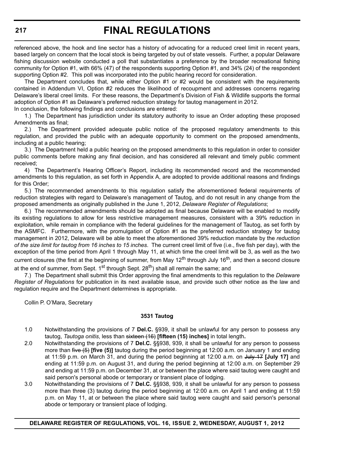referenced above, the hook and line sector has a history of advocating for a reduced creel limit in recent years, based largely on concern that the local stock is being targeted by out of state vessels. Further, a popular Delaware fishing discussion website conducted a poll that substantiates a preference by the broader recreational fishing community for Option #1, with 66% (47) of the respondents supporting Option #1, and 34% (24) of the respondent supporting Option #2. This poll was incorporated into the public hearing record for consideration.

The Department concludes that, while either Option #1 or #2 would be consistent with the requirements contained in Addendum VI, Option #2 reduces the likelihood of recoupment and addresses concerns regaring Delaware's liberal creel limits. For these reasons, the Department's Division of Fish & Wildlife supports the formal adoption of Option #1 as Delaware's preferred reduction strategy for tautog management in 2012. In conclusion, the following findings and conclusions are entered:

1.) The Department has jurisdiction under its statutory authority to issue an Order adopting these proposed Amendments as final;

2.) The Department provided adequate public notice of the proposed regulatory amendments to this regulation, and provided the public with an adequate opportunity to comment on the proposed amendments, including at a public hearing;

3.) The Department held a public hearing on the proposed amendments to this regulation in order to consider public comments before making any final decision, and has considered all relevant and timely public comment received;

4) The Department's Hearing Officer's Report, including its recommended record and the recommended amendments to this regulation, as set forth in Appendix A, are adopted to provide additional reasons and findings for this Order;

5.) The recommended amendments to this regulation satisfy the aforementioned federal requirements of reduction strategies with regard to Delaware's management of Tautog, and do not result in any change from the proposed amendments as originally published in the June 1, 2012, *Delaware Register of Regulations*;

6.) The recommended amendments should be adopted as final because Delaware will be enabled to modify its existing regulations to allow for less restrictive management measures, consistent with a 39% reduction in exploitation, while remain in compliance with the federal guidelines for the management of Tautog, as set forth by the ASMFC. Furthermore, with the promulgation of Option #1 as the preferred reduction strategy for tautog management in 2012, Delaware will be able to meet the aforementioned 39% reduction mandate by the *reduction of the size limit for tautog from 16 inches to 15 inches*. The current creel limit of five (i.e., five fish per day), with the exception of the time period from April 1 through May 11, at which time the creel limit will be 3, as well as the two current closures (the first at the beginning of summer, from May 12<sup>th</sup> through July 16<sup>th</sup>, and then a second closure at the end of summer, from Sept.  $1<sup>st</sup>$  through Sept.  $28<sup>th</sup>$ ) shall all remain the same; and

7.) The Department shall submit this Order approving the final amendments to this regulation to the *Delaware Register of Regulations* for publication in its next available issue, and provide such other notice as the law and regulation require and the Department determines is appropriate.

Collin P. O'Mara, Secretary

#### **3531 Tautog**

- 1.0 Notwithstanding the provisions of 7 **Del.C.** §939, it shall be unlawful for any person to possess any tautog, *Tautoga onitis*, less than sixteen (16) **[fifteen (15) inches]** in total length**.**
- 2.0 Notwithstanding the provisions of 7 **Del.C.** §§938, 939, it shall be unlawful for any person to possess more than five (5) **[five (5)]** tautog during the period beginning at 12:00 a.m. on January 1 and ending at 11:59 p.m. on March 31, and during the period beginning at 12:00 a.m. on <del>July 17</del> **[July 17]** and ending at 11:59 p.m. on August 31, and during the period beginning at 12:00 a.m. on September 29 and ending at 11:59 p.m. on December 31, at or between the place where said tautog were caught and said person's personal abode or temporary or transient place of lodging.
- 3.0 Notwithstanding the provisions of 7 **Del.C.** §§938, 939, it shall be unlawful for any person to possess more than three (3) tautog during the period beginning at 12:00 a.m. on April 1 and ending at 11:59 p.m. on May 11, at or between the place where said tautog were caught and said person's personal abode or temporary or transient place of lodging.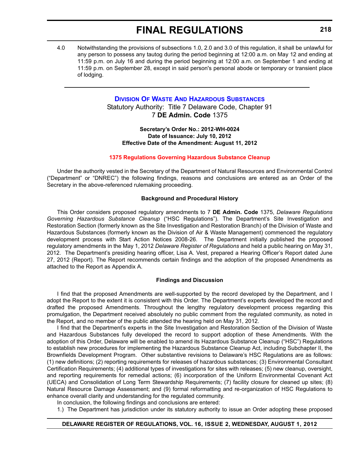4.0 Notwithstanding the provisions of subsections 1.0, 2.0 and 3.0 of this regulation, it shall be unlawful for any person to possess any tautog during the period beginning at 12:00 a.m. on May 12 and ending at 11:59 p.m. on July 16 and during the period beginning at 12:00 a.m. on September 1 and ending at 11:59 p.m. on September 28, except in said person's personal abode or temporary or transient place of lodging.

### **[DIVISION OF WASTE AND HAZARDOUS SUBSTANCES](http://www.dnrec.delaware.gov/whs/awm/Pages/default.aspx)**

Statutory Authority: Title 7 Delaware Code, Chapter 91 7 **DE Admin. Code** 1375

**Secretary's Order No.: 2012-WH-0024 Date of Issuance: July 10, 2012 Effective Date of the Amendment: August 11, 2012**

#### **[1375 Regulations Governing Hazardous Substance Cleanup](#page-4-0)**

Under the authority vested in the Secretary of the Department of Natural Resources and Environmental Control ("Department" or "DNREC") the following findings, reasons and conclusions are entered as an Order of the Secretary in the above-referenced rulemaking proceeding.

#### **Background and Procedural History**

This Order considers proposed regulatory amendments to 7 **DE Admin. Code** 1375, *Delaware Regulations Governing Hazardous Substance Cleanup* ("HSC Regulations"). The Department's Site Investigation and Restoration Section (formerly known as the Site Investigation and Restoration Branch) of the Division of Waste and Hazardous Substances (formerly known as the Division of Air & Waste Management) commenced the regulatory development process with Start Action Notices 2008-26. The Department initially published the proposed regulatory amendments in the May 1, 2012 *Delaware Register of Regulations* and held a public hearing on May 31, 2012. The Department's presiding hearing officer, Lisa A. Vest, prepared a Hearing Officer's Report dated June 27, 2012 (Report). The Report recommends certain findings and the adoption of the proposed Amendments as attached to the Report as Appendix A.

#### **Findings and Discussion**

I find that the proposed Amendments are well-supported by the record developed by the Department, and I adopt the Report to the extent it is consistent with this Order. The Department's experts developed the record and drafted the proposed Amendments. Throughout the lengthy regulatory development process regarding this promulgation, the Department received absolutely no public comment from the regulated community, as noted in the Report, and no member of the public attended the hearing held on May 31, 2012.

I find that the Department's experts in the Site Investigation and Restoration Section of the Division of Waste and Hazardous Substances fully developed the record to support adoption of these Amendments. With the adoption of this Order, Delaware will be enabled to amend its Hazardous Substance Cleanup ("HSC") Regulations to establish new procedures for implementing the Hazardous Substance Cleanup Act, including Subchapter II, the Brownfields Development Program. Other substantive revisions to Delaware's HSC Regulations are as follows: (1) new definitions; (2) reporting requirements for releases of hazardous substances; (3) Environmental Consultant Certification Requirements; (4) additional types of investigations for sites with releases; (5) new cleanup, oversight, and reporting requirements for remedial actions; (6) incorporation of the Uniform Environmental Covenant Act (UECA) and Consolidation of Long Term Stewardship Requirements; (7) facility closure for cleaned up sites; (8) Natural Resource Damage Assessment; and (9) formal reformatting and re-organization of HSC Regulations to enhance overall clarity and understanding for the regulated community.

In conclusion, the following findings and conclusions are entered:

1.) The Department has jurisdiction under its statutory authority to issue an Order adopting these proposed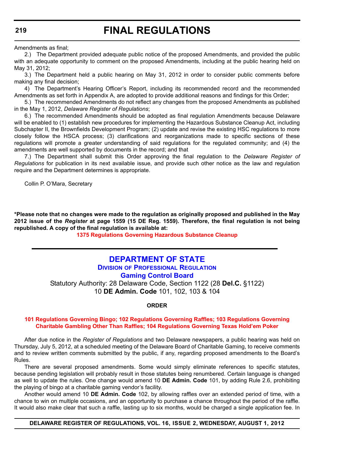Amendments as final;

2.) The Department provided adequate public notice of the proposed Amendments, and provided the public with an adequate opportunity to comment on the proposed Amendments, including at the public hearing held on May 31, 2012;

3.) The Department held a public hearing on May 31, 2012 in order to consider public comments before making any final decision;

4) The Department's Hearing Officer's Report, including its recommended record and the recommended Amendments as set forth in Appendix A, are adopted to provide additional reasons and findings for this Order;

5.) The recommended Amendments do not reflect any changes from the proposed Amendments as published in the May 1, 2012, *Delaware Register of Regulations*;

6.) The recommended Amendments should be adopted as final regulation Amendments because Delaware will be enabled to (1) establish new procedures for implementing the Hazardous Substance Cleanup Act, including Subchapter II, the Brownfields Development Program; (2) update and revise the existing HSC regulations to more closely follow the HSCA process; (3) clarifications and reorganizations made to specific sections of these regulations will promote a greater understanding of said regulations for the regulated community; and (4) the amendments are well supported by documents in the record; and that

7.) The Department shall submit this Order approving the final regulation to the *Delaware Register of Regulations* for publication in its next available issue, and provide such other notice as the law and regulation require and the Department determines is appropriate.

Collin P. O'Mara, Secretary

**\*Please note that no changes were made to the regulation as originally proposed and published in the May 2012 issue of the** *Register* **at page 1559 (15 DE Reg. 1559). Therefore, the final regulation is not being republished. A copy of the final regulation is available at:**

**[1375 Regulations Governing Hazardous Substance Cleanup](http://regulations.delaware.gov/register/august2012/final/16 DE Reg 218 08-01-12.htm)**

## **[DEPARTMENT OF STATE](http://dpr.delaware.gov/boards/gaming/index.shtml)**

**DIVISION OF PROFESSIONAL REGULATION Gaming Control Board**

Statutory Authority: 28 Delaware Code, Section 1122 (28 **Del.C.** §1122) 10 **DE Admin. Code** 101, 102, 103 & 104

**ORDER**

#### **[101 Regulations Governing Bingo; 102 Regulations Governing Raffles; 103 Regulations Governing](#page-4-0)  Charitable Gambling Other Than Raffles; 104 Regulations Governing Texas Hold'em Poker**

After due notice in the *Register of Regulations* and two Delaware newspapers, a public hearing was held on Thursday, July 5, 2012, at a scheduled meeting of the Delaware Board of Charitable Gaming, to receive comments and to review written comments submitted by the public, if any, regarding proposed amendments to the Board's Rules.

There are several proposed amendments. Some would simply eliminate references to specific statutes, because pending legislation will probably result in those statutes being renumbered. Certain language is changed as well to update the rules. One change would amend 10 **DE Admin. Code** 101, by adding Rule 2.6, prohibiting the playing of bingo at a charitable gaming vendor's facility.

Another would amend 10 **DE Admin. Code** 102, by allowing raffles over an extended period of time, with a chance to win on multiple occasions, and an opportunity to purchase a chance throughout the period of the raffle. It would also make clear that such a raffle, lasting up to six months, would be charged a single application fee. In

#### **DELAWARE REGISTER OF REGULATIONS, VOL. 16, ISSUE 2, WEDNESDAY, AUGUST 1, 2012**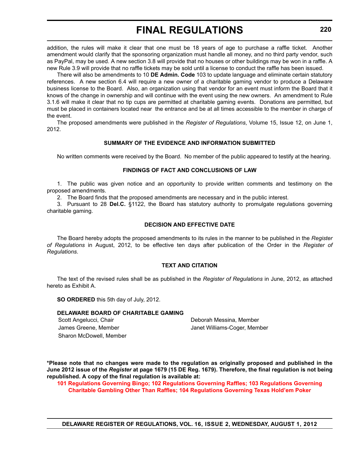addition, the rules will make it clear that one must be 18 years of age to purchase a raffle ticket. Another amendment would clarify that the sponsoring organization must handle all money, and no third party vendor, such as PayPal, may be used. A new section 3.8 will provide that no houses or other buildings may be won in a raffle. A new Rule 3.9 will provide that no raffle tickets may be sold until a license to conduct the raffle has been issued.

There will also be amendments to 10 **DE Admin. Code** 103 to update language and eliminate certain statutory references. A new section 6.4 will require a new owner of a charitable gaming vendor to produce a Delaware business license to the Board. Also, an organization using that vendor for an event must inform the Board that it knows of the change in ownership and will continue with the event using the new owners. An amendment to Rule 3.1.6 will make it clear that no tip cups are permitted at charitable gaming events. Donations are permitted, but must be placed in containers located near the entrance and be at all times accessible to the member in charge of the event.

The proposed amendments were published in the *Register of Regulations*, Volume 15, Issue 12, on June 1, 2012.

#### **SUMMARY OF THE EVIDENCE AND INFORMATION SUBMITTED**

No written comments were received by the Board. No member of the public appeared to testify at the hearing.

#### **FINDINGS OF FACT AND CONCLUSIONS OF LAW**

1. The public was given notice and an opportunity to provide written comments and testimony on the proposed amendments.

2. The Board finds that the proposed amendments are necessary and in the public interest.

3. Pursuant to 28 **Del.C.** §1122, the Board has statutory authority to promulgate regulations governing charitable gaming.

#### **DECISION AND EFFECTIVE DATE**

The Board hereby adopts the proposed amendments to its rules in the manner to be published in the *Register of Regulations* in August, 2012, to be effective ten days after publication of the Order in the *Register of Regulations*.

#### **TEXT AND CITATION**

The text of the revised rules shall be as published in the *Register of Regulations* in June, 2012, as attached hereto as Exhibit A.

**SO ORDERED** this 5th day of July, 2012.

#### **DELAWARE BOARD OF CHARITABLE GAMING**

Sharon McDowell, Member

Scott Angelucci, Chair **Deborah Messina, Member** Deborah Messina, Member James Greene, Member **Janet Williams-Coger, Member** Janet Williams-Coger, Member

**\*Please note that no changes were made to the regulation as originally proposed and published in the June 2012 issue of the** *Register* **at page 1679 (15 DE Reg. 1679). Therefore, the final regulation is not being republished. A copy of the final regulation is available at:**

**[101 Regulations Governing Bingo; 102 Regulations Governing Raffles; 103 Regulations Governing](http://regulations.delaware.gov/register/august2012/final/16 DE Reg 219 08-01-12.htm)  Charitable Gambling Other Than Raffles; 104 Regulations Governing Texas Hold'em Poker**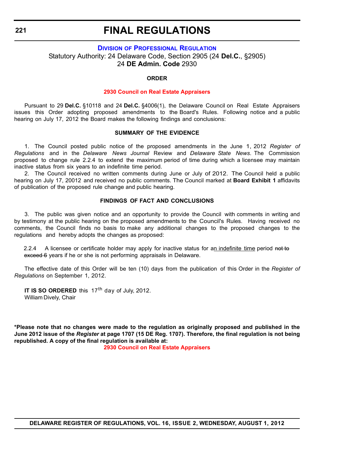#### **DIVISION [OF PROFESSIONAL REGULATION](http://dpr.delaware.gov/boards/realestateappraisers/index.shtml)** Statutory Authority: 24 Delaware Code, Section 2905 (24 **Del.C.**, §2905) 24 **DE Admin. Code** 2930

#### **ORDER**

#### **[2930 Council on Real Estate Appraisers](#page-4-0)**

Pursuant to 29 **Del.C.** §10118 and 24 **Del.C.** §4006(1), the Delaware Council on Real Estate Appraisers issues this Order adopting proposed amendments to the Board's Rules. Following notice and a public hearing on July 17, 2012 the Board makes the following findings and conclusions:

#### **SUMMARY OF THE EVIDENCE**

1. The Council posted public notice of the proposed amendments in the June 1, 2012 *Register of Regulations* and in the *Delaware News Journal* Review and *Delaware State News*. The Commission proposed to change rule 2.2.4 to extend the maximum period of time during which a licensee may maintain inactive status from six years to an indefinite time period.

2. The Council received no written comments during June or July of 2012. The Council held a public hearing on July 17, 20012 and received no public comments. The Council marked at **Board Exhibit 1** affidavits of publication of the proposed rule change and public hearing.

#### **FINDINGS OF FACT AND CONCLUSIONS**

3. The public was given notice and an opportunity to provide the Council with comments in writing and by testimony at the public hearing on the proposed amendments to the Council's Rules. Having received no comments, the Council finds no basis to make any additional changes to the proposed changes to the regulations and hereby adopts the changes as proposed:

2.2.4 A licensee or certificate holder may apply for inactive status for an indefinite time period not to exceed 6 years if he or she is not performing appraisals in Delaware.

The effective date of this Order will be ten (10) days from the publication of this Order in the *Register of Regulations* on September 1, 2012.

**IT IS SO ORDERED** this 17<sup>th</sup> day of July, 2012. William Dively, Chair

**\*Please note that no changes were made to the regulation as originally proposed and published in the June 2012 issue of the** *Register* **at page 1707 (15 DE Reg. 1707). Therefore, the final regulation is not being republished. A copy of the final regulation is available at:**

**[2930 Council on Real Estate Appraisers](http://regulations.delaware.gov/register/august2012/final/16 DE Reg 221 08-01-12.htm)**

**DELAWARE REGISTER OF REGULATIONS, VOL. 16, ISSUE 2, WEDNESDAY, AUGUST 1, 2012**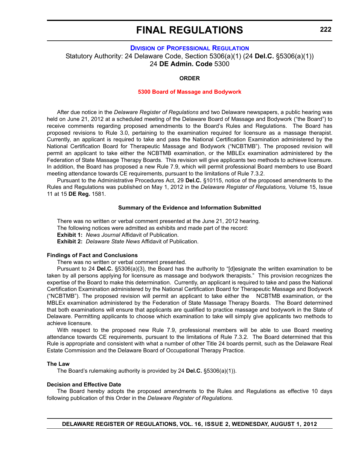#### **DIVISION [OF PROFESSIONAL REGULATION](http://dpr.delaware.gov/boards/massagebodyworks/index.shtml)**

Statutory Authority: 24 Delaware Code, Section 5306(a)(1) (24 **Del.C.** §5306(a)(1)) 24 **DE Admin. Code** 5300

#### **ORDER**

#### **[5300 Board of Massage and Bodywork](#page-4-0)**

After due notice in the *Delaware Register of Regulations* and two Delaware newspapers, a public hearing was held on June 21, 2012 at a scheduled meeting of the Delaware Board of Massage and Bodywork ("the Board") to receive comments regarding proposed amendments to the Board's Rules and Regulations. The Board has proposed revisions to Rule 3.0, pertaining to the examination required for licensure as a massage therapist. Currently, an applicant is required to take and pass the National Certification Examination administered by the National Certification Board for Therapeutic Massage and Bodywork ("NCBTMB"). The proposed revision will permit an applicant to take either the NCBTMB examination, or the MBLEx examination administered by the Federation of State Massage Therapy Boards. This revision will give applicants two methods to achieve licensure. In addition, the Board has proposed a new Rule 7.9, which will permit professional Board members to use Board meeting attendance towards CE requirements, pursuant to the limitations of Rule 7.3.2.

Pursuant to the Administrative Procedures Act, 29 **Del.C.** §10115, notice of the proposed amendments to the Rules and Regulations was published on May 1, 2012 in the *Delaware Register of Regulations,* Volume 15, Issue 11 at 15 **DE Reg.** 1581.

#### **Summary of the Evidence and Information Submitted**

There was no written or verbal comment presented at the June 21, 2012 hearing.

The following notices were admitted as exhibits and made part of the record:

**Exhibit 1: News Journal Affidavit of Publication.** 

**Exhibit 2:** *Delaware State News* Affidavit of Publication.

#### **Findings of Fact and Conclusions**

There was no written or verbal comment presented.

Pursuant to 24 **Del.C.** §5306(a)(3), the Board has the authority to "[d]esignate the written examination to be taken by all persons applying for licensure as massage and bodywork therapists." This provision recognizes the expertise of the Board to make this determination. Currently, an applicant is required to take and pass the National Certification Examination administered by the National Certification Board for Therapeutic Massage and Bodywork ("NCBTMB"). The proposed revision will permit an applicant to take either the NCBTMB examination, or the MBLEx examination administered by the Federation of State Massage Therapy Boards. The Board determined that both examinations will ensure that applicants are qualified to practice massage and bodywork in the State of Delaware. Permitting applicants to choose which examination to take will simply give applicants two methods to achieve licensure.

With respect to the proposed new Rule 7.9, professional members will be able to use Board meeting attendance towards CE requirements, pursuant to the limitations of Rule 7.3.2. The Board determined that this Rule is appropriate and consistent with what a number of other Title 24 boards permit, such as the Delaware Real Estate Commission and the Delaware Board of Occupational Therapy Practice.

#### **The Law**

The Board's rulemaking authority is provided by 24 **Del.C.** §5306(a)(1)).

#### **Decision and Effective Date**

The Board hereby adopts the proposed amendments to the Rules and Regulations as effective 10 days following publication of this Order in the *Delaware Register of Regulations.*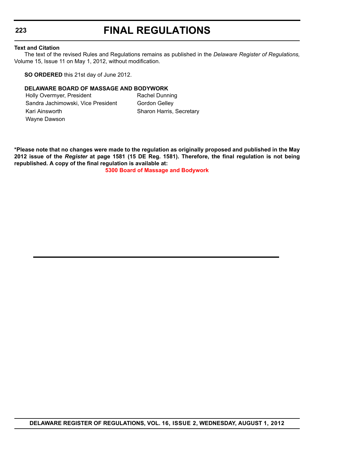#### **Text and Citation**

The text of the revised Rules and Regulations remains as published in the *Delaware Register of Regulations,* Volume 15, Issue 11 on May 1, 2012, without modification.

**SO ORDERED** this 21st day of June 2012.

#### **DELAWARE BOARD OF MASSAGE AND BODYWORK**

Holly Overmyer, President Rachel Dunning Sandra Jachimowski, Vice President Gordon Gelley Kari Ainsworth Sharon Harris, Secretary Wayne Dawson

**\*Please note that no changes were made to the regulation as originally proposed and published in the May 2012 issue of the** *Register* **at page 1581 (15 DE Reg. 1581). Therefore, the final regulation is not being republished. A copy of the final regulation is available at:**

**[5300 Board of Massage and Bodywork](http://regulations.delaware.gov/register/august2012/final/16 DE Reg 222 08-01-12.htm)**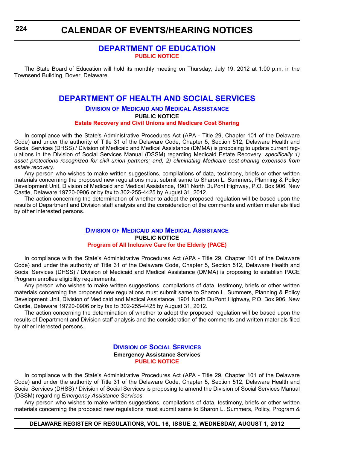### **[DEPARTMENT OF EDUCATION](http://www.doe.k12.de.us/) [PUBLIC NOTICE](#page-4-0)**

The State Board of Education will hold its monthly meeting on Thursday, July 19, 2012 at 1:00 p.m. in the Townsend Building, Dover, Delaware.

### **[DEPARTMENT OF HEALTH AND SOCIAL SERVICES](http://dhss.delaware.gov/dhss/dmma/)**

#### **DIVISION OF MEDICAID AND MEDICAL ASSISTANCE PUBLIC NOTICE [Estate Recovery and Civil Unions and Medicare Cost Sharing](#page-4-0)**

In compliance with the State's Administrative Procedures Act (APA - Title 29, Chapter 101 of the Delaware Code) and under the authority of Title 31 of the Delaware Code, Chapter 5, Section 512, Delaware Health and Social Services (DHSS) / Division of Medicaid and Medical Assistance (DMMA) is proposing to update current regulations in the Division of Social Services Manual (DSSM) regarding Medicaid Estate Recovery, *specifically 1) asset protections recognized for civil union partners; and, 2) eliminating Medicare cost-sharing expenses from estate recovery*.

Any person who wishes to make written suggestions, compilations of data, testimony, briefs or other written materials concerning the proposed new regulations must submit same to Sharon L. Summers, Planning & Policy Development Unit, Division of Medicaid and Medical Assistance, 1901 North DuPont Highway, P.O. Box 906, New Castle, Delaware 19720-0906 or by fax to 302-255-4425 by August 31, 2012.

The action concerning the determination of whether to adopt the proposed regulation will be based upon the results of Department and Division staff analysis and the consideration of the comments and written materials filed by other interested persons.

#### **DIVISION OF MEDICAID [AND MEDICAL ASSISTANCE](http://dhss.delaware.gov/dhss/dmma/) PUBLIC NOTICE [Program of All Inclusive Care for the Elderly \(PACE\)](#page-4-0)**

In compliance with the State's Administrative Procedures Act (APA - Title 29, Chapter 101 of the Delaware Code) and under the authority of Title 31 of the Delaware Code, Chapter 5, Section 512, Delaware Health and Social Services (DHSS) / Division of Medicaid and Medical Assistance (DMMA) is proposing to establish PACE Program enrollee eligibility requirements.

Any person who wishes to make written suggestions, compilations of data, testimony, briefs or other written materials concerning the proposed new regulations must submit same to Sharon L. Summers, Planning & Policy Development Unit, Division of Medicaid and Medical Assistance, 1901 North DuPont Highway, P.O. Box 906, New Castle, Delaware 19720-0906 or by fax to 302-255-4425 by August 31, 2012.

The action concerning the determination of whether to adopt the proposed regulation will be based upon the results of Department and Division staff analysis and the consideration of the comments and written materials filed by other interested persons.

#### **DIVISION [OF SOCIAL SERVICES](http://dhss.delaware.gov/dhss/dss/) Emergency Assistance Services [PUBLIC NOTICE](#page-4-0)**

In compliance with the State's Administrative Procedures Act (APA - Title 29, Chapter 101 of the Delaware Code) and under the authority of Title 31 of the Delaware Code, Chapter 5, Section 512, Delaware Health and Social Services (DHSS) / Division of Social Services is proposing to amend the Division of Social Services Manual (DSSM) regarding *Emergency Assistance Services*.

Any person who wishes to make written suggestions, compilations of data, testimony, briefs or other written materials concerning the proposed new regulations must submit same to Sharon L. Summers, Policy, Program &

#### **DELAWARE REGISTER OF REGULATIONS, VOL. 16, ISSUE 2, WEDNESDAY, AUGUST 1, 2012**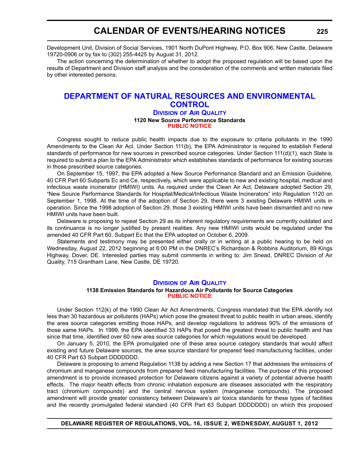Development Unit, Division of Social Services, 1901 North DuPont Highway, P.O. Box 906, New Castle, Delaware 19720-0906 or by fax to (302) 255-4425 by August 31, 2012.

The action concerning the determination of whether to adopt the proposed regulation will be based upon the results of Department and Division staff analysis and the consideration of the comments and written materials filed by other interested persons.

### **[DEPARTMENT OF NATURAL RESOURCES AND ENVIRONMENTAL](http://www.dnrec.delaware.gov/whs/awm/AQM/Pages/Default.aspx)  CONTROL**

#### **DIVISION OF AIR QUALITY 1120 New Source Performance Standards [PUBLIC NOTICE](#page-4-0)**

Congress sought to reduce public health impacts due to the exposure to criteria pollutants in the 1990 Amendments to the Clean Air Act. Under Section 111(b), the EPA Administrator is required to establish Federal standards of performance for new sources in prescribed source categories. Under Section 111(d)(1), each State is required to submit a plan to the EPA Administrator which establishes standards of performance for existing sources in those prescribed source categories.

On September 15, 1997, the EPA adopted a New Source Performance Standard and an Emission Guideline, 40 CFR Part 60 Subparts Ec and Ce, respectively, which were applicable to new and existing hospital, medical and infectious waste incinerator (HMIWI) units. As required under the Clean Air Act, Delaware adopted Section 29, "New Source Performance Standards for Hospital/Medical/Infectious Waste Incinerators" into Regulation 1120 on September 1, 1998. At the time of the adoption of Section 29, there were 3 existing Delaware HMIWI units in operation. Since the 1998 adoption of Section 29, those 3 existing HMIWI units have been dismantled and no new HMIWI units have been built.

Delaware is proposing to repeal Section 29 as its inherent regulatory requirements are currently outdated and its continuance is no longer justified by present realities. Any new HMIWI units would be regulated under the amended 40 CFR Part 60, Subpart Ec that the EPA adopted on October 6, 2009.

Statements and testimony may be presented either orally or in writing at a public hearing to be held on Wednesday, August 22, 2012 beginning at 6:00 PM in the DNREC's Richardson & Robbins Auditorium, 89 Kings Highway, Dover, DE. Interested parties may submit comments in writing to: Jim Snead, DNREC Division of Air Quality, 715 Grantham Lane, New Castle, DE 19720.

#### **DIVISION [OF AIR QUALITY](http://www.dnrec.delaware.gov/whs/awm/AQM/Pages/Default.aspx)**

#### **1138 Emission Standards for Hazardous Air Pollutants for Source Categories [PUBLIC NOTICE](#page-4-0)**

Under Section 112(k) of the 1990 Clean Air Act Amendments, Congress mandated that the EPA identify not less than 30 hazardous air pollutants (HAPs) which pose the greatest threat to public health in urban areas, identify the area source categories emitting those HAPs, and develop regulations to address 90% of the emissions of those same HAPs. In 1999, the EPA identified 33 HAPs that posed the greatest threat to public health and has since that time, identified over 60 new area source categories for which regulations would be developed.

On January 5, 2010, the EPA promulgated one of these area source category standards that would affect existing and future Delaware sources, the area source standard for prepared feed manufacturing facilities, under 40 CFR Part 63 Subpart DDDDDDD.

Delaware is proposing to amend Regulation 1138 by adding a new Section 17 that addresses the emissions of chromium and manganese compounds from prepared feed manufacturing facilities. The purpose of this proposed amendment is to provide increased protection for Delaware citizens against a variety of potential adverse health effects. The major health effects from chronic inhalation exposure are diseases associated with the respiratory tract (chromium compounds) and the central nervous system (manganese compounds). The proposed amendment will provide greater consistency between Delaware's air toxics standards for these types of facilities and the recently promulgated federal standard (40 CFR Part 63 Subpart DDDDDDD) on which this proposed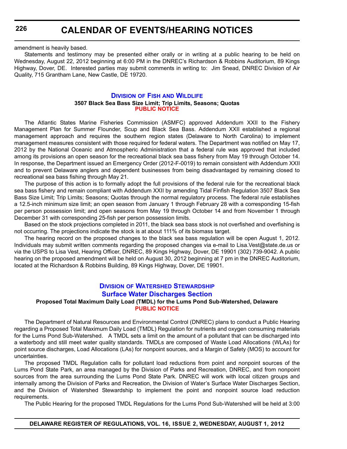**226**

amendment is heavily based.

Statements and testimony may be presented either orally or in writing at a public hearing to be held on Wednesday, August 22, 2012 beginning at 6:00 PM in the DNREC's Richardson & Robbins Auditorium, 89 Kings Highway, Dover, DE. Interested parties may submit comments in writing to: Jim Snead, DNREC Division of Air Quality, 715 Grantham Lane, New Castle, DE 19720.

#### **DIVISION OF FISH [AND WILDLIFE](http://www.dnrec.delaware.gov/fw/Pages/FWPortal.aspx) 3507 Black Sea Bass Size Limit; Trip Limits, Seasons; Quotas [PUBLIC NOTICE](#page-4-0)**

The Atlantic States Marine Fisheries Commission (ASMFC) approved Addendum XXII to the Fishery Management Plan for Summer Flounder, Scup and Black Sea Bass. Addendum XXII established a regional management approach and requires the southern region states (Delaware to North Carolina) to implement management measures consistent with those required for federal waters. The Department was notified on May 17, 2012 by the National Oceanic and Atmospheric Administration that a federal rule was approved that included among its provisions an open season for the recreational black sea bass fishery from May 19 through October 14. In response, the Department issued an Emergency Order (2012-F-0019) to remain consistent with Addendum XXII and to prevent Delaware anglers and dependent businesses from being disadvantaged by remaining closed to recreational sea bass fishing through May 21.

The purpose of this action is to formally adopt the full provisions of the federal rule for the recreational black sea bass fishery and remain compliant with Addendum XXII by amending Tidal Finfish Regulation 3507 Black Sea Bass Size Limit; Trip Limits; Seasons; Quotas through the normal regulatory process. The federal rule establishes a 12.5-inch minimum size limit; an open season from January 1 through February 28 with a corresponding 15-fish per person possession limit; and open seasons from May 19 through October 14 and from November 1 through December 31 with corresponding 25-fish per person possession limits.

Based on the stock projections completed in 2011, the black sea bass stock is not overfished and overfishing is not occurring. The projections indicate the stock is at about 111% of its biomass target.

The hearing record on the proposed changes to the black sea bass regulation will be open August 1, 2012. Individuals may submit written comments regarding the proposed changes via e-mail to Lisa.Vest@state.de.us or via the USPS to Lisa Vest, Hearing Officer, DNREC, 89 Kings Highway, Dover, DE 19901 (302) 739-9042. A public hearing on the proposed amendment will be held on August 30, 2012 beginning at 7 pm in the DNREC Auditorium, located at the Richardson & Robbins Building, 89 Kings Highway, Dover, DE 19901.

#### **DIVISION OF WATERSHED STEWARDSHIP [Surface Water Discharges Section](http://www.dnrec.delaware.gov/swc/Pages/default.aspx)**

#### **Proposed Total Maximum Daily Load (TMDL) for the Lums Pond Sub-Watershed, Delaware [PUBLIC NOTICE](#page-4-0)**

The Department of Natural Resources and Environmental Control (DNREC) plans to conduct a Public Hearing regarding a Proposed Total Maximum Daily Load (TMDL) Regulation for nutrients and oxygen consuming materials for the Lums Pond Sub-Watershed. A TMDL sets a limit on the amount of a pollutant that can be discharged into a waterbody and still meet water quality standards. TMDLs are composed of Waste Load Allocations (WLAs) for point source discharges, Load Allocations (LAs) for nonpoint sources, and a Margin of Safety (MOS) to account for uncertainties.

The proposed TMDL Regulation calls for pollutant load reductions from point and nonpoint sources of the Lums Pond State Park, an area managed by the Division of Parks and Recreation, DNREC, and from nonpoint sources from the area surrounding the Lums Pond State Park. DNREC will work with local citizen groups and internally among the Division of Parks and Recreation, the Division of Water's Surface Water Discharges Section, and the Division of Watershed Stewardship to implement the point and nonpoint source load reduction requirements.

The Public Hearing for the proposed TMDL Regulations for the Lums Pond Sub-Watershed will be held at 3:00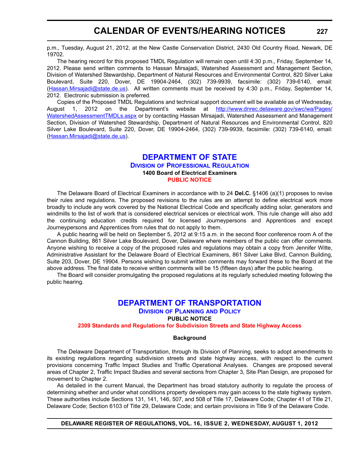p.m., Tuesday, August 21, 2012, at the New Castle Conservation District, 2430 Old Country Road, Newark, DE 19702.

The hearing record for this proposed TMDL Regulation will remain open until 4:30 p.m., Friday, September 14, 2012. Please send written comments to Hassan Mirsajadi, Watershed Assessment and Management Section, Division of Watershed Stewardship, Department of Natural Resources and Environmental Control, 820 Silver Lake Boulevard, Suite 220, Dover, DE 19904-2464, (302) 739-9939, facsimile: (302) 739-6140, email: (Hassan.Mirsajadi@state.de.us). All written comments must be received by 4:30 p.m., Friday, September 14, 2012. Electronic submission is preferred.

Copies of the Proposed TMDL Regulations and technical support document will be available as of Wednesday, August 1, 2012 on the Department's website at [http://www.dnrec.delaware.gov/swc/wa/Pages/](http://www.dnrec.delaware.gov/swc/wa/Pages/WatershedAssessmentTMDLs.aspx) [WatershedAssessmentTMDLs.aspx](http://www.dnrec.delaware.gov/swc/wa/Pages/WatershedAssessmentTMDLs.aspx) or by contacting Hassan Mirsajadi, Watershed Assessment and Management Section, Division of Watershed Stewardship, Department of Natural Resources and Environmental Control, 820 Silver Lake Boulevard, Suite 220, Dover, DE 19904-2464, (302) 739-9939, facsimile: (302) 739-6140, email: (Hassan.Mirsajadi@state.de.us).

### **[DEPARTMENT OF STATE](http://dpr.delaware.gov/boards/electrician/index.shtml)**

#### **DIVISION OF PROFESSIONAL REGULATION 1400 Board of Electrical Examiners [PUBLIC NOTICE](#page-4-0)**

The Delaware Board of Electrical Examiners in accordance with to 24 **Del.C.** §1406 (a)(1) proposes to revise their rules and regulations. The proposed revisions to the rules are an attempt to define electrical work more broadly to include any work covered by the National Electrical Code and specifically adding solar, generators and windmills to the list of work that is considered electrical services or electrical work. This rule change will also add the continuing education credits required for licensed Journeypersons and Apprentices and except Journeypersons and Apprentices from rules that do not apply to them.

A public hearing will be held on September 5, 2012 at 9:15 a.m. in the second floor conference room A of the Cannon Building, 861 Silver Lake Boulevard, Dover, Delaware where members of the public can offer comments. Anyone wishing to receive a copy of the proposed rules and regulations may obtain a copy from Jennifer Witte, Administrative Assistant for the Delaware Board of Electrical Examiners, 861 Silver Lake Blvd, Cannon Building, Suite 203, Dover, DE 19904. Persons wishing to submit written comments may forward these to the Board at the above address. The final date to receive written comments will be 15 (fifteen days) after the public hearing.

The Board will consider promulgating the proposed regulations at its regularly scheduled meeting following the public hearing.

### **[DEPARTMENT OF TRANSPORTATION](http://www.deldot.gov/index.shtml)**

**DIVISION OF PLANNING AND POLICY**

#### **PUBLIC NOTICE**

**[2309 Standards and Regulations for Subdivision Streets and State Highway Access](#page-4-0)**

#### **Background**

The Delaware Department of Transportation, through its Division of Planning, seeks to adopt amendments to its existing regulations regarding subdivision streets and state highway access, with respect to the current provisions concerning Traffic Impact Studies and Traffic Operational Analyses. Changes are proposed several areas of Chapter 2, Traffic Impact Studies and several sections from Chapter 3, Site Plan Design, are proposed for movement to Chapter 2.

As detailed in the current Manual, the Department has broad statutory authority to regulate the process of determining whether and under what conditions property developers may gain access to the state highway system. These authorities include Sections 131, 141, 146, 507, and 508 of Title 17, Delaware Code; Chapter 41 of Title 21, Delaware Code; Section 6103 of Title 29, Delaware Code; and certain provisions in Title 9 of the Delaware Code.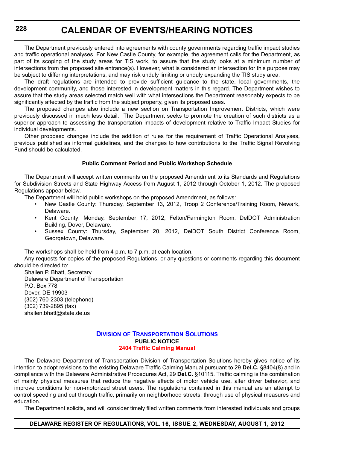The Department previously entered into agreements with county governments regarding traffic impact studies and traffic operational analyses. For New Castle County, for example, the agreement calls for the Department, as part of its scoping of the study areas for TIS work, to assure that the study looks at a minimum number of intersections from the proposed site entrance(s). However, what is considered an intersection for this purpose may be subject to differing interpretations, and may risk unduly limiting or unduly expanding the TIS study area.

The draft regulations are intended to provide sufficient guidance to the state, local governments, the development community, and those interested in development matters in this regard. The Department wishes to assure that the study areas selected match well with what intersections the Department reasonably expects to be significantly affected by the traffic from the subject property, given its proposed uses.

The proposed changes also include a new section on Transportation Improvement Districts, which were previously discussed in much less detail. The Department seeks to promote the creation of such districts as a superior approach to assessing the transportation impacts of development relative to Traffic Impact Studies for individual developments.

Other proposed changes include the addition of rules for the requirement of Traffic Operational Analyses, previous published as informal guidelines, and the changes to how contributions to the Traffic Signal Revolving Fund should be calculated.

#### **Public Comment Period and Public Workshop Schedule**

The Department will accept written comments on the proposed Amendment to its Standards and Regulations for Subdivision Streets and State Highway Access from August 1, 2012 through October 1, 2012. The proposed Regulations appear below.

The Department will hold public workshops on the proposed Amendment, as follows:

- New Castle County: Thursday, September 13, 2012, Troop 2 Conference/Training Room, Newark, Delaware.
- Kent County: Monday, September 17, 2012, Felton/Farmington Room, DelDOT Administration Building, Dover, Delaware.
- Sussex County: Thursday, September 20, 2012, DelDOT South District Conference Room, Georgetown, Delaware.

The workshops shall be held from 4 p.m. to 7 p.m. at each location.

Any requests for copies of the proposed Regulations, or any questions or comments regarding this document should be directed to:

Shailen P. Bhatt, Secretary Delaware Department of Transportation P.O. Box 778 Dover, DE 19903 (302) 760-2303 (telephone) (302) 739-2895 (fax) shailen.bhatt@state.de.us

#### **DIVISION [OF TRANSPORTATION SOLUTIONS](http://www.deldot.gov/index.shtml) PUBLIC NOTICE [2404 Traffic Calming Manual](#page-4-0)**

The Delaware Department of Transportation Division of Transportation Solutions hereby gives notice of its intention to adopt revisions to the existing Delaware Traffic Calming Manual pursuant to 29 **Del.C.** §8404(8) and in compliance with the Delaware Administrative Procedures Act, 29 **Del.C.** §10115. Traffic calming is the combination of mainly physical measures that reduce the negative effects of motor vehicle use, alter driver behavior, and improve conditions for non-motorized street users. The regulations contained in this manual are an attempt to control speeding and cut through traffic, primarily on neighborhood streets, through use of physical measures and education.

The Department solicits, and will consider timely filed written comments from interested individuals and groups

#### **DELAWARE REGISTER OF REGULATIONS, VOL. 16, ISSUE 2, WEDNESDAY, AUGUST 1, 2012**